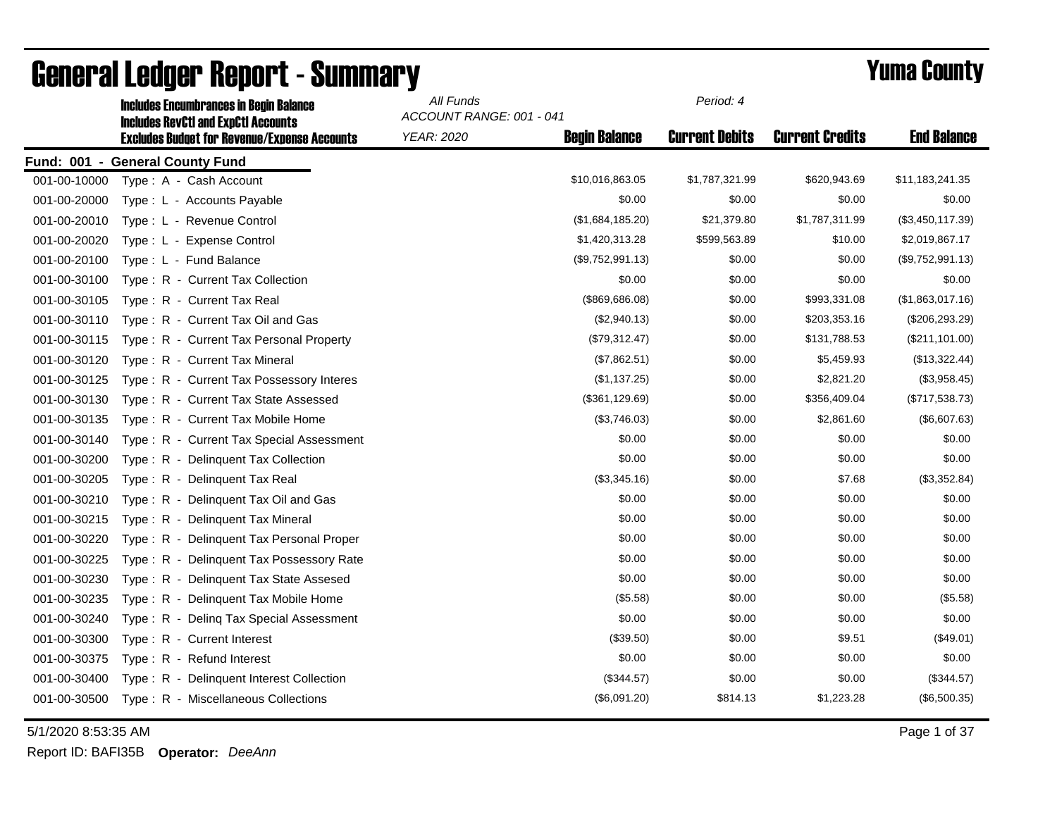|              | <b>Includes Encumbrances in Begin Balance</b>       | All Funds                | Period: 4            |                       |                        |                    |
|--------------|-----------------------------------------------------|--------------------------|----------------------|-----------------------|------------------------|--------------------|
|              | <b>Includes RevCtI and ExpCtI Accounts</b>          | ACCOUNT RANGE: 001 - 041 |                      |                       |                        |                    |
|              | <b>Excludes Budget for Revenue/Expense Accounts</b> | YEAR: 2020               | <b>Begin Balance</b> | <b>Current Debits</b> | <b>Current Credits</b> | <b>End Balance</b> |
|              | Fund: 001 - General County Fund                     |                          |                      |                       |                        |                    |
| 001-00-10000 | Type: A - Cash Account                              |                          | \$10,016,863.05      | \$1,787,321.99        | \$620,943.69           | \$11,183,241.35    |
| 001-00-20000 | Type: L - Accounts Payable                          |                          | \$0.00               | \$0.00                | \$0.00                 | \$0.00             |
| 001-00-20010 | Type: L - Revenue Control                           |                          | (\$1,684,185.20)     | \$21,379.80           | \$1,787,311.99         | (\$3,450,117.39)   |
| 001-00-20020 | Type: L - Expense Control                           |                          | \$1,420,313.28       | \$599,563.89          | \$10.00                | \$2,019,867.17     |
| 001-00-20100 | Type: L - Fund Balance                              |                          | (\$9,752,991.13)     | \$0.00                | \$0.00                 | (\$9,752,991.13)   |
| 001-00-30100 | Type: R - Current Tax Collection                    |                          | \$0.00               | \$0.00                | \$0.00                 | \$0.00             |
| 001-00-30105 | Type: R - Current Tax Real                          |                          | (\$869,686.08)       | \$0.00                | \$993,331.08           | (\$1,863,017.16)   |
| 001-00-30110 | Type: R - Current Tax Oil and Gas                   |                          | (\$2,940.13)         | \$0.00                | \$203,353.16           | $(\$206,293.29)$   |
| 001-00-30115 | Type: R - Current Tax Personal Property             |                          | (\$79,312.47)        | \$0.00                | \$131,788.53           | $(\$211, 101.00)$  |
| 001-00-30120 | Type: R - Current Tax Mineral                       |                          | (\$7,862.51)         | \$0.00                | \$5,459.93             | (\$13,322.44)      |
| 001-00-30125 | Type: R - Current Tax Possessory Interes            |                          | (\$1,137.25)         | \$0.00                | \$2,821.20             | (\$3,958.45)       |
| 001-00-30130 | Type: R - Current Tax State Assessed                |                          | (\$361, 129.69)      | \$0.00                | \$356,409.04           | (\$717,538.73)     |
| 001-00-30135 | Type: R - Current Tax Mobile Home                   |                          | (\$3,746.03)         | \$0.00                | \$2,861.60             | (\$6,607.63)       |
| 001-00-30140 | Type: R - Current Tax Special Assessment            |                          | \$0.00               | \$0.00                | \$0.00                 | \$0.00             |
| 001-00-30200 | Type: R - Delinquent Tax Collection                 |                          | \$0.00               | \$0.00                | \$0.00                 | \$0.00             |
| 001-00-30205 | Type: R - Delinquent Tax Real                       |                          | (\$3,345.16)         | \$0.00                | \$7.68                 | (\$3,352.84)       |
| 001-00-30210 | Type: R - Delinquent Tax Oil and Gas                |                          | \$0.00               | \$0.00                | \$0.00                 | \$0.00             |
| 001-00-30215 | Type: R - Delinquent Tax Mineral                    |                          | \$0.00               | \$0.00                | \$0.00                 | \$0.00             |
| 001-00-30220 | Type: R - Delinguent Tax Personal Proper            |                          | \$0.00               | \$0.00                | \$0.00                 | \$0.00             |
| 001-00-30225 | $T$ vpe: $R -$<br>Delinquent Tax Possessory Rate    |                          | \$0.00               | \$0.00                | \$0.00                 | \$0.00             |
| 001-00-30230 | Type: R - Delinquent Tax State Assesed              |                          | \$0.00               | \$0.00                | \$0.00                 | \$0.00             |
| 001-00-30235 | Type: R - Delinquent Tax Mobile Home                |                          | (\$5.58)             | \$0.00                | \$0.00                 | (\$5.58)           |
| 001-00-30240 | Type: R - Deling Tax Special Assessment             |                          | \$0.00               | \$0.00                | \$0.00                 | \$0.00             |
| 001-00-30300 | Type: R - Current Interest                          |                          | (\$39.50)            | \$0.00                | \$9.51                 | (\$49.01)          |
| 001-00-30375 | Type: R - Refund Interest                           |                          | \$0.00               | \$0.00                | \$0.00                 | \$0.00             |
| 001-00-30400 | Type: R - Delinquent Interest Collection            |                          | (\$344.57)           | \$0.00                | \$0.00                 | (\$344.57)         |
| 001-00-30500 | Type: R - Miscellaneous Collections                 |                          | (\$6,091.20)         | \$814.13              | \$1,223.28             | (\$6,500.35)       |
|              |                                                     |                          |                      |                       |                        |                    |

## General Ledger Report - Summary **Second Additional Second And Period: 4**

5/1/2020 8:53:35 AM Page 1 of 37

Report ID: BAFI35B **Operator:** *DeeAnn*

*Period: 4*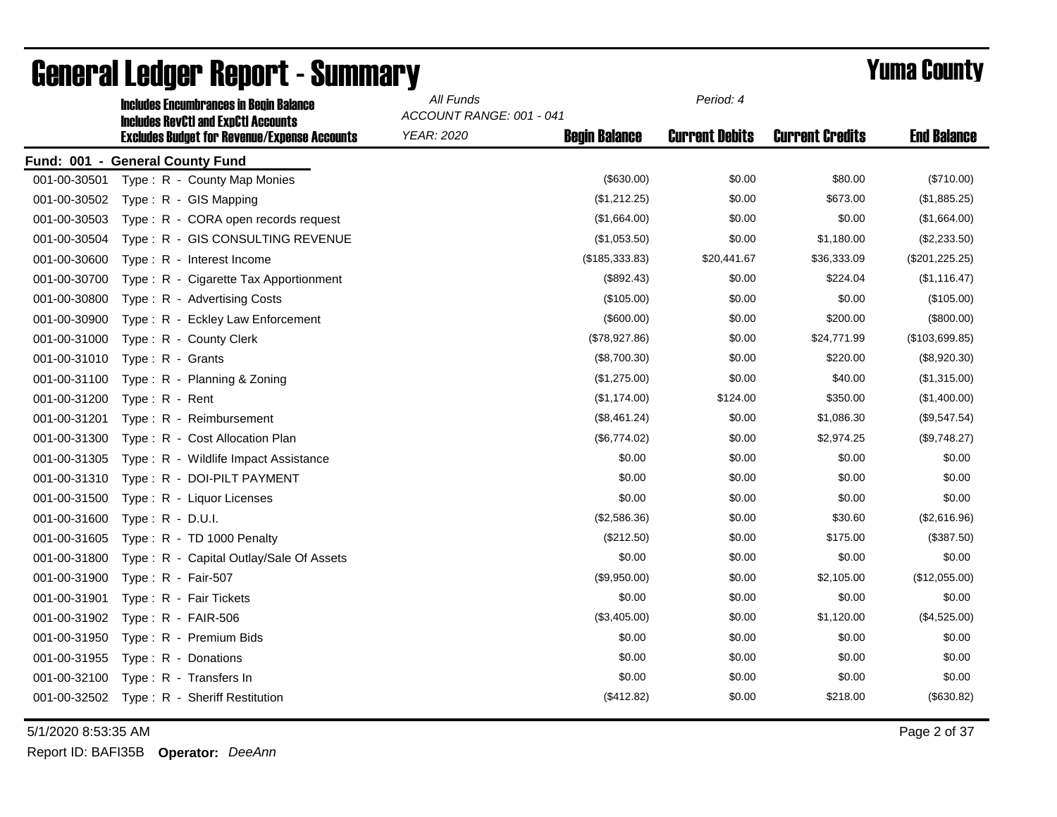|              | <b>Includes Encumbrances in Begin Balance</b><br><b>Includes RevCtI and ExpCtI Accounts</b> | All Funds<br>ACCOUNT RANGE: 001 - 041 | Period: 4            |                       |                        |                    |  |
|--------------|---------------------------------------------------------------------------------------------|---------------------------------------|----------------------|-----------------------|------------------------|--------------------|--|
|              | <b>Excludes Budget for Revenue/Expense Accounts</b>                                         | YEAR: 2020                            | <b>Begin Balance</b> | <b>Current Debits</b> | <b>Current Credits</b> | <b>End Balance</b> |  |
|              | Fund: 001 - General County Fund                                                             |                                       |                      |                       |                        |                    |  |
| 001-00-30501 | Type: R - County Map Monies                                                                 |                                       | (\$630.00)           | \$0.00                | \$80.00                | (\$710.00)         |  |
| 001-00-30502 | Type: R - GIS Mapping                                                                       |                                       | (\$1,212.25)         | \$0.00                | \$673.00               | (\$1,885.25)       |  |
| 001-00-30503 | Type: R - CORA open records request                                                         |                                       | (\$1,664.00)         | \$0.00                | \$0.00                 | (\$1,664.00)       |  |
| 001-00-30504 | Type: R - GIS CONSULTING REVENUE                                                            |                                       | (\$1,053.50)         | \$0.00                | \$1,180.00             | (\$2,233.50)       |  |
| 001-00-30600 | Type: R - Interest Income                                                                   |                                       | (\$185,333.83)       | \$20,441.67           | \$36,333.09            | (\$201, 225.25)    |  |
| 001-00-30700 | Type: R - Cigarette Tax Apportionment                                                       |                                       | (\$892.43)           | \$0.00                | \$224.04               | (\$1,116.47)       |  |
| 001-00-30800 | Type: R - Advertising Costs                                                                 |                                       | (\$105.00)           | \$0.00                | \$0.00                 | (\$105.00)         |  |
| 001-00-30900 | Type: R - Eckley Law Enforcement                                                            |                                       | (\$600.00)           | \$0.00                | \$200.00               | (\$800.00)         |  |
| 001-00-31000 | Type: R - County Clerk                                                                      |                                       | (\$78,927.86)        | \$0.00                | \$24,771.99            | (\$103,699.85)     |  |
| 001-00-31010 | Type: R - Grants                                                                            |                                       | (\$8,700.30)         | \$0.00                | \$220.00               | (\$8,920.30)       |  |
| 001-00-31100 | Type: R - Planning & Zoning                                                                 |                                       | (\$1,275.00)         | \$0.00                | \$40.00                | (\$1,315.00)       |  |
| 001-00-31200 | Type: R - Rent                                                                              |                                       | (\$1,174.00)         | \$124.00              | \$350.00               | (\$1,400.00)       |  |
| 001-00-31201 | Type: R - Reimbursement                                                                     |                                       | (\$8,461.24)         | \$0.00                | \$1,086.30             | (\$9,547.54)       |  |
| 001-00-31300 | Type: R - Cost Allocation Plan                                                              |                                       | (\$6,774.02)         | \$0.00                | \$2,974.25             | (\$9,748.27)       |  |
| 001-00-31305 | Type: R - Wildlife Impact Assistance                                                        |                                       | \$0.00               | \$0.00                | \$0.00                 | \$0.00             |  |
| 001-00-31310 | Type: R - DOI-PILT PAYMENT                                                                  |                                       | \$0.00               | \$0.00                | \$0.00                 | \$0.00             |  |
| 001-00-31500 | Type: R - Liquor Licenses                                                                   |                                       | \$0.00               | \$0.00                | \$0.00                 | \$0.00             |  |
| 001-00-31600 | Type: $R - D.U.I.$                                                                          |                                       | (\$2,586.36)         | \$0.00                | \$30.60                | (\$2,616.96)       |  |
| 001-00-31605 | Type: R - TD 1000 Penalty                                                                   |                                       | (\$212.50)           | \$0.00                | \$175.00               | (\$387.50)         |  |
| 001-00-31800 | Type: R - Capital Outlay/Sale Of Assets                                                     |                                       | \$0.00               | \$0.00                | \$0.00                 | \$0.00             |  |
| 001-00-31900 | Type: R - Fair-507                                                                          |                                       | (\$9,950.00)         | \$0.00                | \$2,105.00             | (\$12,055.00)      |  |
| 001-00-31901 | Type: R - Fair Tickets                                                                      |                                       | \$0.00               | \$0.00                | \$0.00                 | \$0.00             |  |
| 001-00-31902 | Type: $R - FAIR-506$                                                                        |                                       | (\$3,405.00)         | \$0.00                | \$1,120.00             | (\$4,525.00)       |  |
| 001-00-31950 | Type: R - Premium Bids                                                                      |                                       | \$0.00               | \$0.00                | \$0.00                 | \$0.00             |  |
| 001-00-31955 | Type: R - Donations                                                                         |                                       | \$0.00               | \$0.00                | \$0.00                 | \$0.00             |  |
| 001-00-32100 | Type: R - Transfers In                                                                      |                                       | \$0.00               | \$0.00                | \$0.00                 | \$0.00             |  |
| 001-00-32502 | Type: R - Sheriff Restitution                                                               |                                       | (\$412.82)           | \$0.00                | \$218.00               | (\$630.82)         |  |

5/1/2020 8:53:35 AM Page 2 of 37

Report ID: BAFI35B **Operator:** *DeeAnn*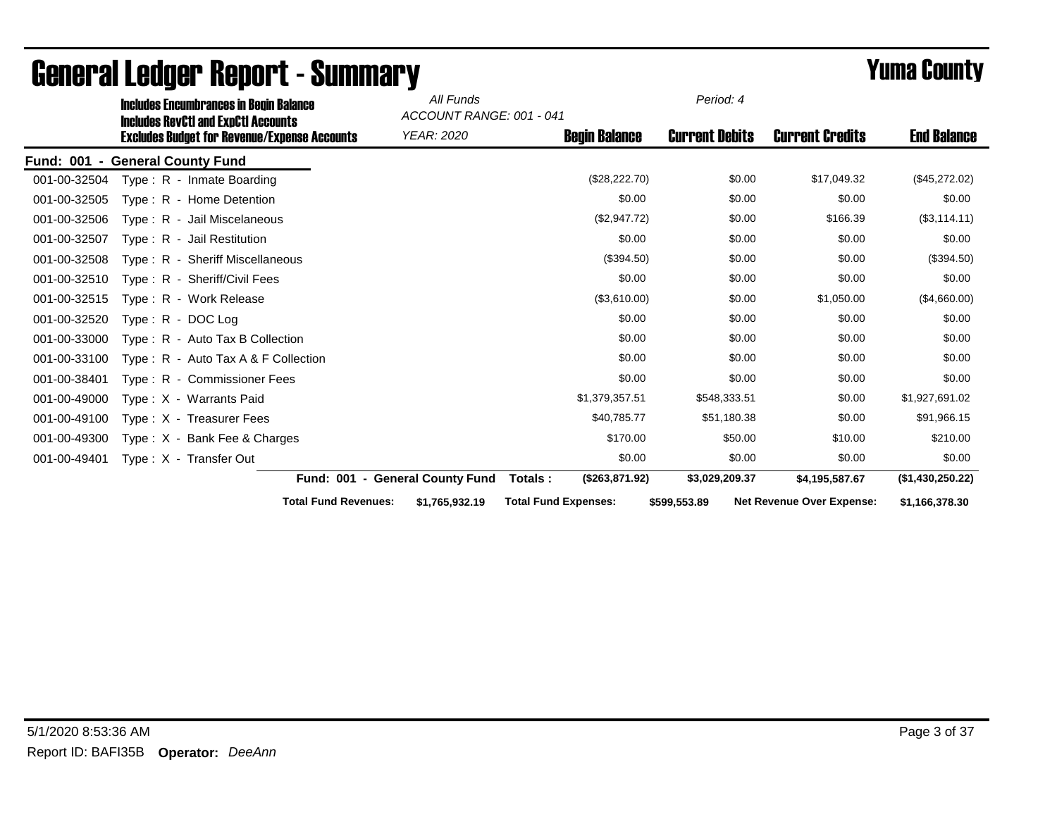|                  | <b>Includes Encumbrances in Begin Balance</b><br><b>Includes RevCtI and ExpCtI Accounts</b> |                                                     | All Funds<br>ACCOUNT RANGE: 001 - 041 |                             |                       |                                  |                    |
|------------------|---------------------------------------------------------------------------------------------|-----------------------------------------------------|---------------------------------------|-----------------------------|-----------------------|----------------------------------|--------------------|
|                  |                                                                                             | <b>Excludes Budget for Revenue/Expense Accounts</b> | YEAR: 2020                            | <b>Begin Balance</b>        | <b>Current Debits</b> | <b>Current Credits</b>           | <b>End Balance</b> |
| <b>Fund: 001</b> | - General County Fund                                                                       |                                                     |                                       |                             |                       |                                  |                    |
| 001-00-32504     | Type: R - Inmate Boarding                                                                   |                                                     |                                       | (\$28,222.70)               | \$0.00                | \$17,049.32                      | (\$45,272.02)      |
| 001-00-32505     | Type: R - Home Detention                                                                    |                                                     |                                       | \$0.00                      | \$0.00                | \$0.00                           | \$0.00             |
| 001-00-32506     | Type: R - Jail Miscelaneous                                                                 |                                                     |                                       | (\$2,947.72)                | \$0.00                | \$166.39                         | (\$3,114.11)       |
| 001-00-32507     | Type: R - Jail Restitution                                                                  |                                                     |                                       | \$0.00                      | \$0.00                | \$0.00                           | \$0.00             |
| 001-00-32508     | Type: R - Sheriff Miscellaneous                                                             |                                                     |                                       | (\$394.50)                  | \$0.00                | \$0.00                           | (\$394.50)         |
| 001-00-32510     | Type: R - Sheriff/Civil Fees                                                                |                                                     |                                       | \$0.00                      | \$0.00                | \$0.00                           | \$0.00             |
| 001-00-32515     | Type: R - Work Release                                                                      |                                                     |                                       | (\$3,610.00)                | \$0.00                | \$1,050.00                       | (\$4,660.00)       |
| 001-00-32520     | Type: R - DOC Log                                                                           |                                                     |                                       | \$0.00                      | \$0.00                | \$0.00                           | \$0.00             |
| 001-00-33000     | Type: R - Auto Tax B Collection                                                             |                                                     |                                       | \$0.00                      | \$0.00                | \$0.00                           | \$0.00             |
| 001-00-33100     | Type: R - Auto Tax A & F Collection                                                         |                                                     |                                       | \$0.00                      | \$0.00                | \$0.00                           | \$0.00             |
| 001-00-38401     | Type: R - Commissioner Fees                                                                 |                                                     |                                       | \$0.00                      | \$0.00                | \$0.00                           | \$0.00             |
| 001-00-49000     | Type: X - Warrants Paid                                                                     |                                                     |                                       | \$1,379,357.51              | \$548,333.51          | \$0.00                           | \$1,927,691.02     |
| 001-00-49100     | Type: X - Treasurer Fees                                                                    |                                                     |                                       | \$40,785.77                 | \$51,180.38           | \$0.00                           | \$91,966.15        |
| 001-00-49300     | Type: X - Bank Fee & Charges                                                                |                                                     |                                       | \$170.00                    | \$50.00               | \$10.00                          | \$210.00           |
| 001-00-49401     | Type: X - Transfer Out                                                                      |                                                     |                                       | \$0.00                      | \$0.00                | \$0.00                           | \$0.00             |
|                  |                                                                                             |                                                     | Fund: 001 - General County Fund       | (\$263,871.92)<br>Totals :  | \$3,029,209.37        | \$4,195,587.67                   | (\$1,430,250.22)   |
|                  |                                                                                             | <b>Total Fund Revenues:</b>                         | \$1,765,932.19                        | <b>Total Fund Expenses:</b> | \$599,553.89          | <b>Net Revenue Over Expense:</b> | \$1,166,378.30     |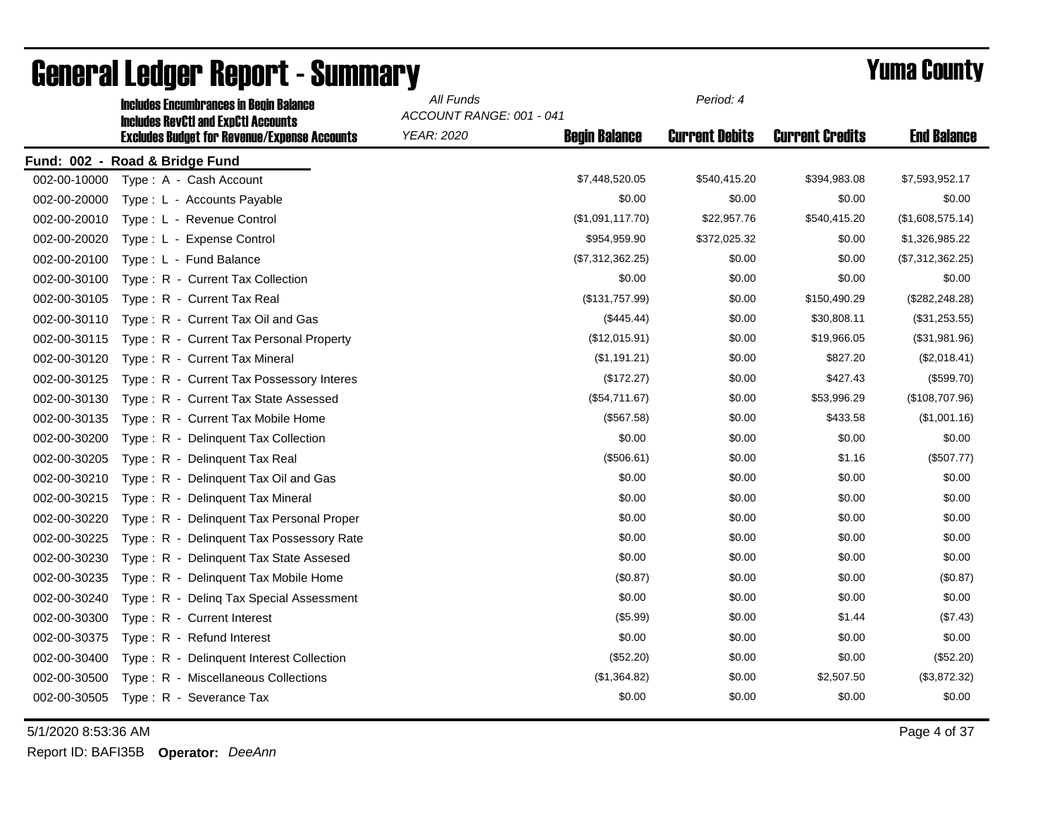|              | <b>Includes Encumbrances in Begin Balance</b><br><b>Includes RevCtI and ExpCtI Accounts</b> | All Funds<br>ACCOUNT RANGE: 001 - 041 | Period: 4            |                       |                        |                    |  |  |
|--------------|---------------------------------------------------------------------------------------------|---------------------------------------|----------------------|-----------------------|------------------------|--------------------|--|--|
|              | <b>Excludes Budget for Revenue/Expense Accounts</b>                                         | <b>YEAR: 2020</b>                     | <b>Begin Balance</b> | <b>Current Debits</b> | <b>Current Credits</b> | <b>End Balance</b> |  |  |
|              | Fund: 002 - Road & Bridge Fund                                                              |                                       |                      |                       |                        |                    |  |  |
| 002-00-10000 | Type: A - Cash Account                                                                      |                                       | \$7,448,520.05       | \$540,415.20          | \$394,983.08           | \$7,593,952.17     |  |  |
| 002-00-20000 | Type: L - Accounts Payable                                                                  |                                       | \$0.00               | \$0.00                | \$0.00                 | \$0.00             |  |  |
| 002-00-20010 | Type: L - Revenue Control                                                                   |                                       | (\$1,091,117.70)     | \$22,957.76           | \$540,415.20           | (\$1,608,575.14)   |  |  |
| 002-00-20020 | Type: L - Expense Control                                                                   |                                       | \$954,959.90         | \$372,025.32          | \$0.00                 | \$1,326,985.22     |  |  |
| 002-00-20100 | Type: L - Fund Balance                                                                      |                                       | (\$7,312,362.25)     | \$0.00                | \$0.00                 | (\$7,312,362.25)   |  |  |
| 002-00-30100 | Type: R - Current Tax Collection                                                            |                                       | \$0.00               | \$0.00                | \$0.00                 | \$0.00             |  |  |
| 002-00-30105 | Type: R - Current Tax Real                                                                  |                                       | (\$131,757.99)       | \$0.00                | \$150,490.29           | (\$282, 248.28)    |  |  |
| 002-00-30110 | Type: R - Current Tax Oil and Gas                                                           |                                       | (\$445.44)           | \$0.00                | \$30,808.11            | (\$31,253.55)      |  |  |
| 002-00-30115 | Type: R - Current Tax Personal Property                                                     |                                       | (\$12,015.91)        | \$0.00                | \$19,966.05            | (\$31,981.96)      |  |  |
| 002-00-30120 | Type: R - Current Tax Mineral                                                               |                                       | (\$1,191.21)         | \$0.00                | \$827.20               | (\$2,018.41)       |  |  |
| 002-00-30125 | Type: R - Current Tax Possessory Interes                                                    |                                       | (\$172.27)           | \$0.00                | \$427.43               | (\$599.70)         |  |  |
| 002-00-30130 | Type: R - Current Tax State Assessed                                                        |                                       | (\$54,711.67)        | \$0.00                | \$53,996.29            | (\$108,707.96)     |  |  |
| 002-00-30135 | Type: R - Current Tax Mobile Home                                                           |                                       | (\$567.58)           | \$0.00                | \$433.58               | (\$1,001.16)       |  |  |
| 002-00-30200 | Type: R - Delinquent Tax Collection                                                         |                                       | \$0.00               | \$0.00                | \$0.00                 | \$0.00             |  |  |
| 002-00-30205 | Type: R - Delinquent Tax Real                                                               |                                       | (\$506.61)           | \$0.00                | \$1.16                 | (\$507.77)         |  |  |
| 002-00-30210 | Type: R - Delinquent Tax Oil and Gas                                                        |                                       | \$0.00               | \$0.00                | \$0.00                 | \$0.00             |  |  |
| 002-00-30215 | Type: R - Delinquent Tax Mineral                                                            |                                       | \$0.00               | \$0.00                | \$0.00                 | \$0.00             |  |  |
| 002-00-30220 | Type: R - Delinquent Tax Personal Proper                                                    |                                       | \$0.00               | \$0.00                | \$0.00                 | \$0.00             |  |  |
| 002-00-30225 | Type: R - Delinquent Tax Possessory Rate                                                    |                                       | \$0.00               | \$0.00                | \$0.00                 | \$0.00             |  |  |
| 002-00-30230 | Type: R - Delinguent Tax State Assesed                                                      |                                       | \$0.00               | \$0.00                | \$0.00                 | \$0.00             |  |  |
| 002-00-30235 | Type: R - Delinquent Tax Mobile Home                                                        |                                       | (\$0.87)             | \$0.00                | \$0.00                 | (\$0.87)           |  |  |
| 002-00-30240 | Type: R - Deling Tax Special Assessment                                                     |                                       | \$0.00               | \$0.00                | \$0.00                 | \$0.00             |  |  |
| 002-00-30300 | Type: R - Current Interest                                                                  |                                       | (\$5.99)             | \$0.00                | \$1.44                 | (\$7.43)           |  |  |
| 002-00-30375 | Type: R - Refund Interest                                                                   |                                       | \$0.00               | \$0.00                | \$0.00                 | \$0.00             |  |  |
| 002-00-30400 | Type: R - Delinquent Interest Collection                                                    |                                       | (\$52.20)            | \$0.00                | \$0.00                 | (\$52.20)          |  |  |
| 002-00-30500 | Type: R - Miscellaneous Collections                                                         |                                       | (\$1,364.82)         | \$0.00                | \$2,507.50             | (\$3,872.32)       |  |  |
| 002-00-30505 | Type: R - Severance Tax                                                                     |                                       | \$0.00               | \$0.00                | \$0.00                 | \$0.00             |  |  |

5/1/2020 8:53:36 AM Page 4 of 37

Report ID: BAFI35B **Operator:** *DeeAnn*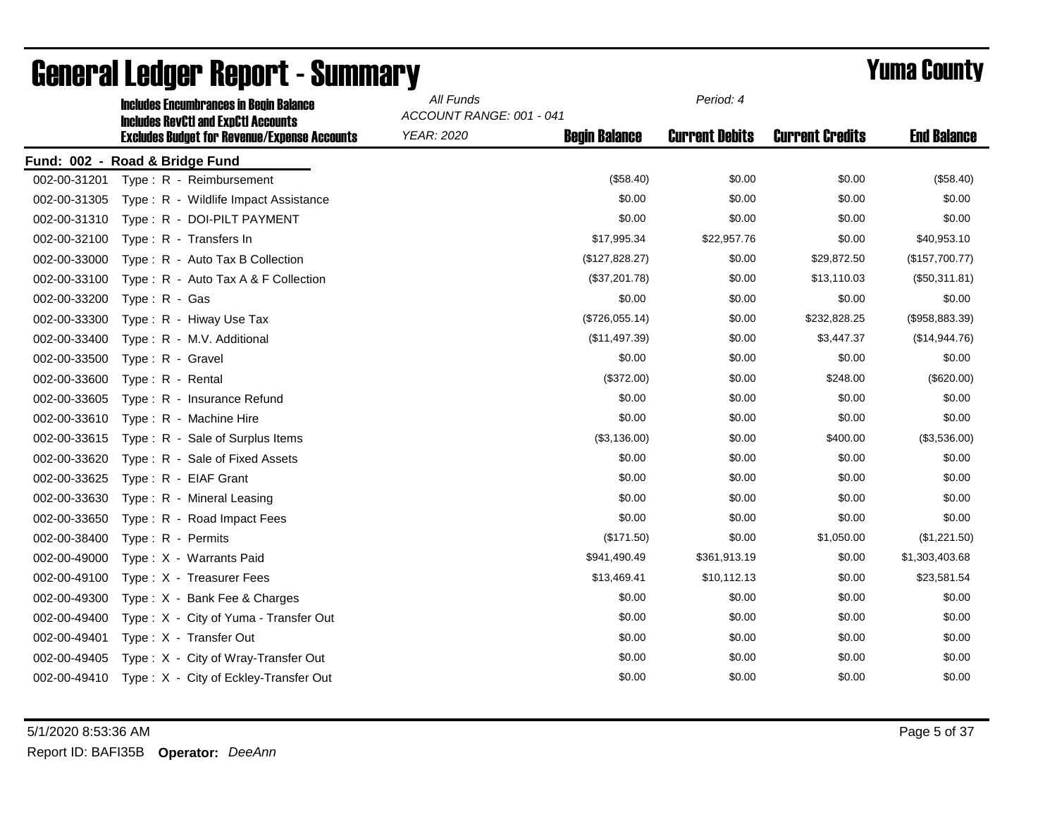|              | <b>Includes Encumbrances in Begin Balance</b><br><b>Includes RevCtI and ExpCtI Accounts</b> | All Funds  | ACCOUNT RANGE: 001 - 041 |                       |                        |                    |
|--------------|---------------------------------------------------------------------------------------------|------------|--------------------------|-----------------------|------------------------|--------------------|
|              | <b>Excludes Budget for Revenue/Expense Accounts</b>                                         | YEAR: 2020 | <b>Begin Balance</b>     | <b>Current Debits</b> | <b>Current Credits</b> | <b>End Balance</b> |
|              | Fund: 002 - Road & Bridge Fund                                                              |            |                          |                       |                        |                    |
| 002-00-31201 | Type: R - Reimbursement                                                                     |            | (\$58.40)                | \$0.00                | \$0.00                 | (\$58.40)          |
| 002-00-31305 | Type: R - Wildlife Impact Assistance                                                        |            | \$0.00                   | \$0.00                | \$0.00                 | \$0.00             |
| 002-00-31310 | Type: R - DOI-PILT PAYMENT                                                                  |            | \$0.00                   | \$0.00                | \$0.00                 | \$0.00             |
| 002-00-32100 | Type: R - Transfers In                                                                      |            | \$17,995.34              | \$22,957.76           | \$0.00                 | \$40,953.10        |
| 002-00-33000 | Type: R - Auto Tax B Collection                                                             |            | (\$127,828.27)           | \$0.00                | \$29,872.50            | (\$157,700.77)     |
| 002-00-33100 | Type: R - Auto Tax A & F Collection                                                         |            | (\$37,201.78)            | \$0.00                | \$13,110.03            | (\$50,311.81)      |
| 002-00-33200 | Type: R - Gas                                                                               |            | \$0.00                   | \$0.00                | \$0.00                 | \$0.00             |
| 002-00-33300 | Type: R - Hiway Use Tax                                                                     |            | (\$726,055.14)           | \$0.00                | \$232,828.25           | (\$958,883.39)     |
| 002-00-33400 | Type: R - M.V. Additional                                                                   |            | (\$11,497.39)            | \$0.00                | \$3,447.37             | (\$14,944.76)      |
| 002-00-33500 | Type: R - Gravel                                                                            |            | \$0.00                   | \$0.00                | \$0.00                 | \$0.00             |
| 002-00-33600 | Type: R - Rental                                                                            |            | (\$372.00)               | \$0.00                | \$248.00               | (\$620.00)         |
| 002-00-33605 | Type: R - Insurance Refund                                                                  |            | \$0.00                   | \$0.00                | \$0.00                 | \$0.00             |
| 002-00-33610 | Type: R - Machine Hire                                                                      |            | \$0.00                   | \$0.00                | \$0.00                 | \$0.00             |
| 002-00-33615 | Type: R - Sale of Surplus Items                                                             |            | (\$3,136.00)             | \$0.00                | \$400.00               | (\$3,536.00)       |
| 002-00-33620 | Type: R - Sale of Fixed Assets                                                              |            | \$0.00                   | \$0.00                | \$0.00                 | \$0.00             |
| 002-00-33625 | Type: R - EIAF Grant                                                                        |            | \$0.00                   | \$0.00                | \$0.00                 | \$0.00             |
| 002-00-33630 | Type: R - Mineral Leasing                                                                   |            | \$0.00                   | \$0.00                | \$0.00                 | \$0.00             |
| 002-00-33650 | Type: R - Road Impact Fees                                                                  |            | \$0.00                   | \$0.00                | \$0.00                 | \$0.00             |
| 002-00-38400 | Type: R - Permits                                                                           |            | (\$171.50)               | \$0.00                | \$1,050.00             | (\$1,221.50)       |
| 002-00-49000 | Type: X - Warrants Paid                                                                     |            | \$941,490.49             | \$361,913.19          | \$0.00                 | \$1,303,403.68     |
| 002-00-49100 | Type: X - Treasurer Fees                                                                    |            | \$13,469.41              | \$10,112.13           | \$0.00                 | \$23,581.54        |
| 002-00-49300 | Type: X - Bank Fee & Charges                                                                |            | \$0.00                   | \$0.00                | \$0.00                 | \$0.00             |
| 002-00-49400 | Type: X - City of Yuma - Transfer Out                                                       |            | \$0.00                   | \$0.00                | \$0.00                 | \$0.00             |
| 002-00-49401 | Type: X - Transfer Out                                                                      |            | \$0.00                   | \$0.00                | \$0.00                 | \$0.00             |
| 002-00-49405 | Type: X - City of Wray-Transfer Out                                                         |            | \$0.00                   | \$0.00                | \$0.00                 | \$0.00             |
| 002-00-49410 | Type: X - City of Eckley-Transfer Out                                                       |            | \$0.00                   | \$0.00                | \$0.00                 | \$0.00             |

5/1/2020 8:53:36 AM Page 5 of 37 Report ID: BAFI35B **Operator:** *DeeAnn*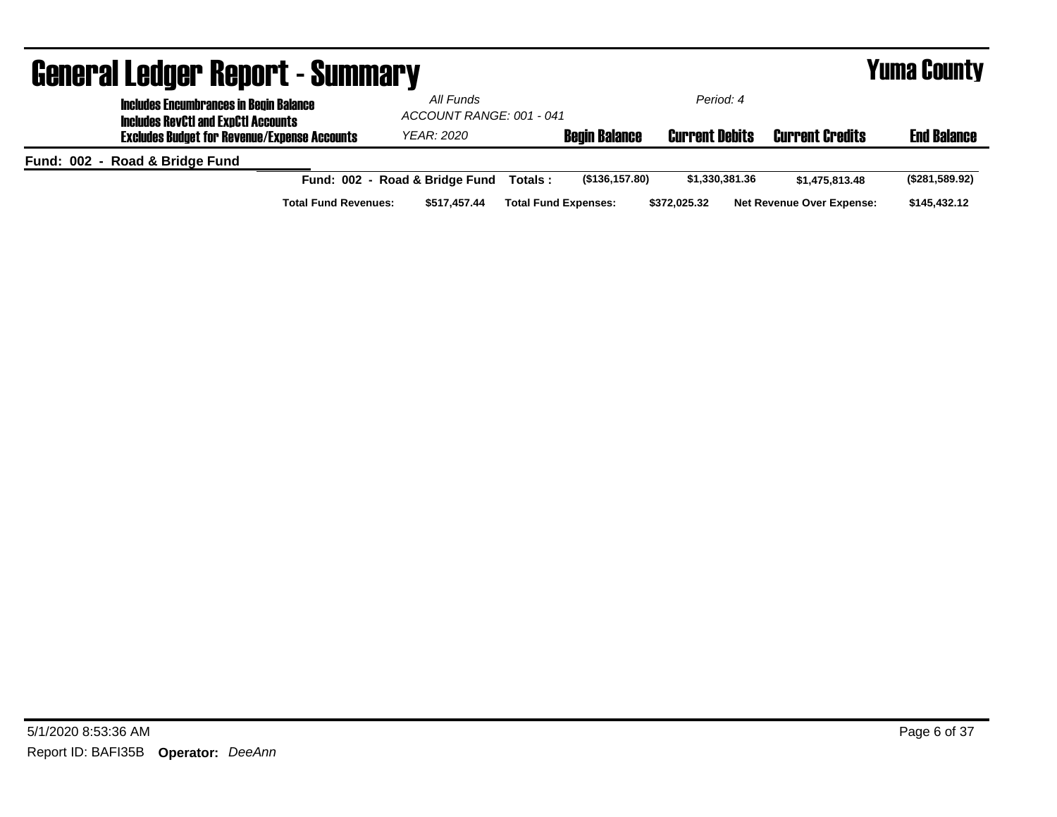| <b>General Ledger Report - Summary</b>                                                      |                                             |                             |                       |                                  | <b>Yuma County</b> |
|---------------------------------------------------------------------------------------------|---------------------------------------------|-----------------------------|-----------------------|----------------------------------|--------------------|
| <b>Includes Encumbrances in Begin Balance</b><br><b>Includes RevCtI and ExpCtI Accounts</b> | All Funds<br>ACCOUNT RANGE: 001 - 041       |                             | Period: 4             |                                  |                    |
| <b>Excludes Budget for Revenue/Expense Accounts</b>                                         | <b>YEAR: 2020</b>                           | <b>Begin Balance</b>        | <b>Current Debits</b> | <b>Current Credits</b>           | <b>End Balance</b> |
| Fund: 002 - Road & Bridge Fund                                                              |                                             |                             |                       |                                  |                    |
|                                                                                             | Fund: 002 - Road & Bridge Fund              | (\$136,157.80)<br>Totals:   | \$1,330,381.36        | \$1,475,813,48                   | (\$281,589.92)     |
|                                                                                             | <b>Total Fund Revenues:</b><br>\$517.457.44 | <b>Total Fund Expenses:</b> | \$372.025.32          | <b>Net Revenue Over Expense:</b> | \$145,432.12       |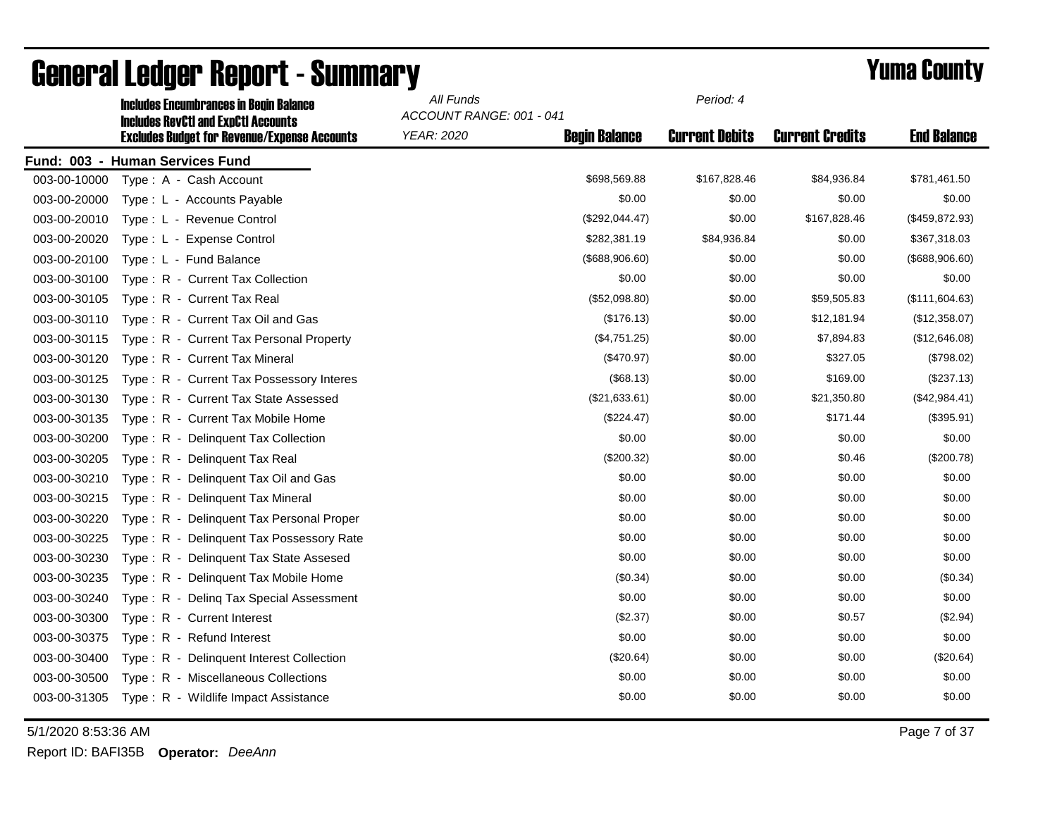|              | <b>Includes Encumbrances in Begin Balance</b><br><b>Includes RevCtI and ExpCtI Accounts</b> | All Funds<br>ACCOUNT RANGE: 001 - 041 |                      | Period: 4             |                        |                    |  |  |
|--------------|---------------------------------------------------------------------------------------------|---------------------------------------|----------------------|-----------------------|------------------------|--------------------|--|--|
|              | <b>Excludes Budget for Revenue/Expense Accounts</b>                                         | <b>YEAR: 2020</b>                     | <b>Begin Balance</b> | <b>Current Debits</b> | <b>Current Credits</b> | <b>End Balance</b> |  |  |
|              | Fund: 003 - Human Services Fund                                                             |                                       |                      |                       |                        |                    |  |  |
| 003-00-10000 | Type: A - Cash Account                                                                      |                                       | \$698,569.88         | \$167,828.46          | \$84,936.84            | \$781,461.50       |  |  |
| 003-00-20000 | Type: L - Accounts Payable                                                                  |                                       | \$0.00               | \$0.00                | \$0.00                 | \$0.00             |  |  |
| 003-00-20010 | Type: L - Revenue Control                                                                   |                                       | (\$292,044.47)       | \$0.00                | \$167,828.46           | (\$459,872.93)     |  |  |
| 003-00-20020 | Type: L - Expense Control                                                                   |                                       | \$282,381.19         | \$84,936.84           | \$0.00                 | \$367,318.03       |  |  |
| 003-00-20100 | Type: L - Fund Balance                                                                      |                                       | (\$688,906.60)       | \$0.00                | \$0.00                 | (\$688,906.60)     |  |  |
| 003-00-30100 | Type: R - Current Tax Collection                                                            |                                       | \$0.00               | \$0.00                | \$0.00                 | \$0.00             |  |  |
| 003-00-30105 | Type: R - Current Tax Real                                                                  |                                       | (\$52,098.80)        | \$0.00                | \$59,505.83            | (\$111,604.63)     |  |  |
| 003-00-30110 | Type: R - Current Tax Oil and Gas                                                           |                                       | (\$176.13)           | \$0.00                | \$12,181.94            | (\$12,358.07)      |  |  |
| 003-00-30115 | Type: R - Current Tax Personal Property                                                     |                                       | (\$4,751.25)         | \$0.00                | \$7,894.83             | (\$12,646.08)      |  |  |
| 003-00-30120 | Type: R - Current Tax Mineral                                                               |                                       | $(\$470.97)$         | \$0.00                | \$327.05               | (\$798.02)         |  |  |
| 003-00-30125 | Type: R - Current Tax Possessory Interes                                                    |                                       | (\$68.13)            | \$0.00                | \$169.00               | (\$237.13)         |  |  |
| 003-00-30130 | Type: R - Current Tax State Assessed                                                        |                                       | (\$21,633.61)        | \$0.00                | \$21,350.80            | (\$42,984.41)      |  |  |
| 003-00-30135 | Type: R - Current Tax Mobile Home                                                           |                                       | (\$224.47)           | \$0.00                | \$171.44               | (\$395.91)         |  |  |
| 003-00-30200 | Type: R - Delinquent Tax Collection                                                         |                                       | \$0.00               | \$0.00                | \$0.00                 | \$0.00             |  |  |
| 003-00-30205 | Type: R - Delinquent Tax Real                                                               |                                       | (\$200.32)           | \$0.00                | \$0.46                 | (\$200.78)         |  |  |
| 003-00-30210 | Type: R - Delinquent Tax Oil and Gas                                                        |                                       | \$0.00               | \$0.00                | \$0.00                 | \$0.00             |  |  |
| 003-00-30215 | Type: R - Delinquent Tax Mineral                                                            |                                       | \$0.00               | \$0.00                | \$0.00                 | \$0.00             |  |  |
| 003-00-30220 | Type: R - Delinguent Tax Personal Proper                                                    |                                       | \$0.00               | \$0.00                | \$0.00                 | \$0.00             |  |  |
| 003-00-30225 | Type: R - Delinquent Tax Possessory Rate                                                    |                                       | \$0.00               | \$0.00                | \$0.00                 | \$0.00             |  |  |
| 003-00-30230 | Type: R - Delinquent Tax State Assesed                                                      |                                       | \$0.00               | \$0.00                | \$0.00                 | \$0.00             |  |  |
| 003-00-30235 | Type: R - Delinquent Tax Mobile Home                                                        |                                       | (\$0.34)             | \$0.00                | \$0.00                 | (\$0.34)           |  |  |
| 003-00-30240 | Type: R - Deling Tax Special Assessment                                                     |                                       | \$0.00               | \$0.00                | \$0.00                 | \$0.00             |  |  |
| 003-00-30300 | Type: R - Current Interest                                                                  |                                       | (\$2.37)             | \$0.00                | \$0.57                 | (\$2.94)           |  |  |
| 003-00-30375 | Type: R - Refund Interest                                                                   |                                       | \$0.00               | \$0.00                | \$0.00                 | \$0.00             |  |  |
| 003-00-30400 | Type: R - Delinquent Interest Collection                                                    |                                       | (\$20.64)            | \$0.00                | \$0.00                 | (\$20.64)          |  |  |
| 003-00-30500 | Type: R - Miscellaneous Collections                                                         |                                       | \$0.00               | \$0.00                | \$0.00                 | \$0.00             |  |  |
| 003-00-31305 | Type: R - Wildlife Impact Assistance                                                        |                                       | \$0.00               | \$0.00                | \$0.00                 | \$0.00             |  |  |

5/1/2020 8:53:36 AM Page 7 of 37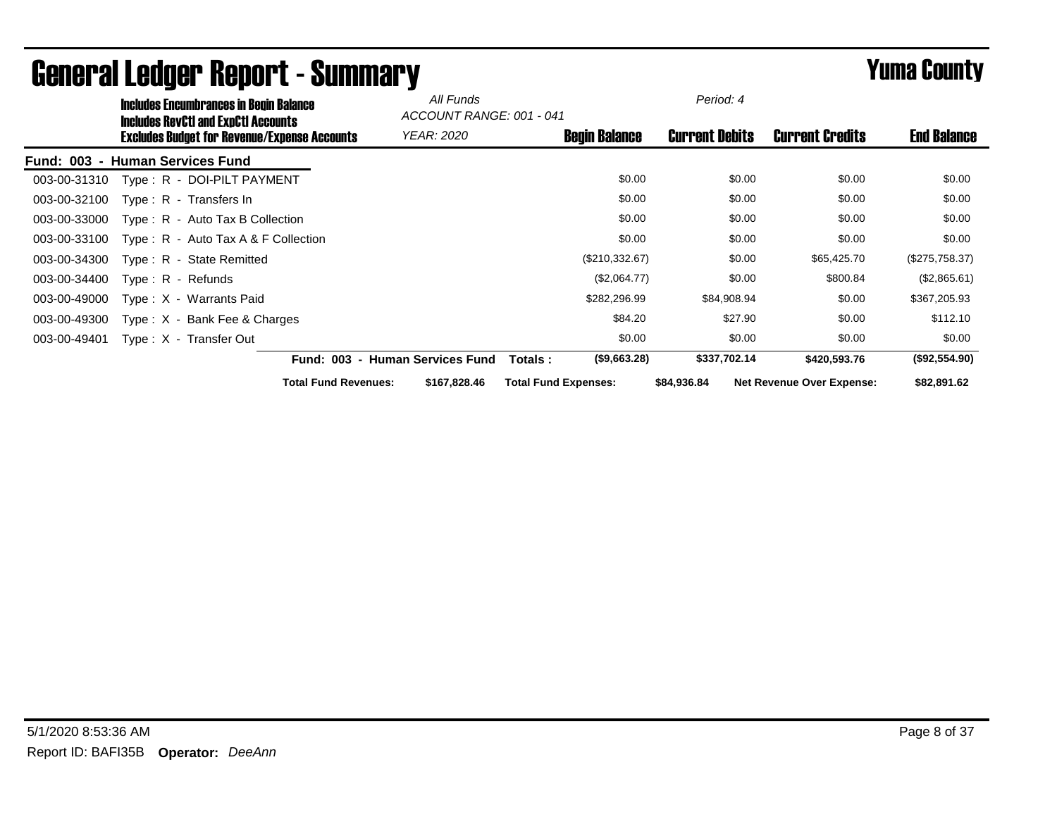| <b>Includes Encumbrances in Begin Balance</b>                                                     | All Funds<br>ACCOUNT RANGE: 001 - 041 |                             | Period: 4             |                                  |                    |
|---------------------------------------------------------------------------------------------------|---------------------------------------|-----------------------------|-----------------------|----------------------------------|--------------------|
| <b>Includes RevCtI and ExpCtI Accounts</b><br><b>Excludes Budget for Revenue/Expense Accounts</b> | YEAR: 2020                            | <b>Begin Balance</b>        | <b>Current Debits</b> | <b>Current Credits</b>           | <b>End Balance</b> |
| - Human Services Fund<br><b>Fund: 003</b>                                                         |                                       |                             |                       |                                  |                    |
| Type: R - DOI-PILT PAYMENT<br>003-00-31310                                                        |                                       | \$0.00                      | \$0.00                | \$0.00                           | \$0.00             |
| 003-00-32100<br>Type: R - Transfers In                                                            |                                       | \$0.00                      | \$0.00                | \$0.00                           | \$0.00             |
| 003-00-33000<br>$Type: R - Auto Tax B Collection$                                                 |                                       | \$0.00                      | \$0.00                | \$0.00                           | \$0.00             |
| Type: $R -$ Auto Tax A & F Collection<br>003-00-33100                                             |                                       | \$0.00                      | \$0.00                | \$0.00                           | \$0.00             |
| Type: R - State Remitted<br>003-00-34300                                                          |                                       | (\$210,332.67)              | \$0.00                | \$65,425.70                      | (\$275,758.37)     |
| 003-00-34400<br>$Type: R - Refunds$                                                               |                                       | (\$2,064.77)                | \$0.00                | \$800.84                         | (\$2,865.61)       |
| Type: X - Warrants Paid<br>003-00-49000                                                           |                                       | \$282,296.99                | \$84,908.94           | \$0.00                           | \$367,205.93       |
| 003-00-49300<br>Type: $X -$ Bank Fee & Charges                                                    |                                       | \$84.20                     | \$27.90               | \$0.00                           | \$112.10           |
| 003-00-49401<br>Type: X - Transfer Out                                                            |                                       | \$0.00                      | \$0.00                | \$0.00                           | \$0.00             |
|                                                                                                   | Fund: 003 - Human Services Fund       | (\$9,663.28)<br>Totals :    | \$337,702.14          | \$420,593.76                     | (\$92,554.90)      |
| <b>Total Fund Revenues:</b>                                                                       | \$167,828.46                          | <b>Total Fund Expenses:</b> | \$84,936.84           | <b>Net Revenue Over Expense:</b> | \$82,891.62        |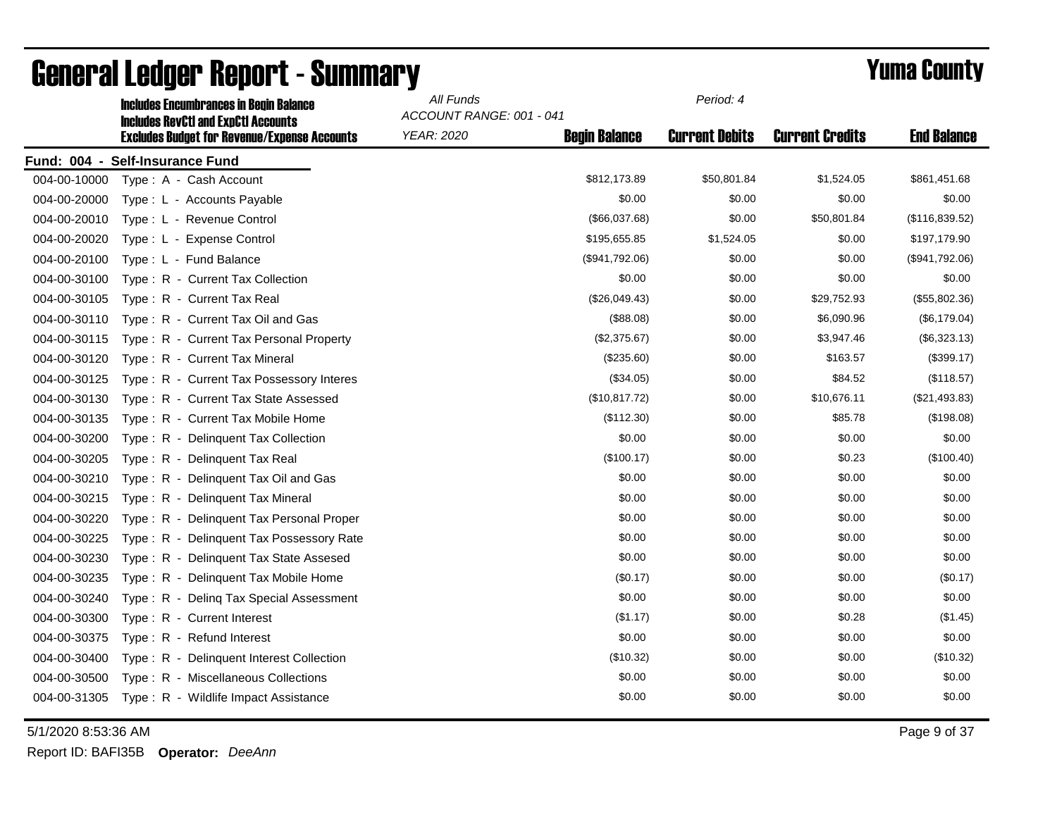|              | <b>Includes Encumbrances in Begin Balance</b><br><b>Includes RevCtI and ExpCtI Accounts</b> | All Funds<br>ACCOUNT RANGE: 001 - 041 | Period: 4            |                       |                        |                    |
|--------------|---------------------------------------------------------------------------------------------|---------------------------------------|----------------------|-----------------------|------------------------|--------------------|
|              | <b>Excludes Budget for Revenue/Expense Accounts</b>                                         | <b>YEAR: 2020</b>                     | <b>Begin Balance</b> | <b>Current Debits</b> | <b>Current Credits</b> | <b>End Balance</b> |
|              | Fund: 004 - Self-Insurance Fund                                                             |                                       |                      |                       |                        |                    |
| 004-00-10000 | Type: A - Cash Account                                                                      |                                       | \$812,173.89         | \$50,801.84           | \$1,524.05             | \$861,451.68       |
| 004-00-20000 | Type: L - Accounts Payable                                                                  |                                       | \$0.00               | \$0.00                | \$0.00                 | \$0.00             |
| 004-00-20010 | Type: L - Revenue Control                                                                   |                                       | (\$66,037.68)        | \$0.00                | \$50,801.84            | (\$116,839.52)     |
| 004-00-20020 | Type: L - Expense Control                                                                   |                                       | \$195,655.85         | \$1,524.05            | \$0.00                 | \$197,179.90       |
| 004-00-20100 | Type: L - Fund Balance                                                                      |                                       | (\$941,792.06)       | \$0.00                | \$0.00                 | (\$941,792.06)     |
| 004-00-30100 | Type: R - Current Tax Collection                                                            |                                       | \$0.00               | \$0.00                | \$0.00                 | \$0.00             |
| 004-00-30105 | Type: R - Current Tax Real                                                                  |                                       | (\$26,049.43)        | \$0.00                | \$29,752.93            | (\$55,802.36)      |
| 004-00-30110 | Type: R - Current Tax Oil and Gas                                                           |                                       | (\$88.08)            | \$0.00                | \$6,090.96             | (\$6,179.04)       |
| 004-00-30115 | Type: R - Current Tax Personal Property                                                     |                                       | (\$2,375.67)         | \$0.00                | \$3,947.46             | (\$6,323.13)       |
| 004-00-30120 | Type: R - Current Tax Mineral                                                               |                                       | (\$235.60)           | \$0.00                | \$163.57               | (\$399.17)         |
| 004-00-30125 | Type: R - Current Tax Possessory Interes                                                    |                                       | (\$34.05)            | \$0.00                | \$84.52                | (\$118.57)         |
| 004-00-30130 | Type: R - Current Tax State Assessed                                                        |                                       | (\$10,817.72)        | \$0.00                | \$10,676.11            | (\$21,493.83)      |
| 004-00-30135 | Type: R - Current Tax Mobile Home                                                           |                                       | (\$112.30)           | \$0.00                | \$85.78                | (\$198.08)         |
| 004-00-30200 | Type: R - Delinquent Tax Collection                                                         |                                       | \$0.00               | \$0.00                | \$0.00                 | \$0.00             |
| 004-00-30205 | Type: R - Delinquent Tax Real                                                               |                                       | (\$100.17)           | \$0.00                | \$0.23                 | (\$100.40)         |
| 004-00-30210 | Type: R - Delinquent Tax Oil and Gas                                                        |                                       | \$0.00               | \$0.00                | \$0.00                 | \$0.00             |
| 004-00-30215 | Type: R - Delinquent Tax Mineral                                                            |                                       | \$0.00               | \$0.00                | \$0.00                 | \$0.00             |
| 004-00-30220 | Type: R - Delinquent Tax Personal Proper                                                    |                                       | \$0.00               | \$0.00                | \$0.00                 | \$0.00             |
| 004-00-30225 | Type: R - Delinguent Tax Possessory Rate                                                    |                                       | \$0.00               | \$0.00                | \$0.00                 | \$0.00             |
| 004-00-30230 | Type: R - Delinquent Tax State Assesed                                                      |                                       | \$0.00               | \$0.00                | \$0.00                 | \$0.00             |
| 004-00-30235 | Type: R - Delinguent Tax Mobile Home                                                        |                                       | (\$0.17)             | \$0.00                | \$0.00                 | (\$0.17)           |
| 004-00-30240 | Type: R - Deling Tax Special Assessment                                                     |                                       | \$0.00               | \$0.00                | \$0.00                 | \$0.00             |
| 004-00-30300 | Type: R - Current Interest                                                                  |                                       | (\$1.17)             | \$0.00                | \$0.28                 | (\$1.45)           |
| 004-00-30375 | Type: R - Refund Interest                                                                   |                                       | \$0.00               | \$0.00                | \$0.00                 | \$0.00             |
| 004-00-30400 | Type: R - Delinquent Interest Collection                                                    |                                       | (\$10.32)            | \$0.00                | \$0.00                 | (\$10.32)          |
| 004-00-30500 | Type: R - Miscellaneous Collections                                                         |                                       | \$0.00               | \$0.00                | \$0.00                 | \$0.00             |
| 004-00-31305 | Type: R - Wildlife Impact Assistance                                                        |                                       | \$0.00               | \$0.00                | \$0.00                 | \$0.00             |

5/1/2020 8:53:36 AM Page 9 of 37

Report ID: BAFI35B **Operator:** *DeeAnn*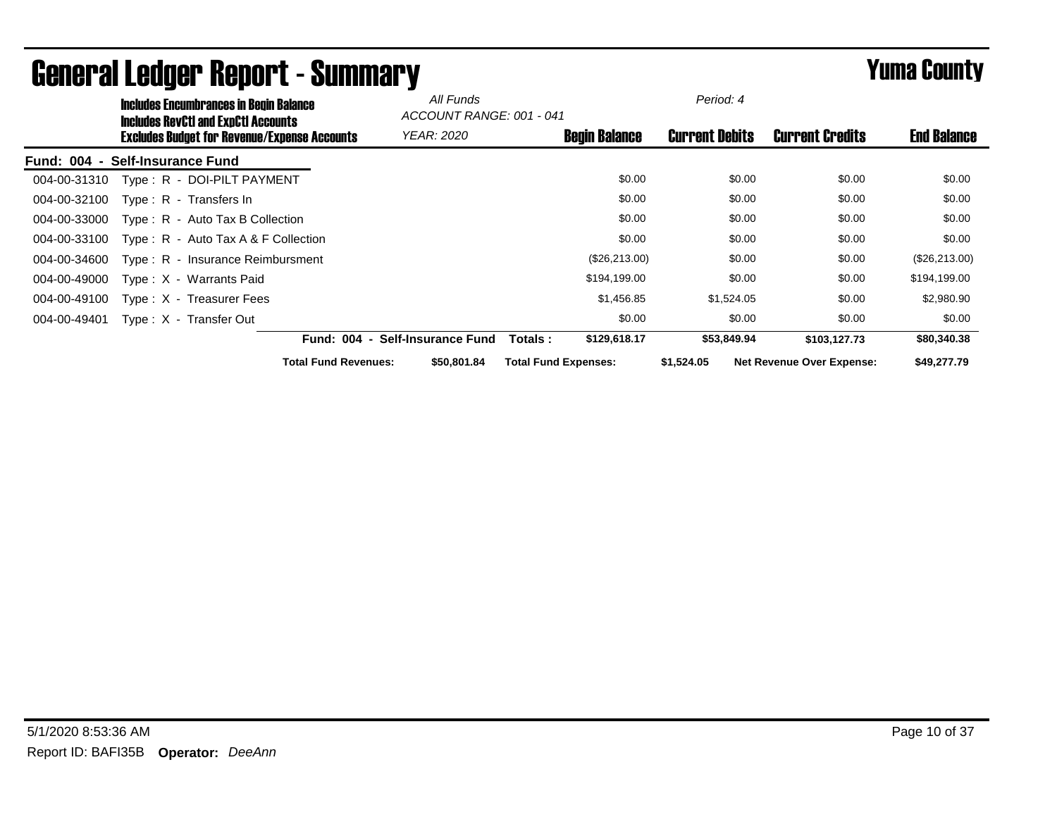|              | <b>Includes Encumbrances in Begin Balance</b><br><b>Includes RevCtI and ExpCtI Accounts</b> |                             | All Funds<br>ACCOUNT RANGE: 001 - 041 |                             | Period: 4             |                                  |                    |
|--------------|---------------------------------------------------------------------------------------------|-----------------------------|---------------------------------------|-----------------------------|-----------------------|----------------------------------|--------------------|
|              | Excludes Budget for Revenue/Expense Accounts                                                |                             | <b>YEAR: 2020</b>                     | <b>Begin Balance</b>        | <b>Current Debits</b> | <b>Current Credits</b>           | <b>End Balance</b> |
|              | Fund: 004 - Self-Insurance Fund                                                             |                             |                                       |                             |                       |                                  |                    |
| 004-00-31310 | Type: R - DOI-PILT PAYMENT                                                                  |                             |                                       | \$0.00                      | \$0.00                | \$0.00                           | \$0.00             |
| 004-00-32100 | Type: R - Transfers In                                                                      |                             |                                       | \$0.00                      | \$0.00                | \$0.00                           | \$0.00             |
| 004-00-33000 | $Type: R - Auto Tax B Collection$                                                           |                             |                                       | \$0.00                      | \$0.00                | \$0.00                           | \$0.00             |
| 004-00-33100 | Type: $R -$ Auto Tax A & F Collection                                                       |                             |                                       | \$0.00                      | \$0.00                | \$0.00                           | \$0.00             |
| 004-00-34600 | Type: R - Insurance Reimbursment                                                            |                             |                                       | (\$26,213.00)               | \$0.00                | \$0.00                           | (\$26,213.00)      |
| 004-00-49000 | Type: X - Warrants Paid                                                                     |                             |                                       | \$194,199.00                | \$0.00                | \$0.00                           | \$194,199.00       |
| 004-00-49100 | Type: X - Treasurer Fees                                                                    |                             |                                       | \$1,456.85                  | \$1,524.05            | \$0.00                           | \$2,980.90         |
| 004-00-49401 | Type: X - Transfer Out                                                                      |                             |                                       | \$0.00                      | \$0.00                | \$0.00                           | \$0.00             |
|              |                                                                                             | <b>Fund: 004 -</b>          | <b>Self-Insurance Fund</b>            | \$129,618.17<br>Totals:     | \$53,849.94           | \$103,127.73                     | \$80,340.38        |
|              |                                                                                             | <b>Total Fund Revenues:</b> | \$50,801.84                           | <b>Total Fund Expenses:</b> | \$1,524.05            | <b>Net Revenue Over Expense:</b> | \$49,277.79        |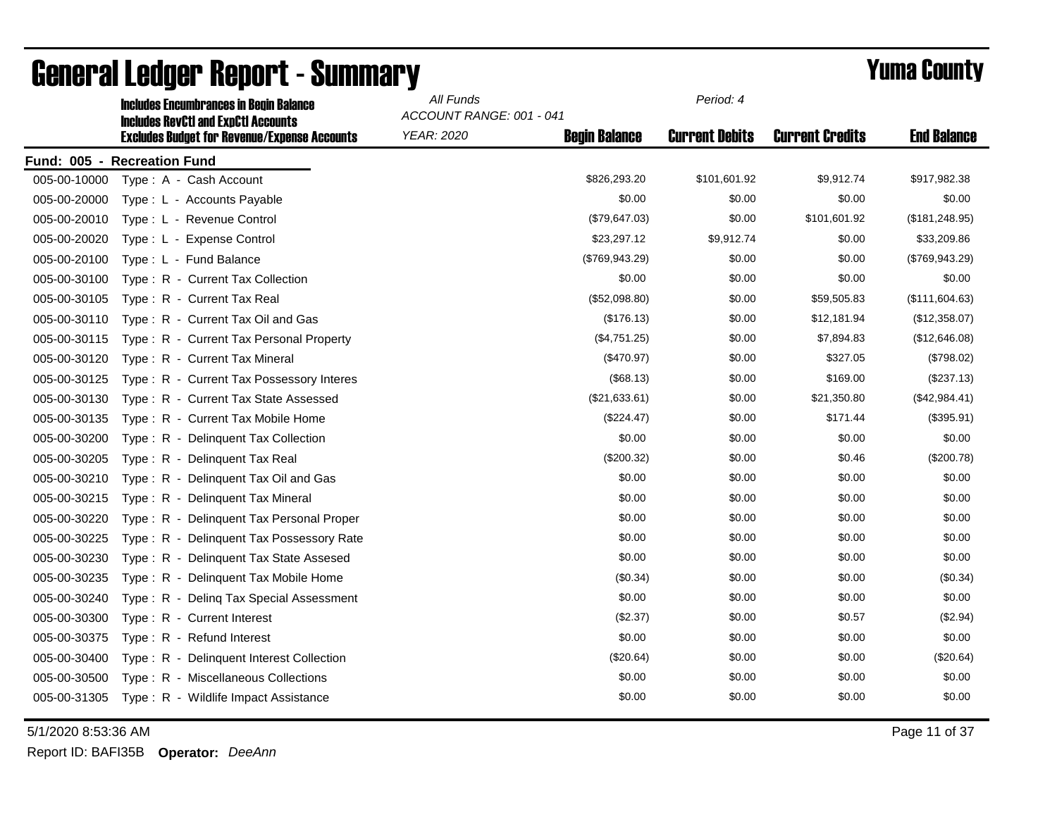|              | <b>Includes Encumbrances in Begin Balance</b><br><b>Includes RevCtI and ExpCtI Accounts</b> | All Funds<br>ACCOUNT RANGE: 001 - 041 | Period: 4            |                       |                        |                    |  |  |
|--------------|---------------------------------------------------------------------------------------------|---------------------------------------|----------------------|-----------------------|------------------------|--------------------|--|--|
|              | <b>Excludes Budget for Revenue/Expense Accounts</b>                                         | <b>YEAR: 2020</b>                     | <b>Begin Balance</b> | <b>Current Debits</b> | <b>Current Credits</b> | <b>End Balance</b> |  |  |
|              | Fund: 005 - Recreation Fund                                                                 |                                       |                      |                       |                        |                    |  |  |
| 005-00-10000 | Type: A - Cash Account                                                                      |                                       | \$826,293.20         | \$101,601.92          | \$9,912.74             | \$917,982.38       |  |  |
| 005-00-20000 | Type: L - Accounts Payable                                                                  |                                       | \$0.00               | \$0.00                | \$0.00                 | \$0.00             |  |  |
| 005-00-20010 | Type: L - Revenue Control                                                                   |                                       | (\$79,647.03)        | \$0.00                | \$101,601.92           | (\$181, 248.95)    |  |  |
| 005-00-20020 | Type: L - Expense Control                                                                   |                                       | \$23,297.12          | \$9,912.74            | \$0.00                 | \$33,209.86        |  |  |
| 005-00-20100 | Type: L - Fund Balance                                                                      |                                       | (\$769, 943.29)      | \$0.00                | \$0.00                 | (\$769,943.29)     |  |  |
| 005-00-30100 | Type: R - Current Tax Collection                                                            |                                       | \$0.00               | \$0.00                | \$0.00                 | \$0.00             |  |  |
| 005-00-30105 | Type: R - Current Tax Real                                                                  |                                       | (\$52,098.80)        | \$0.00                | \$59,505.83            | (\$111,604.63)     |  |  |
| 005-00-30110 | Type: R - Current Tax Oil and Gas                                                           |                                       | (\$176.13)           | \$0.00                | \$12,181.94            | (\$12,358.07)      |  |  |
| 005-00-30115 | Type: R - Current Tax Personal Property                                                     |                                       | (\$4,751.25)         | \$0.00                | \$7,894.83             | (\$12,646.08)      |  |  |
| 005-00-30120 | Type: R - Current Tax Mineral                                                               |                                       | $(\$470.97)$         | \$0.00                | \$327.05               | (\$798.02)         |  |  |
| 005-00-30125 | Type: R - Current Tax Possessory Interes                                                    |                                       | (\$68.13)            | \$0.00                | \$169.00               | (\$237.13)         |  |  |
| 005-00-30130 | Type: R - Current Tax State Assessed                                                        |                                       | (\$21,633.61)        | \$0.00                | \$21,350.80            | (\$42,984.41)      |  |  |
| 005-00-30135 | Type: R - Current Tax Mobile Home                                                           |                                       | (\$224.47)           | \$0.00                | \$171.44               | (\$395.91)         |  |  |
| 005-00-30200 | Type: R - Delinquent Tax Collection                                                         |                                       | \$0.00               | \$0.00                | \$0.00                 | \$0.00             |  |  |
| 005-00-30205 | Type: R - Delinquent Tax Real                                                               |                                       | (\$200.32)           | \$0.00                | \$0.46                 | (\$200.78)         |  |  |
| 005-00-30210 | Type: R - Delinquent Tax Oil and Gas                                                        |                                       | \$0.00               | \$0.00                | \$0.00                 | \$0.00             |  |  |
| 005-00-30215 | Type: R - Delinquent Tax Mineral                                                            |                                       | \$0.00               | \$0.00                | \$0.00                 | \$0.00             |  |  |
| 005-00-30220 | Type: R - Delinguent Tax Personal Proper                                                    |                                       | \$0.00               | \$0.00                | \$0.00                 | \$0.00             |  |  |
| 005-00-30225 | Type: R - Delinquent Tax Possessory Rate                                                    |                                       | \$0.00               | \$0.00                | \$0.00                 | \$0.00             |  |  |
| 005-00-30230 | Type: R - Delinquent Tax State Assesed                                                      |                                       | \$0.00               | \$0.00                | \$0.00                 | \$0.00             |  |  |
| 005-00-30235 | Type: R - Delinquent Tax Mobile Home                                                        |                                       | (\$0.34)             | \$0.00                | \$0.00                 | (\$0.34)           |  |  |
| 005-00-30240 | Type: R - Deling Tax Special Assessment                                                     |                                       | \$0.00               | \$0.00                | \$0.00                 | \$0.00             |  |  |
| 005-00-30300 | Type: R - Current Interest                                                                  |                                       | (\$2.37)             | \$0.00                | \$0.57                 | (\$2.94)           |  |  |
| 005-00-30375 | Type: R - Refund Interest                                                                   |                                       | \$0.00               | \$0.00                | \$0.00                 | \$0.00             |  |  |
| 005-00-30400 | Type: R - Delinquent Interest Collection                                                    |                                       | (\$20.64)            | \$0.00                | \$0.00                 | (\$20.64)          |  |  |
| 005-00-30500 | Type: R - Miscellaneous Collections                                                         |                                       | \$0.00               | \$0.00                | \$0.00                 | \$0.00             |  |  |
| 005-00-31305 | Type: R - Wildlife Impact Assistance                                                        |                                       | \$0.00               | \$0.00                | \$0.00                 | \$0.00             |  |  |

5/1/2020 8:53:36 AM Page 11 of 37

Report ID: BAFI35B **Operator:** *DeeAnn*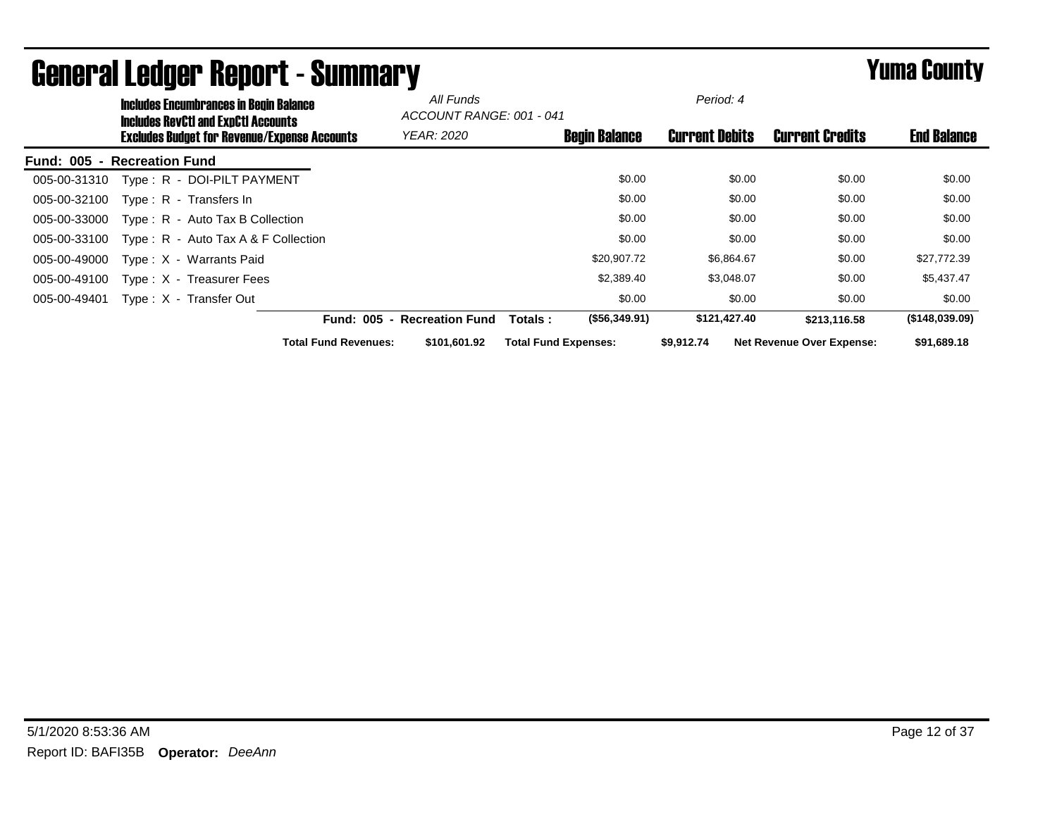|                             | <b>Includes Encumbrances in Begin Balance</b><br><b>Includes RevCtI and ExpCtI Accounts</b> |                                              | All Funds<br>ACCOUNT RANGE: 001 - 041 |                        |                             | Period: 4            |                       |                                  |                    |
|-----------------------------|---------------------------------------------------------------------------------------------|----------------------------------------------|---------------------------------------|------------------------|-----------------------------|----------------------|-----------------------|----------------------------------|--------------------|
|                             |                                                                                             | Excludes Budget for Revenue/Expense Accounts |                                       | <b>YEAR: 2020</b>      |                             | <b>Begin Balance</b> | <b>Current Debits</b> | <b>Current Credits</b>           | <b>End Balance</b> |
| Fund: 005 - Recreation Fund |                                                                                             |                                              |                                       |                        |                             |                      |                       |                                  |                    |
| 005-00-31310                |                                                                                             | Type: R - DOI-PILT PAYMENT                   |                                       |                        |                             | \$0.00               | \$0.00                | \$0.00                           | \$0.00             |
| 005-00-32100                |                                                                                             | Type: R - Transfers In                       |                                       |                        |                             | \$0.00               | \$0.00                | \$0.00                           | \$0.00             |
| 005-00-33000                |                                                                                             | Type: R - Auto Tax B Collection              |                                       |                        |                             | \$0.00               | \$0.00                | \$0.00                           | \$0.00             |
| 005-00-33100                |                                                                                             | Type: $R -$ Auto Tax A & F Collection        |                                       |                        |                             | \$0.00               | \$0.00                | \$0.00                           | \$0.00             |
| 005-00-49000                |                                                                                             | Type: X - Warrants Paid                      |                                       |                        |                             | \$20,907.72          | \$6,864.67            | \$0.00                           | \$27,772.39        |
| 005-00-49100                |                                                                                             | Type: X - Treasurer Fees                     |                                       |                        |                             | \$2,389.40           | \$3,048.07            | \$0.00                           | \$5,437.47         |
| 005-00-49401                |                                                                                             | Type: X - Transfer Out                       |                                       |                        |                             | \$0.00               | \$0.00                | \$0.00                           | \$0.00             |
|                             |                                                                                             |                                              | <b>Fund: 005</b><br>$\blacksquare$    | <b>Recreation Fund</b> | Totals :                    | (\$56,349.91)        | \$121,427.40          | \$213.116.58                     | (\$148,039.09)     |
|                             |                                                                                             |                                              | <b>Total Fund Revenues:</b>           | \$101.601.92           | <b>Total Fund Expenses:</b> |                      | \$9.912.74            | <b>Net Revenue Over Expense:</b> | \$91,689,18        |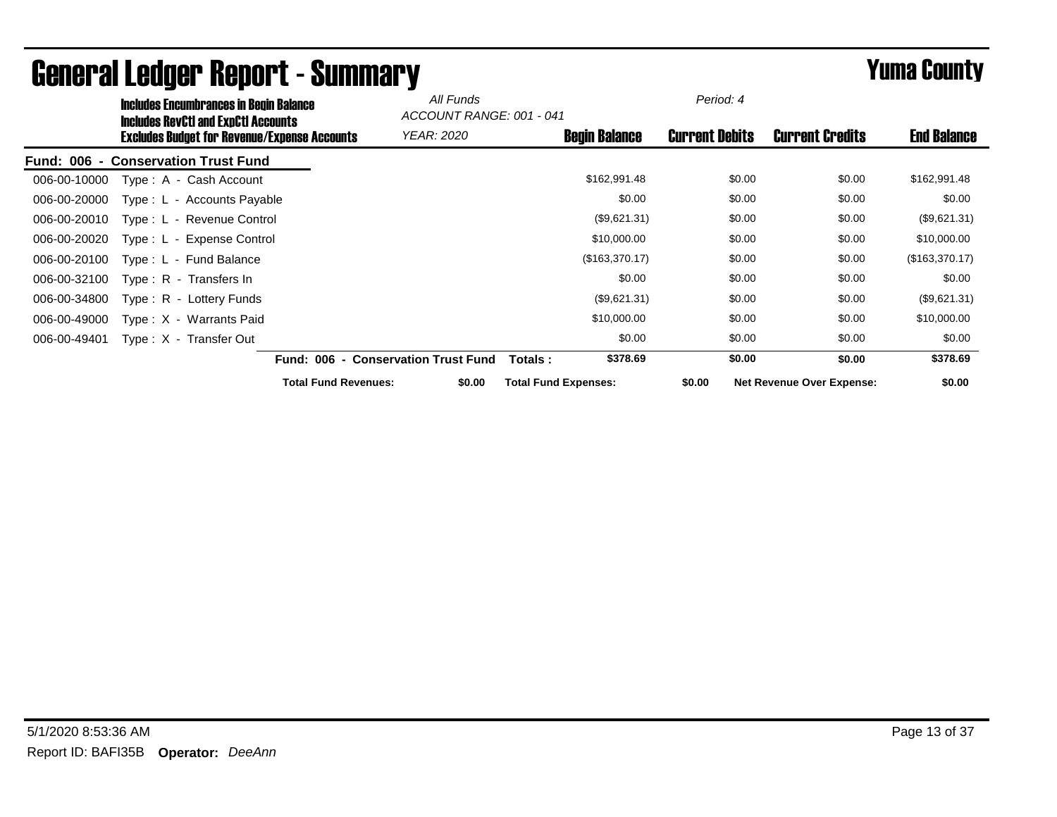|              | <b>Includes Encumbrances in Begin Balance</b>                                                     |                                     | All Funds<br>ACCOUNT RANGE: 001 - 041 |                             | Period: 4             |                                  |                    |
|--------------|---------------------------------------------------------------------------------------------------|-------------------------------------|---------------------------------------|-----------------------------|-----------------------|----------------------------------|--------------------|
|              | <b>Includes RevCtI and ExpCtI Accounts</b><br><b>Excludes Budget for Revenue/Expense Accounts</b> |                                     | <b>YEAR: 2020</b>                     | <b>Begin Balance</b>        | <b>Current Debits</b> | <b>Current Credits</b>           | <b>End Balance</b> |
|              | <b>Fund: 006 - Conservation Trust Fund</b>                                                        |                                     |                                       |                             |                       |                                  |                    |
| 006-00-10000 | Type: A - Cash Account                                                                            |                                     |                                       | \$162,991.48                | \$0.00                | \$0.00                           | \$162,991.48       |
| 006-00-20000 | Type: L - Accounts Payable                                                                        |                                     |                                       | \$0.00                      | \$0.00                | \$0.00                           | \$0.00             |
| 006-00-20010 | Type: L - Revenue Control                                                                         |                                     |                                       | (\$9,621.31)                | \$0.00                | \$0.00                           | (\$9,621.31)       |
| 006-00-20020 | Type: L - Expense Control                                                                         |                                     |                                       | \$10,000.00                 | \$0.00                | \$0.00                           | \$10,000.00        |
| 006-00-20100 | Type: L - Fund Balance                                                                            |                                     |                                       | (\$163,370.17)              | \$0.00                | \$0.00                           | (\$163,370.17)     |
| 006-00-32100 | Type: R - Transfers In                                                                            |                                     |                                       | \$0.00                      | \$0.00                | \$0.00                           | \$0.00             |
| 006-00-34800 | Type: R - Lottery Funds                                                                           |                                     |                                       | (\$9,621.31)                | \$0.00                | \$0.00                           | (\$9,621.31)       |
| 006-00-49000 | Type: X - Warrants Paid                                                                           |                                     |                                       | \$10,000.00                 | \$0.00                | \$0.00                           | \$10,000.00        |
| 006-00-49401 | Type: X - Transfer Out                                                                            |                                     |                                       | \$0.00                      | \$0.00                | \$0.00                           | \$0.00             |
|              |                                                                                                   | Fund: 006 - Conservation Trust Fund |                                       | \$378.69<br>Totals :        | \$0.00                | \$0.00                           | \$378.69           |
|              |                                                                                                   | <b>Total Fund Revenues:</b>         | \$0.00                                | <b>Total Fund Expenses:</b> | \$0.00                | <b>Net Revenue Over Expense:</b> | \$0.00             |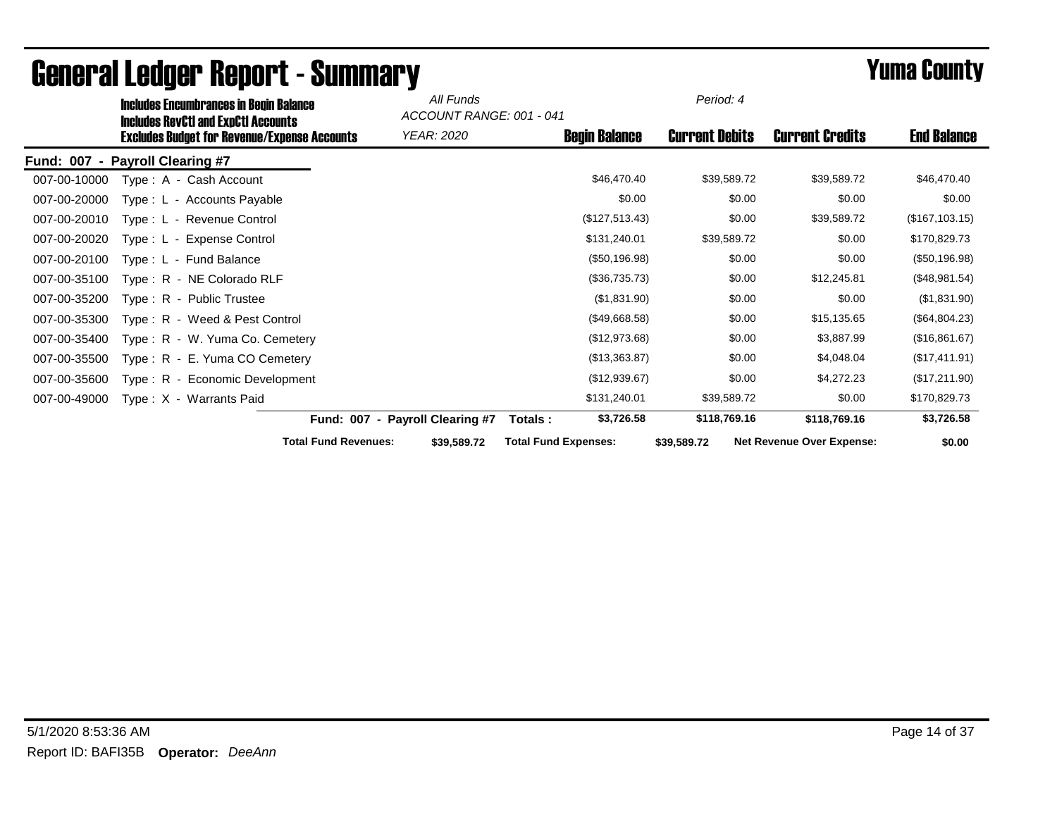|                                    | <b>Includes Encumbrances in Begin Balance</b><br><b>Includes RevCtI and ExpCtI Accounts</b> |                             | All Funds<br>ACCOUNT RANGE: 001 - 041 |                             |                | Period: 4             |                                  |                    |
|------------------------------------|---------------------------------------------------------------------------------------------|-----------------------------|---------------------------------------|-----------------------------|----------------|-----------------------|----------------------------------|--------------------|
|                                    | <b>Excludes Budget for Revenue/Expense Accounts</b>                                         |                             | YEAR: 2020                            | <b>Begin Balance</b>        |                | <b>Current Debits</b> | <b>Current Credits</b>           | <b>End Balance</b> |
| <b>Fund: 007</b><br>$\blacksquare$ | <b>Payroll Clearing #7</b>                                                                  |                             |                                       |                             |                |                       |                                  |                    |
| 007-00-10000                       | Type: A - Cash Account                                                                      |                             |                                       |                             | \$46,470.40    | \$39,589.72           | \$39,589.72                      | \$46,470.40        |
| 007-00-20000                       | Type: L - Accounts Payable                                                                  |                             |                                       |                             | \$0.00         | \$0.00                | \$0.00                           | \$0.00             |
| 007-00-20010                       | Type: L - Revenue Control                                                                   |                             |                                       |                             | (\$127,513.43) | \$0.00                | \$39,589.72                      | (\$167, 103.15)    |
| 007-00-20020                       | Type: L - Expense Control                                                                   |                             |                                       |                             | \$131,240.01   | \$39,589.72           | \$0.00                           | \$170,829.73       |
| 007-00-20100                       | Type: L - Fund Balance                                                                      |                             |                                       |                             | (\$50,196.98)  | \$0.00                | \$0.00                           | (\$50,196.98)      |
| 007-00-35100                       | Type: R - NE Colorado RLF                                                                   |                             |                                       |                             | (\$36,735.73)  | \$0.00                | \$12,245.81                      | (\$48,981.54)      |
| 007-00-35200                       | Type: R - Public Trustee                                                                    |                             |                                       |                             | (\$1,831.90)   | \$0.00                | \$0.00                           | (\$1,831.90)       |
| 007-00-35300                       | Type: R - Weed & Pest Control                                                               |                             |                                       |                             | (\$49,668.58)  | \$0.00                | \$15,135.65                      | (\$64,804.23)      |
| 007-00-35400                       | Type: R - W. Yuma Co. Cemetery                                                              |                             |                                       |                             | (\$12,973.68)  | \$0.00                | \$3,887.99                       | (\$16,861.67)      |
| 007-00-35500                       | Type: R - E. Yuma CO Cemetery                                                               |                             |                                       |                             | (\$13,363.87)  | \$0.00                | \$4,048.04                       | (\$17,411.91)      |
| 007-00-35600                       | Type: R - Economic Development                                                              |                             |                                       |                             | (\$12,939.67)  | \$0.00                | \$4,272.23                       | (\$17,211.90)      |
| 007-00-49000                       | Type: X - Warrants Paid                                                                     |                             |                                       |                             | \$131,240.01   | \$39,589.72           | \$0.00                           | \$170,829.73       |
|                                    |                                                                                             | <b>Fund: 007</b><br>$\sim$  | <b>Payroll Clearing #7</b>            | Totals:                     | \$3,726.58     | \$118,769.16          | \$118,769.16                     | \$3,726.58         |
|                                    |                                                                                             | <b>Total Fund Revenues:</b> | \$39,589.72                           | <b>Total Fund Expenses:</b> |                | \$39,589.72           | <b>Net Revenue Over Expense:</b> | \$0.00             |

## General Ledger Report - Summary **Example 2008** Series 2008 Numa County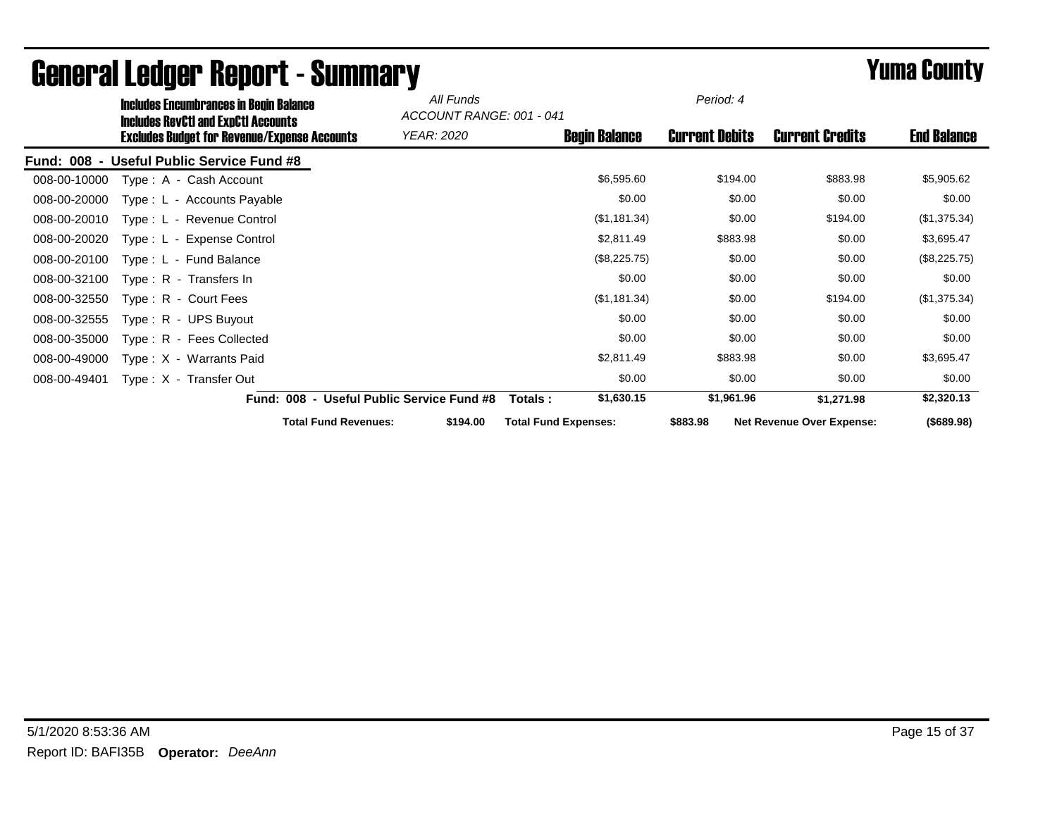|              | <b>Includes Encumbrances in Begin Balance</b>                                              |                                           | All Funds  | ACCOUNT RANGE: 001 - 041    |              | Period: 4             |                                  |                    |
|--------------|--------------------------------------------------------------------------------------------|-------------------------------------------|------------|-----------------------------|--------------|-----------------------|----------------------------------|--------------------|
|              | Includes RevCtI and ExpCtI Accounts<br><b>Excludes Budget for Revenue/Expense Accounts</b> |                                           | YEAR: 2020 | <b>Begin Balance</b>        |              | <b>Current Debits</b> | <b>Current Credits</b>           | <b>End Balance</b> |
| Fund: 008 -  | <b>Useful Public Service Fund #8</b>                                                       |                                           |            |                             |              |                       |                                  |                    |
| 008-00-10000 | Type: A - Cash Account                                                                     |                                           |            |                             | \$6,595.60   | \$194.00              | \$883.98                         | \$5,905.62         |
| 008-00-20000 | Type : L - Accounts Payable                                                                |                                           |            |                             | \$0.00       | \$0.00                | \$0.00                           | \$0.00             |
| 008-00-20010 | Type: L - Revenue Control                                                                  |                                           |            |                             | (\$1,181.34) | \$0.00                | \$194.00                         | (\$1,375.34)       |
| 008-00-20020 | Type: L - Expense Control                                                                  |                                           |            |                             | \$2,811.49   | \$883.98              | \$0.00                           | \$3,695.47         |
| 008-00-20100 | Type: L - Fund Balance                                                                     |                                           |            |                             | (\$8,225.75) | \$0.00                | \$0.00                           | (\$8,225.75)       |
| 008-00-32100 | Type: R - Transfers In                                                                     |                                           |            |                             | \$0.00       | \$0.00                | \$0.00                           | \$0.00             |
| 008-00-32550 | Type: R - Court Fees                                                                       |                                           |            |                             | (\$1,181.34) | \$0.00                | \$194.00                         | (\$1,375.34)       |
| 008-00-32555 | Type: R - UPS Buyout                                                                       |                                           |            |                             | \$0.00       | \$0.00                | \$0.00                           | \$0.00             |
| 008-00-35000 | Type: R - Fees Collected                                                                   |                                           |            |                             | \$0.00       | \$0.00                | \$0.00                           | \$0.00             |
| 008-00-49000 | Type: X - Warrants Paid                                                                    |                                           |            |                             | \$2,811.49   | \$883.98              | \$0.00                           | \$3,695.47         |
| 008-00-49401 | Type: X - Transfer Out                                                                     |                                           |            |                             | \$0.00       | \$0.00                | \$0.00                           | \$0.00             |
|              |                                                                                            | Fund: 008 - Useful Public Service Fund #8 |            | Totals :                    | \$1,630.15   | \$1,961.96            | \$1,271.98                       | \$2,320.13         |
|              |                                                                                            | <b>Total Fund Revenues:</b>               | \$194.00   | <b>Total Fund Expenses:</b> |              | \$883.98              | <b>Net Revenue Over Expense:</b> | (\$689.98)         |

## General Ledger Report - Summary **Experience Systems** Yuma County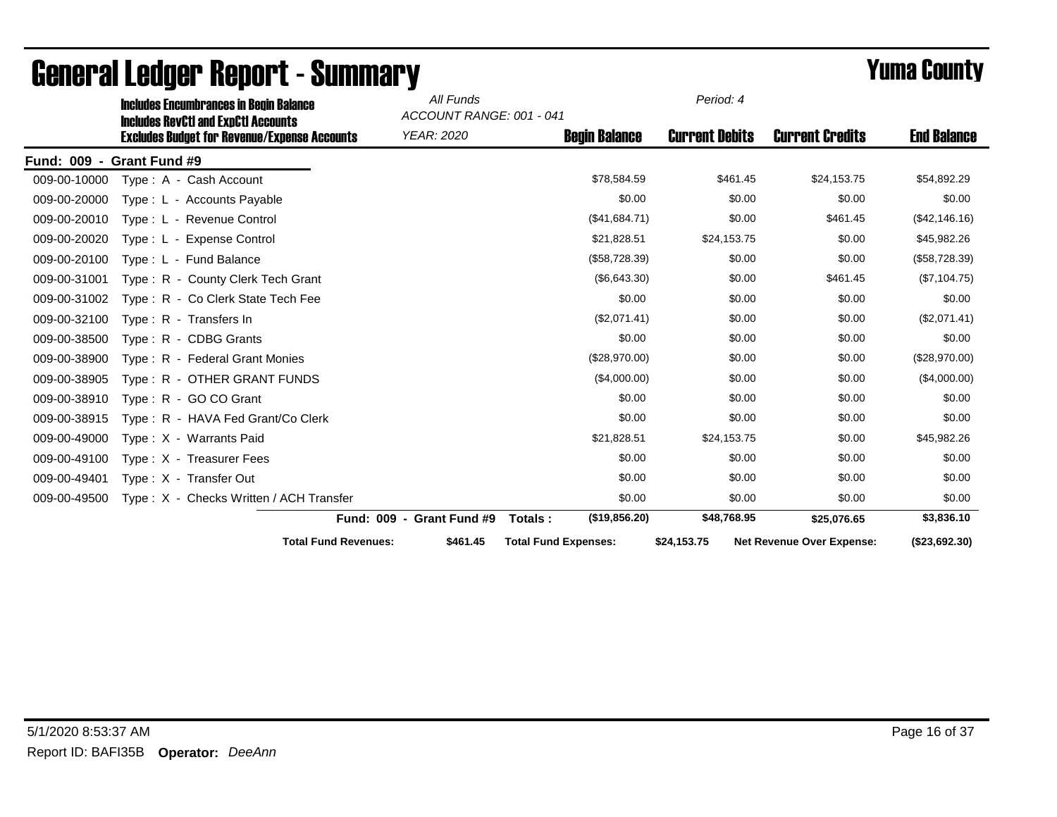|                                    | <b>Includes Encumbrances in Begin Balance</b>                                                     |                                    | All Funds                                     |                             | Period: 4             |                                  |                    |
|------------------------------------|---------------------------------------------------------------------------------------------------|------------------------------------|-----------------------------------------------|-----------------------------|-----------------------|----------------------------------|--------------------|
|                                    | <b>Includes RevCtI and ExpCtI Accounts</b><br><b>Excludes Budget for Revenue/Expense Accounts</b> |                                    | ACCOUNT RANGE: 001 - 041<br><b>YEAR: 2020</b> | <b>Begin Balance</b>        | <b>Current Debits</b> | <b>Current Credits</b>           | <b>End Balance</b> |
| <b>Fund: 009</b><br>$\blacksquare$ | <b>Grant Fund #9</b>                                                                              |                                    |                                               |                             |                       |                                  |                    |
| 009-00-10000                       | Type: A - Cash Account                                                                            |                                    |                                               | \$78,584.59                 | \$461.45              | \$24,153.75                      | \$54,892.29        |
| 009-00-20000                       | Type: L - Accounts Payable                                                                        |                                    |                                               | \$0.00                      | \$0.00                | \$0.00                           | \$0.00             |
| 009-00-20010                       | Type: L - Revenue Control                                                                         |                                    |                                               | (\$41,684.71)               | \$0.00                | \$461.45                         | (\$42,146.16)      |
| 009-00-20020                       | Type: L - Expense Control                                                                         |                                    |                                               | \$21,828.51                 | \$24,153.75           | \$0.00                           | \$45,982.26        |
| 009-00-20100                       | Type: L - Fund Balance                                                                            |                                    |                                               | (\$58,728.39)               | \$0.00                | \$0.00                           | (\$58,728.39)      |
| 009-00-31001                       | Type: R - County Clerk Tech Grant                                                                 |                                    |                                               | (\$6,643.30)                | \$0.00                | \$461.45                         | (\$7,104.75)       |
| 009-00-31002                       | Type: R - Co Clerk State Tech Fee                                                                 |                                    |                                               | \$0.00                      | \$0.00                | \$0.00                           | \$0.00             |
| 009-00-32100                       | Type: R - Transfers In                                                                            |                                    |                                               | (\$2,071.41)                | \$0.00                | \$0.00                           | (\$2,071.41)       |
| 009-00-38500                       | Type: R - CDBG Grants                                                                             |                                    |                                               | \$0.00                      | \$0.00                | \$0.00                           | \$0.00             |
| 009-00-38900                       | Type: R - Federal Grant Monies                                                                    |                                    |                                               | (\$28,970.00)               | \$0.00                | \$0.00                           | (\$28,970.00)      |
| 009-00-38905                       | Type: R - OTHER GRANT FUNDS                                                                       |                                    |                                               | (\$4,000.00)                | \$0.00                | \$0.00                           | (\$4,000.00)       |
| 009-00-38910                       | Type: R - GO CO Grant                                                                             |                                    |                                               | \$0.00                      | \$0.00                | \$0.00                           | \$0.00             |
| 009-00-38915                       | Type: R - HAVA Fed Grant/Co Clerk                                                                 |                                    |                                               | \$0.00                      | \$0.00                | \$0.00                           | \$0.00             |
| 009-00-49000                       | Type: X - Warrants Paid                                                                           |                                    |                                               | \$21,828.51                 | \$24,153.75           | \$0.00                           | \$45,982.26        |
| 009-00-49100                       | Type: X - Treasurer Fees                                                                          |                                    |                                               | \$0.00                      | \$0.00                | \$0.00                           | \$0.00             |
| 009-00-49401                       | Type: X - Transfer Out                                                                            |                                    |                                               | \$0.00                      | \$0.00                | \$0.00                           | \$0.00             |
| 009-00-49500                       | Type: X - Checks Written / ACH Transfer                                                           |                                    |                                               | \$0.00                      | \$0.00                | \$0.00                           | \$0.00             |
|                                    |                                                                                                   | <b>Fund: 009</b><br>$\blacksquare$ | <b>Grant Fund #9</b>                          | (\$19,856.20)<br>Totals:    | \$48,768.95           | \$25,076.65                      | \$3,836.10         |
|                                    |                                                                                                   | <b>Total Fund Revenues:</b>        | \$461.45                                      | <b>Total Fund Expenses:</b> | \$24,153.75           | <b>Net Revenue Over Expense:</b> | (\$23,692.30)      |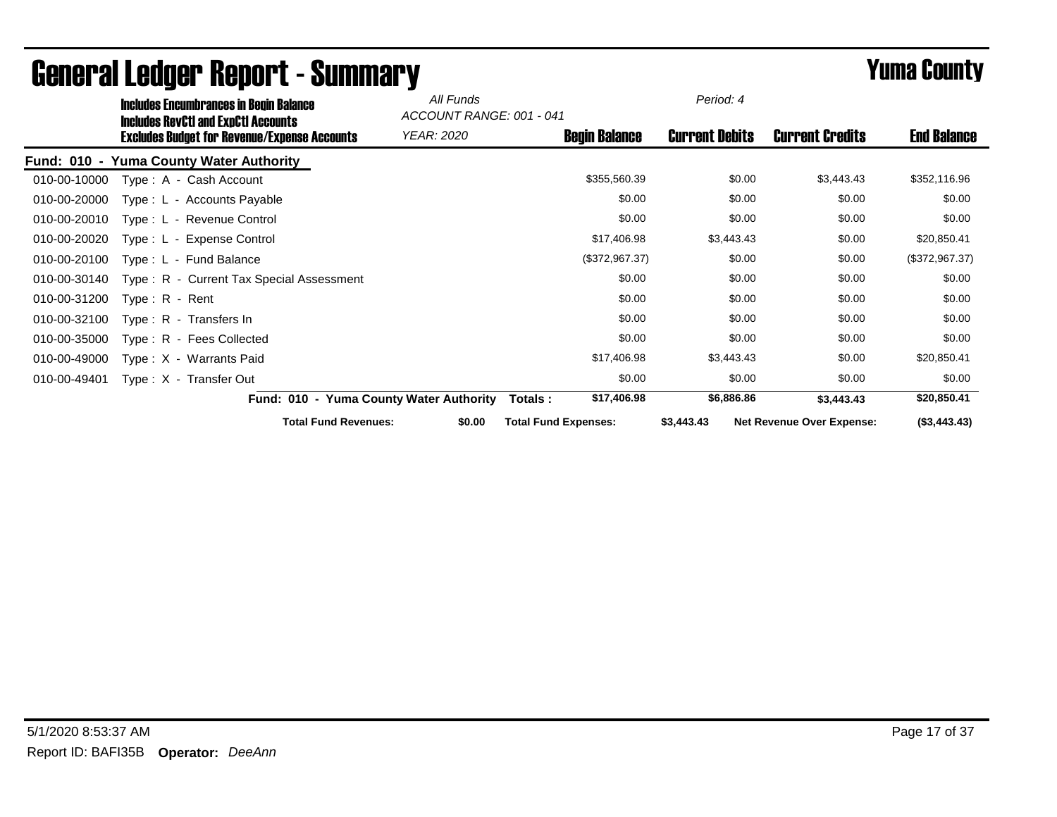|              | <b>Includes Encumbrances in Begin Balance</b>                                                     | All Funds<br>ACCOUNT RANGE: 001 - 041   |                             | Period: 4             |                                  |                    |
|--------------|---------------------------------------------------------------------------------------------------|-----------------------------------------|-----------------------------|-----------------------|----------------------------------|--------------------|
|              | <b>Includes RevCtI and ExpCtI Accounts</b><br><b>Excludes Budget for Revenue/Expense Accounts</b> | YEAR: 2020                              | <b>Begin Balance</b>        | <b>Current Debits</b> | <b>Current Credits</b>           | <b>End Balance</b> |
|              | Fund: 010 - Yuma County Water Authority                                                           |                                         |                             |                       |                                  |                    |
| 010-00-10000 | Type: A - Cash Account                                                                            |                                         | \$355,560.39                | \$0.00                | \$3,443.43                       | \$352,116.96       |
| 010-00-20000 | Type: L - Accounts Payable                                                                        |                                         | \$0.00                      | \$0.00                | \$0.00                           | \$0.00             |
| 010-00-20010 | Type: L - Revenue Control                                                                         |                                         | \$0.00                      | \$0.00                | \$0.00                           | \$0.00             |
| 010-00-20020 | Type: L - Expense Control                                                                         |                                         | \$17,406.98                 | \$3,443.43            | \$0.00                           | \$20,850.41        |
| 010-00-20100 | Type: L - Fund Balance                                                                            |                                         | (\$372,967.37)              | \$0.00                | \$0.00                           | (\$372,967.37)     |
| 010-00-30140 | Type: R - Current Tax Special Assessment                                                          |                                         | \$0.00                      | \$0.00                | \$0.00                           | \$0.00             |
| 010-00-31200 | $Type: R - Rent$                                                                                  |                                         | \$0.00                      | \$0.00                | \$0.00                           | \$0.00             |
| 010-00-32100 | Type: R - Transfers In                                                                            |                                         | \$0.00                      | \$0.00                | \$0.00                           | \$0.00             |
| 010-00-35000 | Type: R - Fees Collected                                                                          |                                         | \$0.00                      | \$0.00                | \$0.00                           | \$0.00             |
| 010-00-49000 | Type: X - Warrants Paid                                                                           |                                         | \$17,406.98                 | \$3,443.43            | \$0.00                           | \$20,850.41        |
| 010-00-49401 | Type: X - Transfer Out                                                                            |                                         | \$0.00                      | \$0.00                | \$0.00                           | \$0.00             |
|              |                                                                                                   | Fund: 010 - Yuma County Water Authority | \$17,406.98<br>Totals :     | \$6,886.86            | \$3,443.43                       | \$20,850.41        |
|              | <b>Total Fund Revenues:</b>                                                                       | \$0.00                                  | <b>Total Fund Expenses:</b> | \$3,443.43            | <b>Net Revenue Over Expense:</b> | (\$3,443.43)       |

## General Ledger Report - Summary **Experience Systems** Yuma County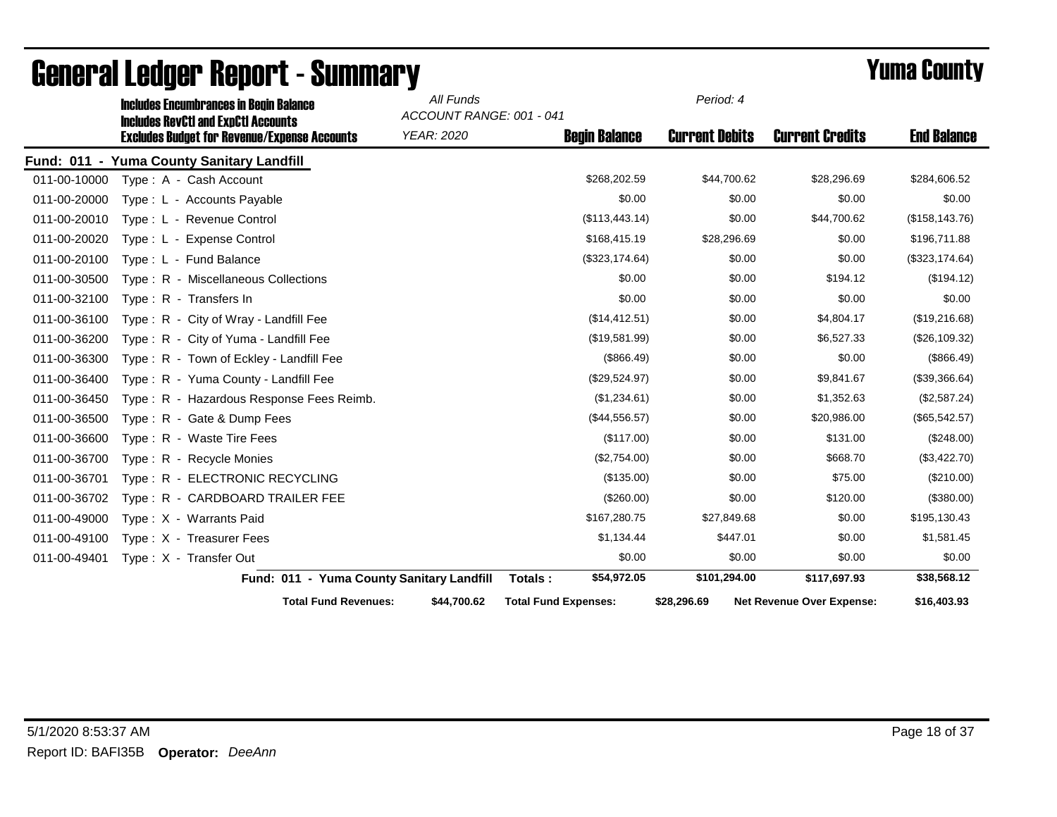|                    | <b>Includes Encumbrances in Begin Balance</b>                                                     | All Funds<br>ACCOUNT RANGE: 001 - 041 |                             | Period: 4             |                                  |                    |
|--------------------|---------------------------------------------------------------------------------------------------|---------------------------------------|-----------------------------|-----------------------|----------------------------------|--------------------|
|                    | <b>Includes RevCtI and ExpCtI Accounts</b><br><b>Excludes Budget for Revenue/Expense Accounts</b> | <b>YEAR: 2020</b>                     | <b>Begin Balance</b>        | <b>Current Debits</b> | <b>Current Credits</b>           | <b>End Balance</b> |
| <b>Fund: 011 -</b> | <b>Yuma County Sanitary Landfill</b>                                                              |                                       |                             |                       |                                  |                    |
| 011-00-10000       | Type: A - Cash Account                                                                            |                                       | \$268,202.59                | \$44,700.62           | \$28,296.69                      | \$284,606.52       |
| 011-00-20000       | Type: L - Accounts Payable                                                                        |                                       | \$0.00                      | \$0.00                | \$0.00                           | \$0.00             |
| 011-00-20010       | Type: L - Revenue Control                                                                         |                                       | (\$113,443.14)              | \$0.00                | \$44,700.62                      | (\$158, 143.76)    |
| 011-00-20020       | Type: L - Expense Control                                                                         |                                       | \$168,415.19                | \$28,296.69           | \$0.00                           | \$196,711.88       |
| 011-00-20100       | Type: L - Fund Balance                                                                            |                                       | (\$323, 174.64)             | \$0.00                | \$0.00                           | (\$323, 174.64)    |
| 011-00-30500       | Type: R - Miscellaneous Collections                                                               |                                       | \$0.00                      | \$0.00                | \$194.12                         | (\$194.12)         |
| 011-00-32100       | Type: R - Transfers In                                                                            |                                       | \$0.00                      | \$0.00                | \$0.00                           | \$0.00             |
| 011-00-36100       | Type: R - City of Wray - Landfill Fee                                                             |                                       | (\$14,412.51)               | \$0.00                | \$4,804.17                       | (\$19,216.68)      |
| 011-00-36200       | Type: R - City of Yuma - Landfill Fee                                                             |                                       | (\$19,581.99)               | \$0.00                | \$6,527.33                       | (\$26,109.32)      |
| 011-00-36300       | Type: R - Town of Eckley - Landfill Fee                                                           |                                       | (\$866.49)                  | \$0.00                | \$0.00                           | (\$866.49)         |
| 011-00-36400       | Type: R - Yuma County - Landfill Fee                                                              |                                       | (\$29,524.97)               | \$0.00                | \$9,841.67                       | (\$39,366.64)      |
| 011-00-36450       | Type: R - Hazardous Response Fees Reimb.                                                          |                                       | (\$1,234.61)                | \$0.00                | \$1,352.63                       | (\$2,587.24)       |
| 011-00-36500       | Type: R - Gate & Dump Fees                                                                        |                                       | (\$44,556.57)               | \$0.00                | \$20,986.00                      | (\$65,542.57)      |
| 011-00-36600       | Type: R - Waste Tire Fees                                                                         |                                       | (\$117.00)                  | \$0.00                | \$131.00                         | (\$248.00)         |
| 011-00-36700       | Type: R - Recycle Monies                                                                          |                                       | (\$2,754.00)                | \$0.00                | \$668.70                         | (\$3,422.70)       |
| 011-00-36701       | Type: R - ELECTRONIC RECYCLING                                                                    |                                       | (\$135.00)                  | \$0.00                | \$75.00                          | (\$210.00)         |
| 011-00-36702       | Type: R - CARDBOARD TRAILER FEE                                                                   |                                       | (\$260.00)                  | \$0.00                | \$120.00                         | (\$380.00)         |
| 011-00-49000       | Type: X - Warrants Paid                                                                           |                                       | \$167,280.75                | \$27,849.68           | \$0.00                           | \$195,130.43       |
| 011-00-49100       | Type: X - Treasurer Fees                                                                          |                                       | \$1,134.44                  | \$447.01              | \$0.00                           | \$1,581.45         |
| 011-00-49401       | Type: X - Transfer Out                                                                            |                                       | \$0.00                      | \$0.00                | \$0.00                           | \$0.00             |
|                    | Fund: 011 - Yuma County Sanitary Landfill                                                         |                                       | \$54,972.05<br>Totals:      | \$101,294.00          | \$117,697.93                     | \$38,568.12        |
|                    | <b>Total Fund Revenues:</b>                                                                       | \$44,700.62                           | <b>Total Fund Expenses:</b> | \$28,296.69           | <b>Net Revenue Over Expense:</b> | \$16,403.93        |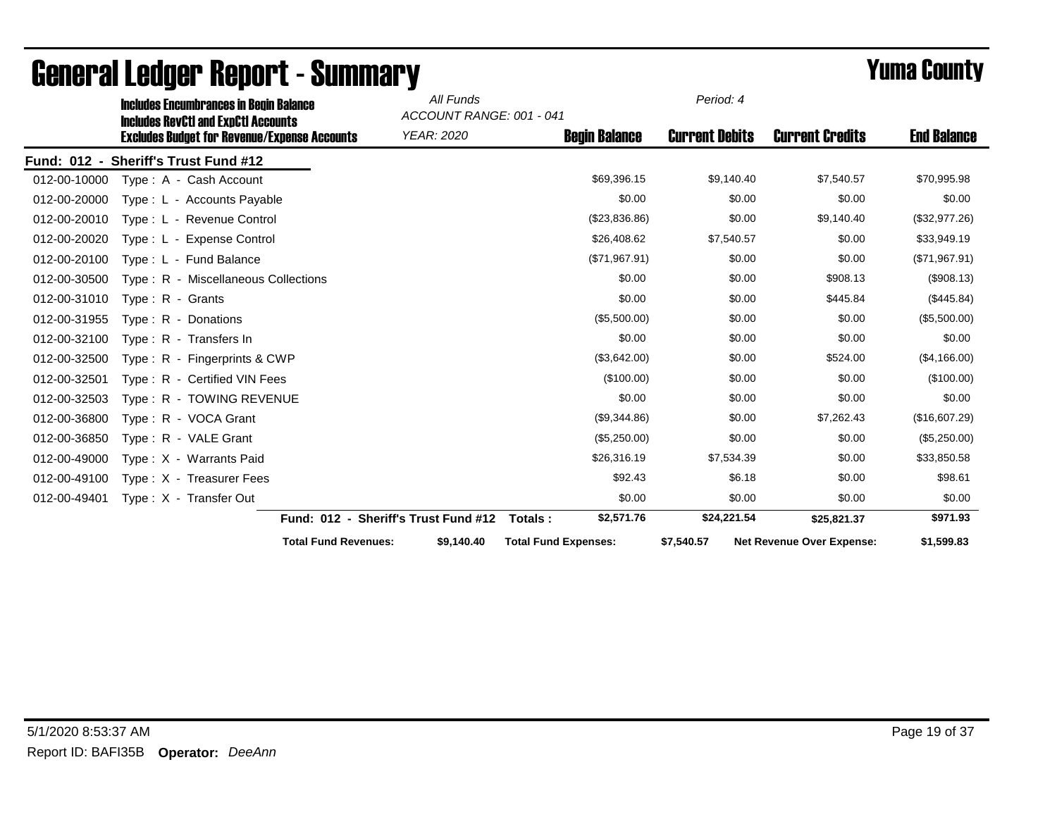|              | <b>Includes Encumbrances in Begin Balance</b>                                                     |                             | All Funds<br>ACCOUNT RANGE: 001 - 041 |                             | Period: 4             |                                  |                    |
|--------------|---------------------------------------------------------------------------------------------------|-----------------------------|---------------------------------------|-----------------------------|-----------------------|----------------------------------|--------------------|
|              | <b>Includes RevCtI and ExpCtI Accounts</b><br><b>Excludes Budget for Revenue/Expense Accounts</b> |                             | <b>YEAR: 2020</b>                     | <b>Begin Balance</b>        | <b>Current Debits</b> | <b>Current Credits</b>           | <b>End Balance</b> |
| Fund: 012 -  | <b>Sheriff's Trust Fund #12</b>                                                                   |                             |                                       |                             |                       |                                  |                    |
| 012-00-10000 | Type: A - Cash Account                                                                            |                             |                                       | \$69,396.15                 | \$9,140.40            | \$7,540.57                       | \$70,995.98        |
| 012-00-20000 | Type: L - Accounts Payable                                                                        |                             |                                       | \$0.00                      | \$0.00                | \$0.00                           | \$0.00             |
| 012-00-20010 | Type: L - Revenue Control                                                                         |                             |                                       | (\$23,836.86)               | \$0.00                | \$9,140.40                       | (\$32,977.26)      |
| 012-00-20020 | Type: L - Expense Control                                                                         |                             |                                       | \$26,408.62                 | \$7,540.57            | \$0.00                           | \$33,949.19        |
| 012-00-20100 | Type: L - Fund Balance                                                                            |                             |                                       | (\$71,967.91)               | \$0.00                | \$0.00                           | (\$71,967.91)      |
| 012-00-30500 | Type: R - Miscellaneous Collections                                                               |                             |                                       | \$0.00                      | \$0.00                | \$908.13                         | (\$908.13)         |
| 012-00-31010 | Type: R - Grants                                                                                  |                             |                                       | \$0.00                      | \$0.00                | \$445.84                         | (\$445.84)         |
| 012-00-31955 | Type: R - Donations                                                                               |                             |                                       | (\$5,500.00)                | \$0.00                | \$0.00                           | (\$5,500.00)       |
| 012-00-32100 | Type: R - Transfers In                                                                            |                             |                                       | \$0.00                      | \$0.00                | \$0.00                           | \$0.00             |
| 012-00-32500 | Type: R - Fingerprints & CWP                                                                      |                             |                                       | (\$3,642.00)                | \$0.00                | \$524.00                         | (\$4,166.00)       |
| 012-00-32501 | Type: R - Certified VIN Fees                                                                      |                             |                                       | (\$100.00)                  | \$0.00                | \$0.00                           | (\$100.00)         |
| 012-00-32503 | Type: R - TOWING REVENUE                                                                          |                             |                                       | \$0.00                      | \$0.00                | \$0.00                           | \$0.00             |
| 012-00-36800 | Type: R - VOCA Grant                                                                              |                             |                                       | (\$9,344.86)                | \$0.00                | \$7,262.43                       | (\$16,607.29)      |
| 012-00-36850 | Type: R - VALE Grant                                                                              |                             |                                       | (\$5,250.00)                | \$0.00                | \$0.00                           | (\$5,250.00)       |
| 012-00-49000 | Type: X - Warrants Paid                                                                           |                             |                                       | \$26,316.19                 | \$7,534.39            | \$0.00                           | \$33,850.58        |
| 012-00-49100 | Type: X - Treasurer Fees                                                                          |                             |                                       | \$92.43                     | \$6.18                | \$0.00                           | \$98.61            |
| 012-00-49401 | Type: X - Transfer Out                                                                            |                             |                                       | \$0.00                      | \$0.00                | \$0.00                           | \$0.00             |
|              |                                                                                                   |                             | Fund: 012 - Sheriff's Trust Fund #12  | \$2,571.76<br>Totals:       | \$24,221.54           | \$25,821.37                      | \$971.93           |
|              |                                                                                                   | <b>Total Fund Revenues:</b> | \$9,140.40                            | <b>Total Fund Expenses:</b> | \$7,540.57            | <b>Net Revenue Over Expense:</b> | \$1,599.83         |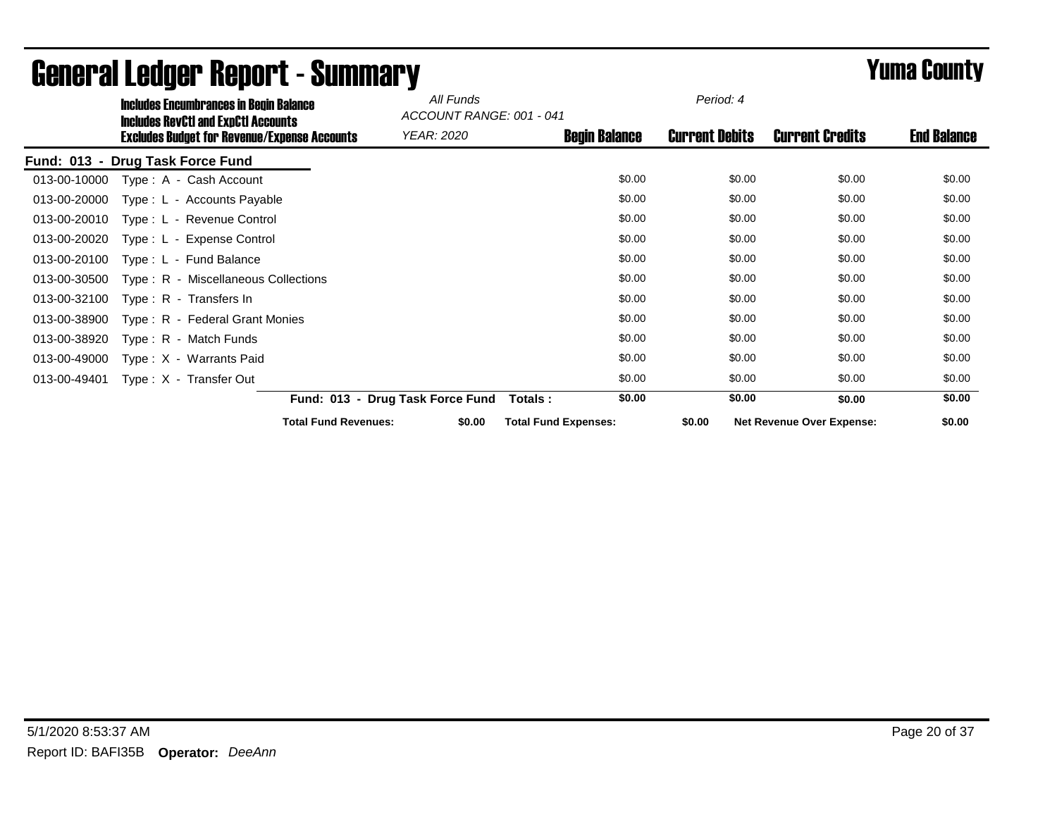|                    | <b>Includes Encumbrances in Begin Balance</b>                                                     | All Funds                             | ACCOUNT RANGE: 001 - 041    |        | Period: 4             |                                  |                    |
|--------------------|---------------------------------------------------------------------------------------------------|---------------------------------------|-----------------------------|--------|-----------------------|----------------------------------|--------------------|
|                    | <b>Includes RevCtI and ExpCtI Accounts</b><br><b>Excludes Budget for Revenue/Expense Accounts</b> | YEAR: 2020                            | <b>Begin Balance</b>        |        | <b>Current Debits</b> | <b>Current Credits</b>           | <b>End Balance</b> |
| <b>Fund: 013 -</b> | <b>Drug Task Force Fund</b>                                                                       |                                       |                             |        |                       |                                  |                    |
| 013-00-10000       | Type: A - Cash Account                                                                            |                                       |                             | \$0.00 | \$0.00                | \$0.00                           | \$0.00             |
| 013-00-20000       | Type: L - Accounts Payable                                                                        |                                       |                             | \$0.00 | \$0.00                | \$0.00                           | \$0.00             |
| 013-00-20010       | Type: L - Revenue Control                                                                         |                                       |                             | \$0.00 | \$0.00                | \$0.00                           | \$0.00             |
| 013-00-20020       | Type: L - Expense Control                                                                         |                                       |                             | \$0.00 | \$0.00                | \$0.00                           | \$0.00             |
| 013-00-20100       | Type: L - Fund Balance                                                                            |                                       |                             | \$0.00 | \$0.00                | \$0.00                           | \$0.00             |
| 013-00-30500       | Type: R - Miscellaneous Collections                                                               |                                       |                             | \$0.00 | \$0.00                | \$0.00                           | \$0.00             |
| 013-00-32100       | Type: R - Transfers In                                                                            |                                       |                             | \$0.00 | \$0.00                | \$0.00                           | \$0.00             |
| 013-00-38900       | Type: R - Federal Grant Monies                                                                    |                                       |                             | \$0.00 | \$0.00                | \$0.00                           | \$0.00             |
| 013-00-38920       | Type: R - Match Funds                                                                             |                                       |                             | \$0.00 | \$0.00                | \$0.00                           | \$0.00             |
| 013-00-49000       | Type: X - Warrants Paid                                                                           |                                       |                             | \$0.00 | \$0.00                | \$0.00                           | \$0.00             |
| 013-00-49401       | Type: X - Transfer Out                                                                            |                                       |                             | \$0.00 | \$0.00                | \$0.00                           | \$0.00             |
|                    |                                                                                                   | Fund: 013 - Drug Task Force Fund      | Totals :                    | \$0.00 | \$0.00                | \$0.00                           | \$0.00             |
|                    |                                                                                                   | <b>Total Fund Revenues:</b><br>\$0.00 | <b>Total Fund Expenses:</b> |        | \$0.00                | <b>Net Revenue Over Expense:</b> | \$0.00             |

## General Ledger Report - Summary **Example 2008** Series 2008 Numa County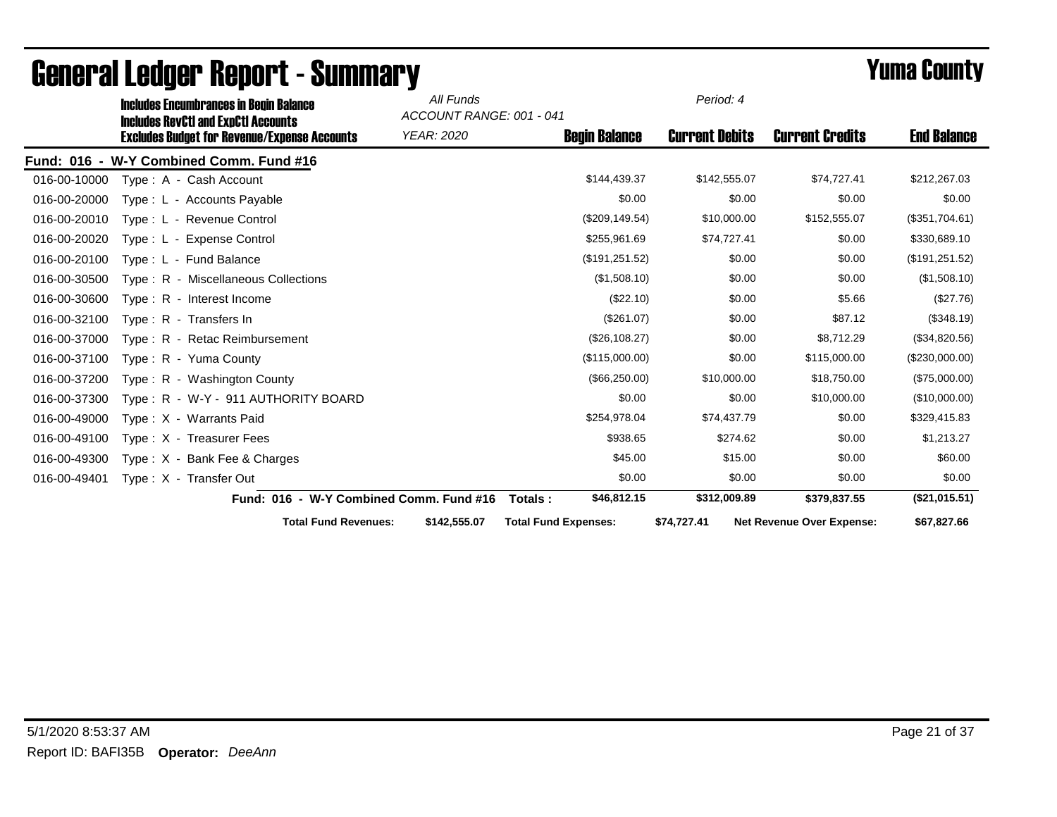|              | <b>Includes Encumbrances in Begin Balance</b><br><b>Includes RevCtI and ExpCtI Accounts</b> | All Funds<br>ACCOUNT RANGE: 001 - 041 |                             | Period: 4             |                                  |                    |
|--------------|---------------------------------------------------------------------------------------------|---------------------------------------|-----------------------------|-----------------------|----------------------------------|--------------------|
|              | <b>Excludes Budget for Revenue/Expense Accounts</b>                                         | YEAR: 2020                            | <b>Begin Balance</b>        | <b>Current Debits</b> | <b>Current Credits</b>           | <b>End Balance</b> |
|              | Fund: 016 - W-Y Combined Comm. Fund #16                                                     |                                       |                             |                       |                                  |                    |
| 016-00-10000 | Type: A - Cash Account                                                                      |                                       | \$144,439.37                | \$142,555.07          | \$74,727.41                      | \$212,267.03       |
| 016-00-20000 | Type: L - Accounts Payable                                                                  |                                       | \$0.00                      | \$0.00                | \$0.00                           | \$0.00             |
| 016-00-20010 | Type: L - Revenue Control                                                                   |                                       | (\$209, 149.54)             | \$10,000.00           | \$152,555.07                     | (\$351,704.61)     |
| 016-00-20020 | Type: L - Expense Control                                                                   |                                       | \$255,961.69                | \$74,727.41           | \$0.00                           | \$330,689.10       |
| 016-00-20100 | Type: L - Fund Balance                                                                      |                                       | (\$191, 251.52)             | \$0.00                | \$0.00                           | (\$191, 251.52)    |
| 016-00-30500 | Type: R - Miscellaneous Collections                                                         |                                       | (\$1,508.10)                | \$0.00                | \$0.00                           | (\$1,508.10)       |
| 016-00-30600 | Type: R - Interest Income                                                                   |                                       | (\$22.10)                   | \$0.00                | \$5.66                           | (\$27.76)          |
| 016-00-32100 | Type: R - Transfers In                                                                      |                                       | (\$261.07)                  | \$0.00                | \$87.12                          | (\$348.19)         |
| 016-00-37000 | Type: R - Retac Reimbursement                                                               |                                       | (\$26,108.27)               | \$0.00                | \$8,712.29                       | (\$34,820.56)      |
| 016-00-37100 | Type: R - Yuma County                                                                       |                                       | (\$115,000.00)              | \$0.00                | \$115,000.00                     | (\$230,000.00)     |
| 016-00-37200 | Type: R - Washington County                                                                 |                                       | (\$66,250.00)               | \$10,000.00           | \$18,750.00                      | (\$75,000.00)      |
| 016-00-37300 | Type: R - W-Y - 911 AUTHORITY BOARD                                                         |                                       | \$0.00                      | \$0.00                | \$10,000.00                      | (\$10,000.00)      |
| 016-00-49000 | Type: X - Warrants Paid                                                                     |                                       | \$254,978.04                | \$74,437.79           | \$0.00                           | \$329,415.83       |
| 016-00-49100 | Type: X - Treasurer Fees                                                                    |                                       | \$938.65                    | \$274.62              | \$0.00                           | \$1,213.27         |
| 016-00-49300 | Type: $X -$ Bank Fee & Charges                                                              |                                       | \$45.00                     | \$15.00               | \$0.00                           | \$60.00            |
| 016-00-49401 | Type: X - Transfer Out                                                                      |                                       | \$0.00                      | \$0.00                | \$0.00                           | \$0.00             |
|              | Fund: 016 - W-Y Combined Comm. Fund #16                                                     |                                       | \$46,812.15<br>Totals :     | \$312,009.89          | \$379.837.55                     | (\$21,015.51)      |
|              | <b>Total Fund Revenues:</b>                                                                 | \$142,555.07                          | <b>Total Fund Expenses:</b> | \$74,727.41           | <b>Net Revenue Over Expense:</b> | \$67,827.66        |

## General Ledger Report - Summary **Example 2008** Series 2008 Numa County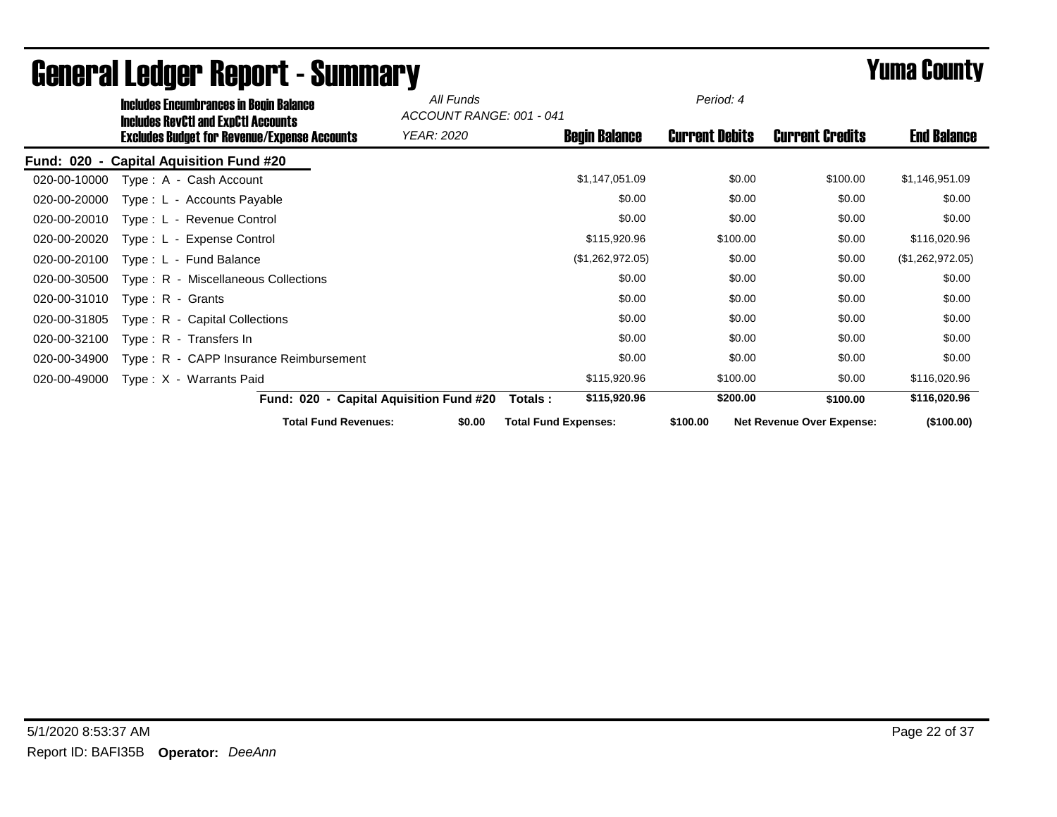|              | <b>Includes Encumbrances in Begin Balance</b><br><b>Includes RevCtI and ExpCtI Accounts</b> |                                         | All Funds         | ACCOUNT RANGE: 001 - 041    | Period: 4             |                                  |                    |
|--------------|---------------------------------------------------------------------------------------------|-----------------------------------------|-------------------|-----------------------------|-----------------------|----------------------------------|--------------------|
|              | <b>Excludes Budget for Revenue/Expense Accounts</b>                                         |                                         | <i>YEAR: 2020</i> | <b>Begin Balance</b>        | <b>Current Debits</b> | <b>Current Credits</b>           | <b>End Balance</b> |
|              | Fund: 020 - Capital Aquisition Fund #20                                                     |                                         |                   |                             |                       |                                  |                    |
| 020-00-10000 | Type: A - Cash Account                                                                      |                                         |                   | \$1,147,051.09              | \$0.00                | \$100.00                         | \$1,146,951.09     |
| 020-00-20000 | Type: L - Accounts Payable                                                                  |                                         |                   | \$0.00                      | \$0.00                | \$0.00                           | \$0.00             |
| 020-00-20010 | Type: L - Revenue Control                                                                   |                                         |                   | \$0.00                      | \$0.00                | \$0.00                           | \$0.00             |
| 020-00-20020 | Type: L - Expense Control                                                                   |                                         |                   | \$115,920.96                | \$100.00              | \$0.00                           | \$116,020.96       |
| 020-00-20100 | Type: L - Fund Balance                                                                      |                                         |                   | (\$1,262,972.05)            | \$0.00                | \$0.00                           | (\$1,262,972.05)   |
| 020-00-30500 | Type: R - Miscellaneous Collections                                                         |                                         |                   | \$0.00                      | \$0.00                | \$0.00                           | \$0.00             |
| 020-00-31010 | $Type: R - Grants$                                                                          |                                         |                   | \$0.00                      | \$0.00                | \$0.00                           | \$0.00             |
| 020-00-31805 | $Type: R - Capital Collections$                                                             |                                         |                   | \$0.00                      | \$0.00                | \$0.00                           | \$0.00             |
| 020-00-32100 | Type: R - Transfers In                                                                      |                                         |                   | \$0.00                      | \$0.00                | \$0.00                           | \$0.00             |
| 020-00-34900 | Type: R - CAPP Insurance Reimbursement                                                      |                                         |                   | \$0.00                      | \$0.00                | \$0.00                           | \$0.00             |
| 020-00-49000 | Type: X - Warrants Paid                                                                     |                                         |                   | \$115,920.96                | \$100.00              | \$0.00                           | \$116,020.96       |
|              |                                                                                             | Fund: 020 - Capital Aquisition Fund #20 |                   | \$115,920.96<br>Totals :    | \$200.00              | \$100.00                         | \$116,020.96       |
|              |                                                                                             | <b>Total Fund Revenues:</b>             | \$0.00            | <b>Total Fund Expenses:</b> | \$100.00              | <b>Net Revenue Over Expense:</b> | (\$100.00)         |

## General Ledger Report - Summary **Example 2008** Summary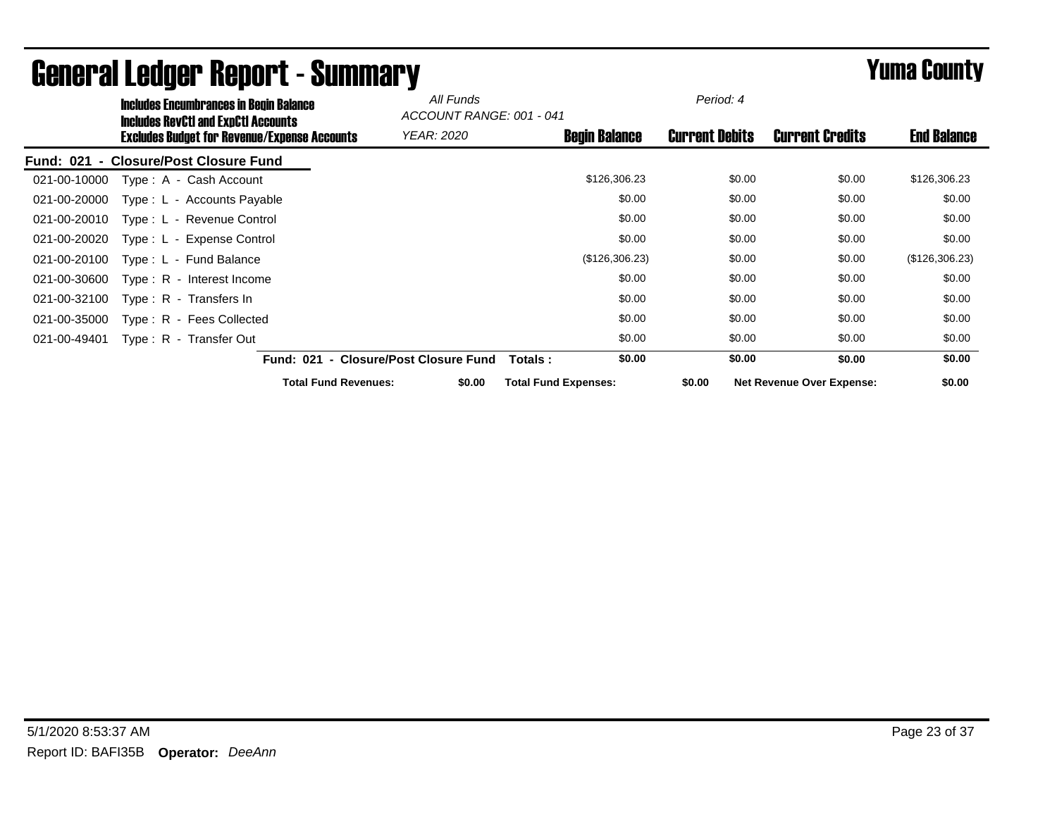|                                    | <b>Includes Encumbrances in Begin Balance</b><br><b>Includes RevCtI and ExpCtI Accounts</b> |                                       | All Funds         | ACCOUNT RANGE: 001 - 041    | Period: 4             |                                  |                    |
|------------------------------------|---------------------------------------------------------------------------------------------|---------------------------------------|-------------------|-----------------------------|-----------------------|----------------------------------|--------------------|
|                                    | <b>Excludes Budget for Revenue/Expense Accounts</b>                                         |                                       | <b>YEAR: 2020</b> | <b>Begin Balance</b>        | <b>Current Debits</b> | <b>Current Credits</b>           | <b>End Balance</b> |
| <b>Fund: 021</b><br>$\blacksquare$ | <b>Closure/Post Closure Fund</b>                                                            |                                       |                   |                             |                       |                                  |                    |
| 021-00-10000                       | Type: A - Cash Account                                                                      |                                       |                   | \$126,306.23                | \$0.00                | \$0.00                           | \$126,306.23       |
| 021-00-20000                       | Type: L - Accounts Payable                                                                  |                                       |                   | \$0.00                      | \$0.00                | \$0.00                           | \$0.00             |
| 021-00-20010                       | Type: L - Revenue Control                                                                   |                                       |                   | \$0.00                      | \$0.00                | \$0.00                           | \$0.00             |
| 021-00-20020                       | Type: L - Expense Control                                                                   |                                       |                   | \$0.00                      | \$0.00                | \$0.00                           | \$0.00             |
| 021-00-20100                       | Type: L - Fund Balance                                                                      |                                       |                   | (\$126,306.23)              | \$0.00                | \$0.00                           | (\$126,306.23)     |
| 021-00-30600                       | Type: R - Interest Income                                                                   |                                       |                   | \$0.00                      | \$0.00                | \$0.00                           | \$0.00             |
| 021-00-32100                       | Type: $R -$ Transfers In                                                                    |                                       |                   | \$0.00                      | \$0.00                | \$0.00                           | \$0.00             |
| 021-00-35000                       | Type: R - Fees Collected                                                                    |                                       |                   | \$0.00                      | \$0.00                | \$0.00                           | \$0.00             |
| 021-00-49401                       | Type: R - Transfer Out                                                                      |                                       |                   | \$0.00                      | \$0.00                | \$0.00                           | \$0.00             |
|                                    |                                                                                             | Fund: 021 - Closure/Post Closure Fund |                   | \$0.00<br>Totals :          | \$0.00                | \$0.00                           | \$0.00             |
|                                    |                                                                                             | <b>Total Fund Revenues:</b>           | \$0.00            | <b>Total Fund Expenses:</b> | \$0.00                | <b>Net Revenue Over Expense:</b> | \$0.00             |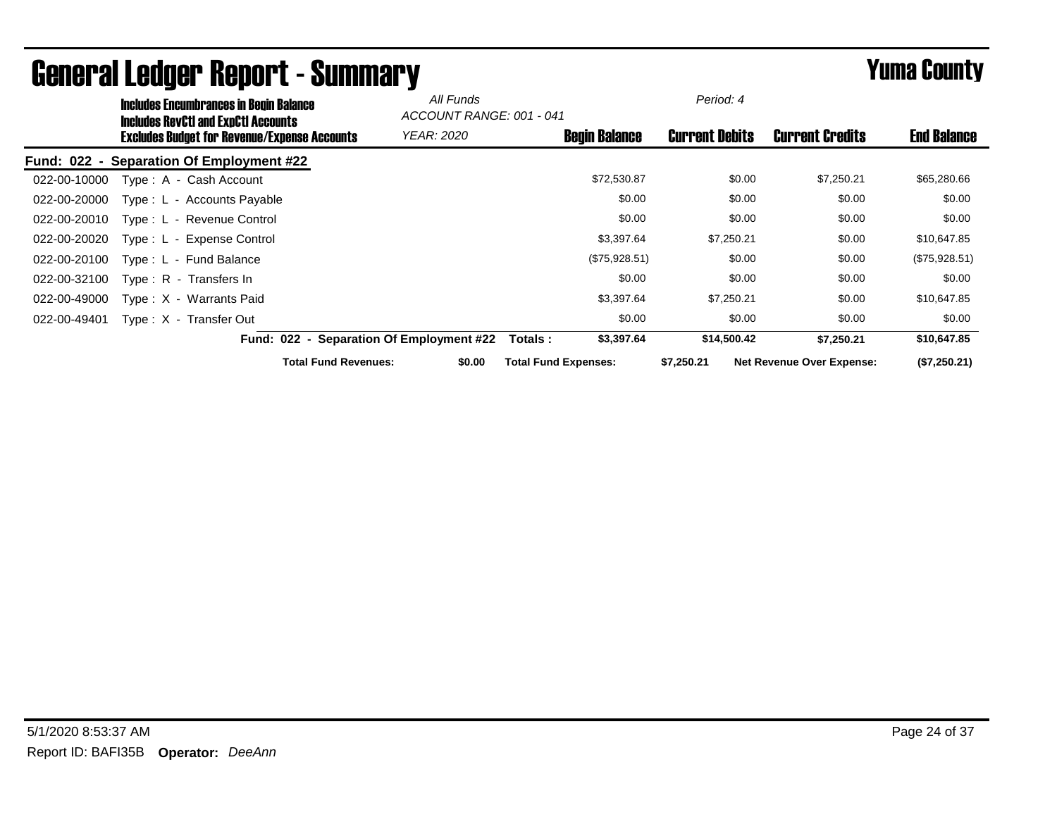|              | <b>Includes Encumbrances in Begin Balance</b><br><b>Includes RevCtI and ExpCtI Accounts</b> |                                          | All Funds         | ACCOUNT RANGE: 001 - 041    | Period: 4             |                                  |                    |
|--------------|---------------------------------------------------------------------------------------------|------------------------------------------|-------------------|-----------------------------|-----------------------|----------------------------------|--------------------|
|              | <b>Excludes Budget for Revenue/Expense Accounts</b>                                         |                                          | <b>YEAR: 2020</b> | <b>Begin Balance</b>        | <b>Current Debits</b> | <b>Current Credits</b>           | <b>End Balance</b> |
| Fund: 022 -  | <b>Separation Of Employment #22</b>                                                         |                                          |                   |                             |                       |                                  |                    |
| 022-00-10000 | Type: A - Cash Account                                                                      |                                          |                   | \$72,530.87                 | \$0.00                | \$7,250.21                       | \$65,280.66        |
| 022-00-20000 | Type: L - Accounts Payable                                                                  |                                          |                   | \$0.00                      | \$0.00                | \$0.00                           | \$0.00             |
| 022-00-20010 | Type: L - Revenue Control                                                                   |                                          |                   | \$0.00                      | \$0.00                | \$0.00                           | \$0.00             |
| 022-00-20020 | Type: L - Expense Control                                                                   |                                          |                   | \$3,397.64                  | \$7,250.21            | \$0.00                           | \$10,647.85        |
| 022-00-20100 | Type: L - Fund Balance                                                                      |                                          |                   | (\$75,928.51)               | \$0.00                | \$0.00                           | (\$75,928.51)      |
| 022-00-32100 | Type: R - Transfers In                                                                      |                                          |                   | \$0.00                      | \$0.00                | \$0.00                           | \$0.00             |
| 022-00-49000 | Type: X - Warrants Paid                                                                     |                                          |                   | \$3,397.64                  | \$7,250.21            | \$0.00                           | \$10,647.85        |
| 022-00-49401 | Type: X - Transfer Out                                                                      |                                          |                   | \$0.00                      | \$0.00                | \$0.00                           | \$0.00             |
|              |                                                                                             | Fund: 022 - Separation Of Employment #22 |                   | \$3,397.64<br>Totals :      | \$14,500.42           | \$7,250.21                       | \$10,647.85        |
|              |                                                                                             | <b>Total Fund Revenues:</b>              | \$0.00            | <b>Total Fund Expenses:</b> | \$7,250.21            | <b>Net Revenue Over Expense:</b> | (\$7,250.21)       |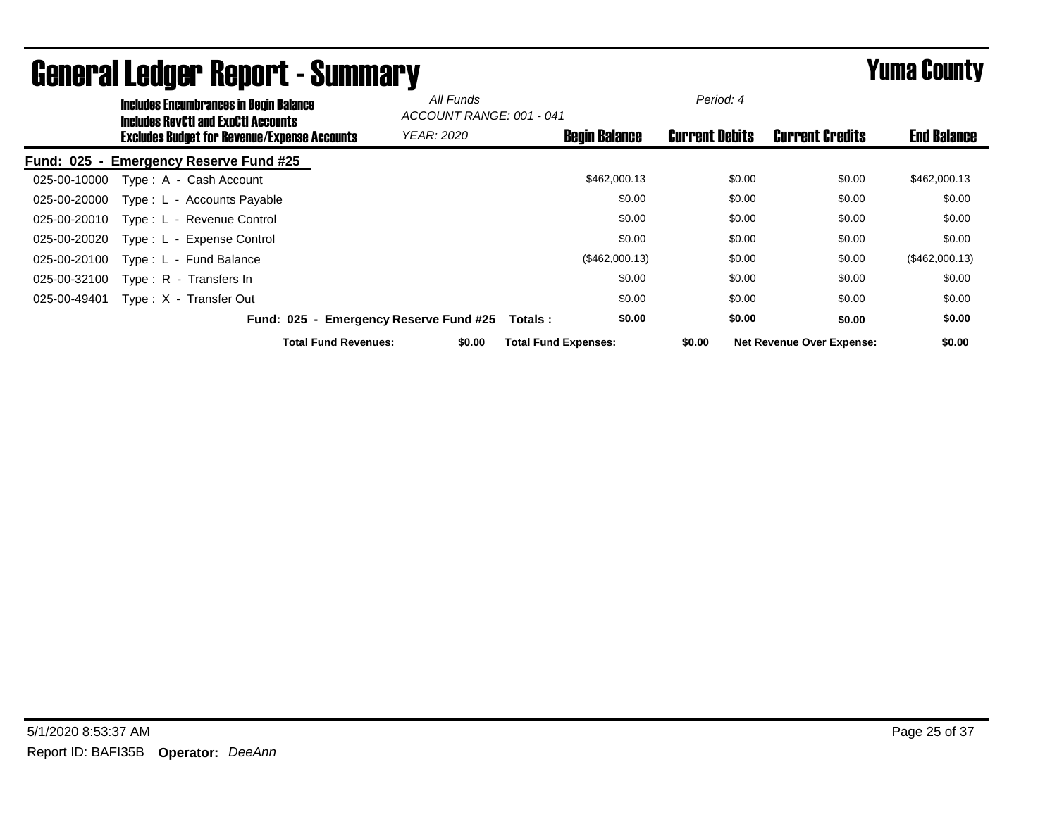|                                    | Includes Encumbrances in Begin Balance<br><b>Includes RevCtI and ExpCtI Accounts</b> |                                        | All Funds<br>ACCOUNT RANGE: 001 - 041 |                             |                      | Period: 4             |                                  |                    |
|------------------------------------|--------------------------------------------------------------------------------------|----------------------------------------|---------------------------------------|-----------------------------|----------------------|-----------------------|----------------------------------|--------------------|
|                                    | <b>Excludes Budget for Revenue/Expense Accounts</b>                                  |                                        | <b>YEAR: 2020</b>                     |                             | <b>Begin Balance</b> | <b>Current Debits</b> | <b>Current Credits</b>           | <b>End Balance</b> |
| <b>Fund: 025</b><br>$\blacksquare$ | <b>Emergency Reserve Fund #25</b>                                                    |                                        |                                       |                             |                      |                       |                                  |                    |
| 025-00-10000                       | Type: A - Cash Account                                                               |                                        |                                       |                             | \$462,000.13         | \$0.00                | \$0.00                           | \$462,000.13       |
| 025-00-20000                       | Type: L - Accounts Payable                                                           |                                        |                                       |                             | \$0.00               | \$0.00                | \$0.00                           | \$0.00             |
| 025-00-20010                       | Type: L - Revenue Control                                                            |                                        |                                       |                             | \$0.00               | \$0.00                | \$0.00                           | \$0.00             |
| 025-00-20020                       | Type: L - Expense Control                                                            |                                        |                                       |                             | \$0.00               | \$0.00                | \$0.00                           | \$0.00             |
| 025-00-20100                       | Type: L - Fund Balance                                                               |                                        |                                       |                             | (\$462,000.13)       | \$0.00                | \$0.00                           | (\$462,000.13)     |
| 025-00-32100                       | Type: R - Transfers In                                                               |                                        |                                       |                             | \$0.00               | \$0.00                | \$0.00                           | \$0.00             |
| 025-00-49401                       | Type: X - Transfer Out                                                               |                                        |                                       |                             | \$0.00               | \$0.00                | \$0.00                           | \$0.00             |
|                                    |                                                                                      | Fund: 025 - Emergency Reserve Fund #25 |                                       | Totals :                    | \$0.00               | \$0.00                | \$0.00                           | \$0.00             |
|                                    |                                                                                      | <b>Total Fund Revenues:</b>            | \$0.00                                | <b>Total Fund Expenses:</b> |                      | \$0.00                | <b>Net Revenue Over Expense:</b> | \$0.00             |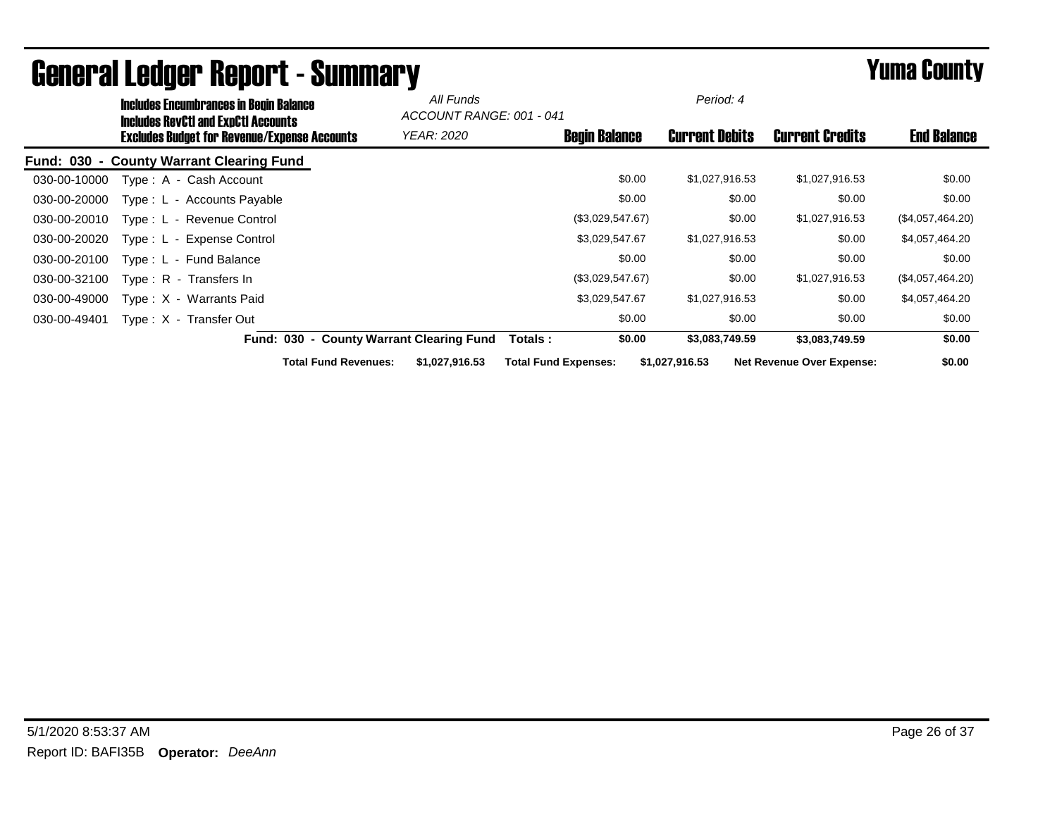| <b>Includes Encumbrances in Begin Balance</b><br><b>Includes RevCtI and ExpCtI Accounts</b> | All Funds<br>ACCOUNT RANGE: 001 - 041         |                             | Period: 4             |                                  |                    |
|---------------------------------------------------------------------------------------------|-----------------------------------------------|-----------------------------|-----------------------|----------------------------------|--------------------|
| <b>Excludes Budget for Revenue/Expense Accounts</b>                                         | <i>YEAR: 2020</i>                             | <b>Begin Balance</b>        | <b>Current Debits</b> | <b>Current Credits</b>           | <b>End Balance</b> |
| Fund: 030 - County Warrant Clearing Fund                                                    |                                               |                             |                       |                                  |                    |
| Type: A - Cash Account<br>030-00-10000                                                      |                                               | \$0.00                      | \$1,027,916.53        | \$1,027,916.53                   | \$0.00             |
| 030-00-20000<br>Type: L - Accounts Payable                                                  |                                               | \$0.00                      | \$0.00                | \$0.00                           | \$0.00             |
| Type: L - Revenue Control<br>030-00-20010                                                   |                                               | (\$3,029,547.67)            | \$0.00                | \$1,027,916.53                   | (\$4,057,464.20)   |
| 030-00-20020<br>Type: L - Expense Control                                                   |                                               | \$3,029,547.67              | \$1,027,916.53        | \$0.00                           | \$4,057,464.20     |
| 030-00-20100<br>Type: L - Fund Balance                                                      |                                               | \$0.00                      | \$0.00                | \$0.00                           | \$0.00             |
| 030-00-32100<br>Type: R - Transfers In                                                      |                                               | (\$3,029,547.67)            | \$0.00                | \$1,027,916.53                   | (\$4,057,464.20)   |
| 030-00-49000<br>Type: X - Warrants Paid                                                     |                                               | \$3,029,547.67              | \$1,027,916.53        | \$0.00                           | \$4,057,464.20     |
| 030-00-49401<br>Type: X - Transfer Out                                                      |                                               | \$0.00                      | \$0.00                | \$0.00                           | \$0.00             |
|                                                                                             | Fund: 030 - County Warrant Clearing Fund      | \$0.00<br>Totals :          | \$3,083,749.59        | \$3,083,749.59                   | \$0.00             |
|                                                                                             | <b>Total Fund Revenues:</b><br>\$1,027,916.53 | <b>Total Fund Expenses:</b> | \$1,027,916.53        | <b>Net Revenue Over Expense:</b> | \$0.00             |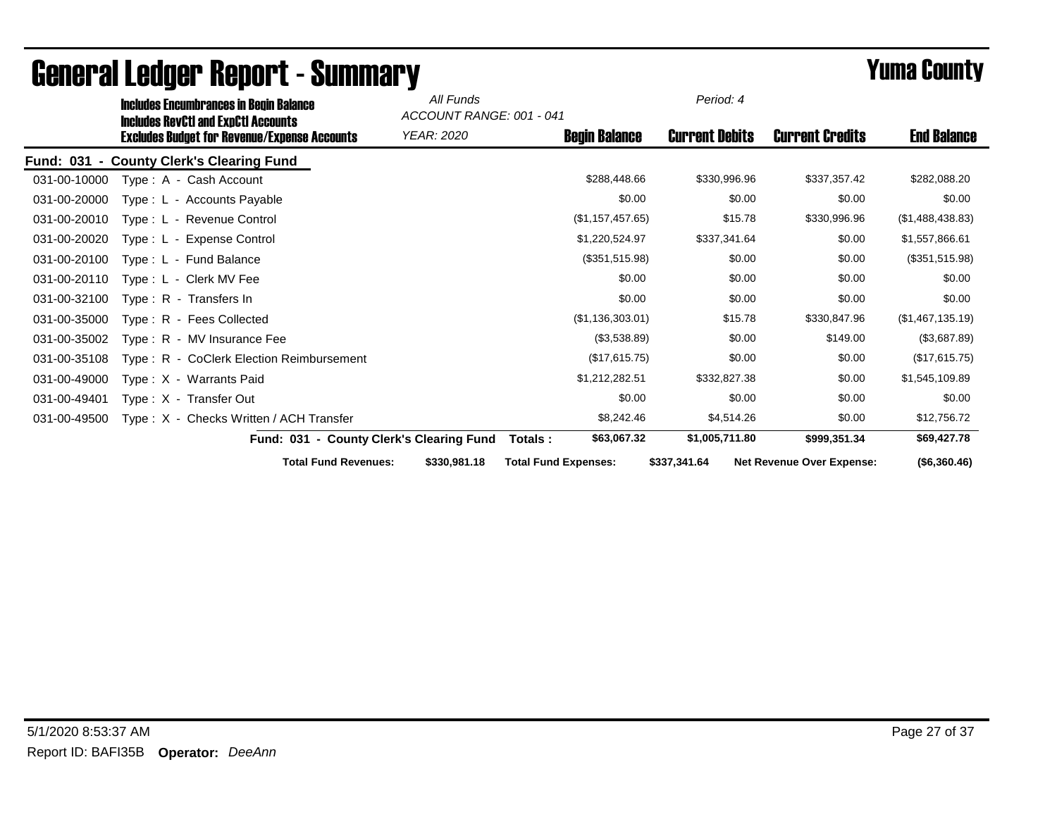|              | <b>Includes Encumbrances in Begin Balance</b><br><b>Includes RevCtI and ExpCtI Accounts</b> |                                          | All Funds<br>ACCOUNT RANGE: 001 - 041 |                             | Period: 4             |                                  |                    |
|--------------|---------------------------------------------------------------------------------------------|------------------------------------------|---------------------------------------|-----------------------------|-----------------------|----------------------------------|--------------------|
|              | <b>Excludes Budget for Revenue/Expense Accounts</b>                                         |                                          | YEAR: 2020                            | <b>Begin Balance</b>        | <b>Current Debits</b> | <b>Current Credits</b>           | <b>End Balance</b> |
|              | Fund: 031 - County Clerk's Clearing Fund                                                    |                                          |                                       |                             |                       |                                  |                    |
| 031-00-10000 | Type: A - Cash Account                                                                      |                                          |                                       | \$288,448.66                | \$330,996.96          | \$337,357.42                     | \$282,088.20       |
| 031-00-20000 | Type: L - Accounts Payable                                                                  |                                          |                                       | \$0.00                      | \$0.00                | \$0.00                           | \$0.00             |
| 031-00-20010 | Type: L - Revenue Control                                                                   |                                          |                                       | (\$1,157,457.65)            | \$15.78               | \$330,996.96                     | (\$1,488,438.83)   |
| 031-00-20020 | Type: L - Expense Control                                                                   |                                          |                                       | \$1,220,524.97              | \$337,341.64          | \$0.00                           | \$1,557,866.61     |
| 031-00-20100 | Type: L - Fund Balance                                                                      |                                          |                                       | (\$351,515.98)              | \$0.00                | \$0.00                           | (\$351,515.98)     |
| 031-00-20110 | Type: L - Clerk MV Fee                                                                      |                                          |                                       | \$0.00                      | \$0.00                | \$0.00                           | \$0.00             |
| 031-00-32100 | Type: R - Transfers In                                                                      |                                          |                                       | \$0.00                      | \$0.00                | \$0.00                           | \$0.00             |
| 031-00-35000 | Type: R - Fees Collected                                                                    |                                          |                                       | (\$1,136,303.01)            | \$15.78               | \$330,847.96                     | (\$1,467,135.19)   |
| 031-00-35002 | Type: R - MV Insurance Fee                                                                  |                                          |                                       | (\$3,538.89)                | \$0.00                | \$149.00                         | (\$3,687.89)       |
| 031-00-35108 | Type: R - CoClerk Election Reimbursement                                                    |                                          |                                       | (\$17,615.75)               | \$0.00                | \$0.00                           | (\$17,615.75)      |
| 031-00-49000 | Type: X - Warrants Paid                                                                     |                                          |                                       | \$1,212,282.51              | \$332,827,38          | \$0.00                           | \$1,545,109.89     |
| 031-00-49401 | Type: X - Transfer Out                                                                      |                                          |                                       | \$0.00                      | \$0.00                | \$0.00                           | \$0.00             |
| 031-00-49500 | Type: X - Checks Written / ACH Transfer                                                     |                                          |                                       | \$8,242.46                  | \$4,514.26            | \$0.00                           | \$12,756.72        |
|              |                                                                                             | Fund: 031 - County Clerk's Clearing Fund |                                       | \$63,067.32<br>Totals:      | \$1,005,711.80        | \$999,351.34                     | \$69,427.78        |
|              |                                                                                             | <b>Total Fund Revenues:</b>              | \$330,981.18                          | <b>Total Fund Expenses:</b> | \$337,341.64          | <b>Net Revenue Over Expense:</b> | (\$6,360.46)       |

## General Ledger Report - Summary **Example 2008** Summary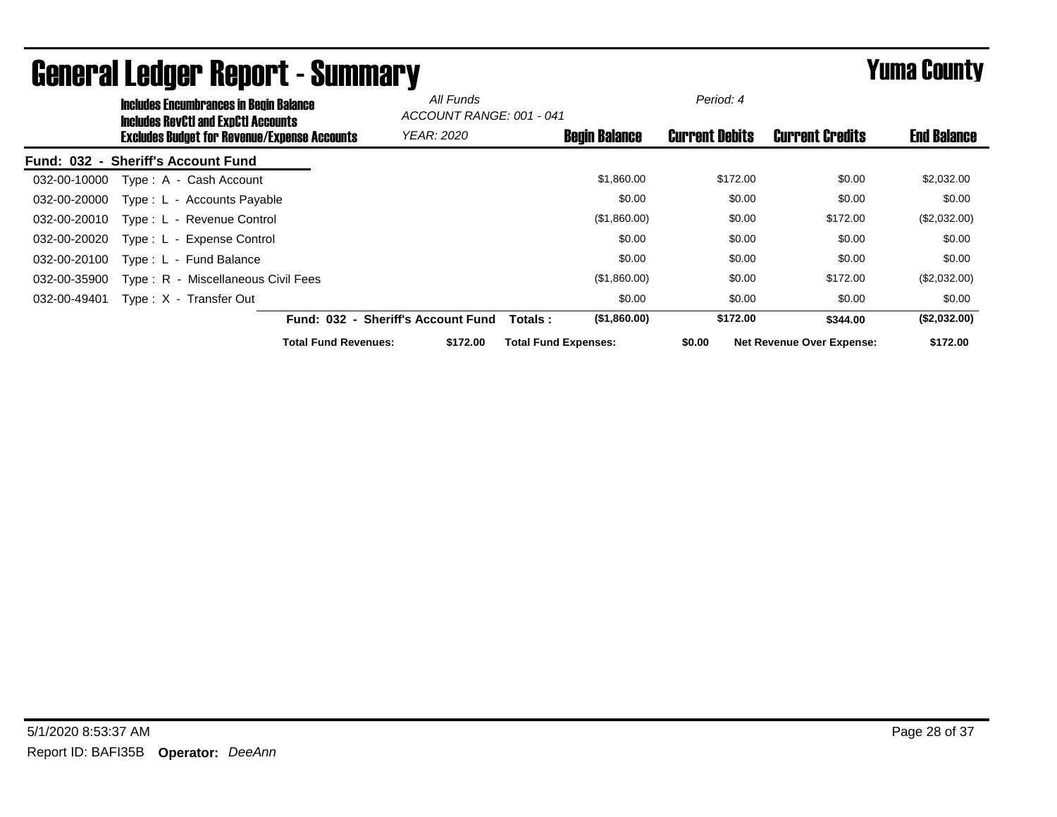|              | <b>Includes Encumbrances in Begin Balance</b><br><b>Includes RevCtI and ExpCtI Accounts</b> |                                    | All Funds<br>ACCOUNT RANGE: 001 - 041 |                             |                      | Period: 4             |                                  |                    |
|--------------|---------------------------------------------------------------------------------------------|------------------------------------|---------------------------------------|-----------------------------|----------------------|-----------------------|----------------------------------|--------------------|
|              | Excludes Budget for Revenue/Expense Accounts                                                |                                    | <b>YEAR: 2020</b>                     |                             | <b>Begin Balance</b> | <b>Current Debits</b> | <b>Current Credits</b>           | <b>End Balance</b> |
|              | Fund: 032 - Sheriff's Account Fund                                                          |                                    |                                       |                             |                      |                       |                                  |                    |
| 032-00-10000 | Type: A - Cash Account                                                                      |                                    |                                       |                             | \$1,860.00           | \$172.00              | \$0.00                           | \$2,032.00         |
| 032-00-20000 | Type: L - Accounts Payable                                                                  |                                    |                                       |                             | \$0.00               | \$0.00                | \$0.00                           | \$0.00             |
| 032-00-20010 | Type: L - Revenue Control                                                                   |                                    |                                       |                             | (\$1,860.00)         | \$0.00                | \$172.00                         | (\$2,032.00)       |
| 032-00-20020 | Type: L - Expense Control                                                                   |                                    |                                       |                             | \$0.00               | \$0.00                | \$0.00                           | \$0.00             |
| 032-00-20100 | Type: L - Fund Balance                                                                      |                                    |                                       |                             | \$0.00               | \$0.00                | \$0.00                           | \$0.00             |
| 032-00-35900 | Type: R - Miscellaneous Civil Fees                                                          |                                    |                                       |                             | (\$1,860.00)         | \$0.00                | \$172.00                         | (\$2,032.00)       |
| 032-00-49401 | Type: X - Transfer Out                                                                      |                                    |                                       |                             | \$0.00               | \$0.00                | \$0.00                           | \$0.00             |
|              |                                                                                             | Fund: 032 - Sheriff's Account Fund |                                       | Totals :                    | (\$1,860.00)         | \$172.00              | \$344.00                         | (\$2,032.00)       |
|              |                                                                                             | <b>Total Fund Revenues:</b>        | \$172.00                              | <b>Total Fund Expenses:</b> |                      | \$0.00                | <b>Net Revenue Over Expense:</b> | \$172.00           |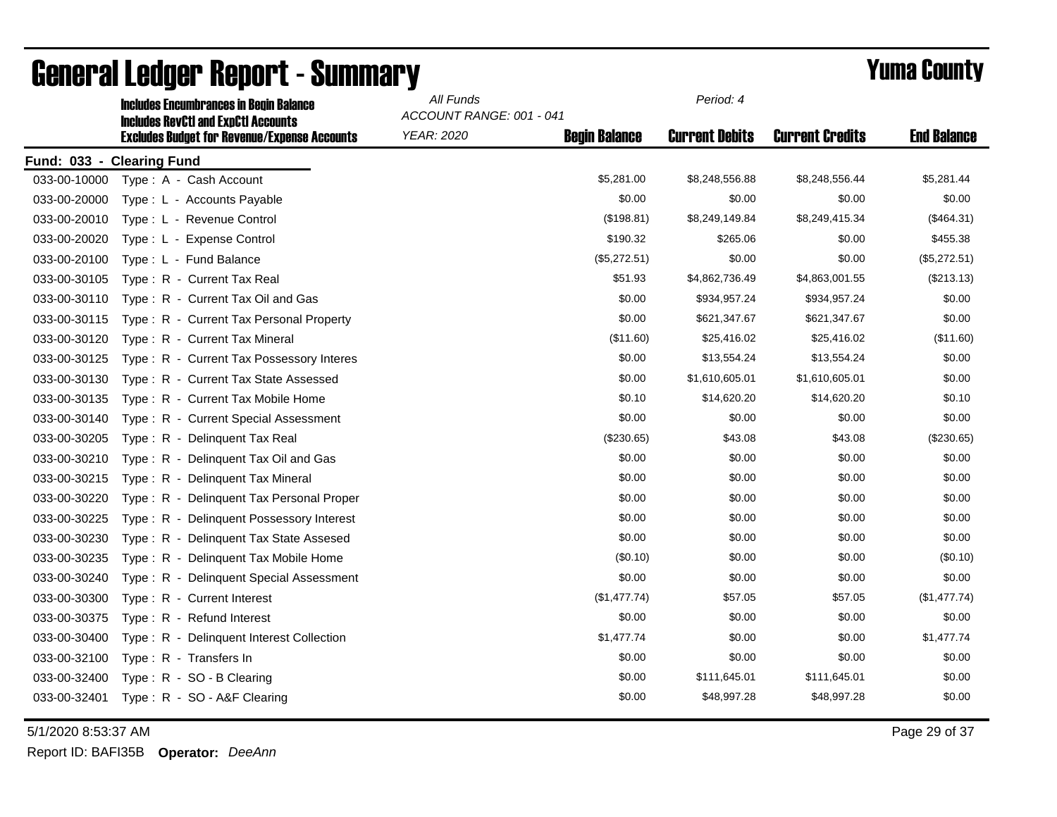|                           | <b>Includes Encumbrances in Begin Balance</b><br><b>Includes RevCtI and ExpCtI Accounts</b> | All Funds<br>ACCOUNT RANGE: 001 - 041 |                      | Period: 4             |                        |                    |
|---------------------------|---------------------------------------------------------------------------------------------|---------------------------------------|----------------------|-----------------------|------------------------|--------------------|
|                           | <b>Excludes Budget for Revenue/Expense Accounts</b>                                         | <b>YEAR: 2020</b>                     | <b>Begin Balance</b> | <b>Current Debits</b> | <b>Current Credits</b> | <b>End Balance</b> |
| Fund: 033 - Clearing Fund |                                                                                             |                                       |                      |                       |                        |                    |
| 033-00-10000              | Type: A - Cash Account                                                                      |                                       | \$5,281.00           | \$8,248,556.88        | \$8,248,556.44         | \$5,281.44         |
| 033-00-20000              | Type: L - Accounts Payable                                                                  |                                       | \$0.00               | \$0.00                | \$0.00                 | \$0.00             |
| 033-00-20010              | Type: L - Revenue Control                                                                   |                                       | (\$198.81)           | \$8,249,149.84        | \$8,249,415.34         | (\$464.31)         |
| 033-00-20020              | Type: L - Expense Control                                                                   |                                       | \$190.32             | \$265.06              | \$0.00                 | \$455.38           |
| 033-00-20100              | Type: L - Fund Balance                                                                      |                                       | (\$5,272.51)         | \$0.00                | \$0.00                 | (\$5,272.51)       |
| 033-00-30105              | Type: R - Current Tax Real                                                                  |                                       | \$51.93              | \$4,862,736.49        | \$4,863,001.55         | (\$213.13)         |
| 033-00-30110              | Type: R - Current Tax Oil and Gas                                                           |                                       | \$0.00               | \$934,957.24          | \$934,957.24           | \$0.00             |
| 033-00-30115              | Type: R - Current Tax Personal Property                                                     |                                       | \$0.00               | \$621,347.67          | \$621,347.67           | \$0.00             |
| 033-00-30120              | Type: R - Current Tax Mineral                                                               |                                       | (\$11.60)            | \$25,416.02           | \$25,416.02            | (\$11.60)          |
| 033-00-30125              | Type: R - Current Tax Possessory Interes                                                    |                                       | \$0.00               | \$13,554.24           | \$13,554.24            | \$0.00             |
| 033-00-30130              | Type: R - Current Tax State Assessed                                                        |                                       | \$0.00               | \$1,610,605.01        | \$1,610,605.01         | \$0.00             |
| 033-00-30135              | Type: R - Current Tax Mobile Home                                                           |                                       | \$0.10               | \$14,620.20           | \$14,620.20            | \$0.10             |
| 033-00-30140              | Type: R - Current Special Assessment                                                        |                                       | \$0.00               | \$0.00                | \$0.00                 | \$0.00             |
| 033-00-30205              | Type: R - Delinguent Tax Real                                                               |                                       | (\$230.65)           | \$43.08               | \$43.08                | $(\$230.65)$       |
| 033-00-30210              | Type: R - Delinquent Tax Oil and Gas                                                        |                                       | \$0.00               | \$0.00                | \$0.00                 | \$0.00             |
| 033-00-30215              | Type: R - Delinguent Tax Mineral                                                            |                                       | \$0.00               | \$0.00                | \$0.00                 | \$0.00             |
| 033-00-30220              | Type: R - Delinquent Tax Personal Proper                                                    |                                       | \$0.00               | \$0.00                | \$0.00                 | \$0.00             |
| 033-00-30225              | Type: R - Delinguent Possessory Interest                                                    |                                       | \$0.00               | \$0.00                | \$0.00                 | \$0.00             |
| 033-00-30230              | Type: R - Delinquent Tax State Assesed                                                      |                                       | \$0.00               | \$0.00                | \$0.00                 | \$0.00             |
| 033-00-30235              | Type: R - Delinquent Tax Mobile Home                                                        |                                       | (\$0.10)             | \$0.00                | \$0.00                 | (S0.10)            |
| 033-00-30240              | Type: R - Delinquent Special Assessment                                                     |                                       | \$0.00               | \$0.00                | \$0.00                 | \$0.00             |
| 033-00-30300              | Type: R - Current Interest                                                                  |                                       | (\$1,477.74)         | \$57.05               | \$57.05                | (\$1,477.74)       |
| 033-00-30375              | Type: R - Refund Interest                                                                   |                                       | \$0.00               | \$0.00                | \$0.00                 | \$0.00             |
| 033-00-30400              | Type: R - Delinquent Interest Collection                                                    |                                       | \$1,477.74           | \$0.00                | \$0.00                 | \$1,477.74         |
| 033-00-32100              | Type: R - Transfers In                                                                      |                                       | \$0.00               | \$0.00                | \$0.00                 | \$0.00             |
| 033-00-32400              | Type: R - SO - B Clearing                                                                   |                                       | \$0.00               | \$111,645.01          | \$111,645.01           | \$0.00             |
| 033-00-32401              | Type: R - SO - A&F Clearing                                                                 |                                       | \$0.00               | \$48,997.28           | \$48,997.28            | \$0.00             |

5/1/2020 8:53:37 AM Page 29 of 37

Report ID: BAFI35B **Operator:** *DeeAnn*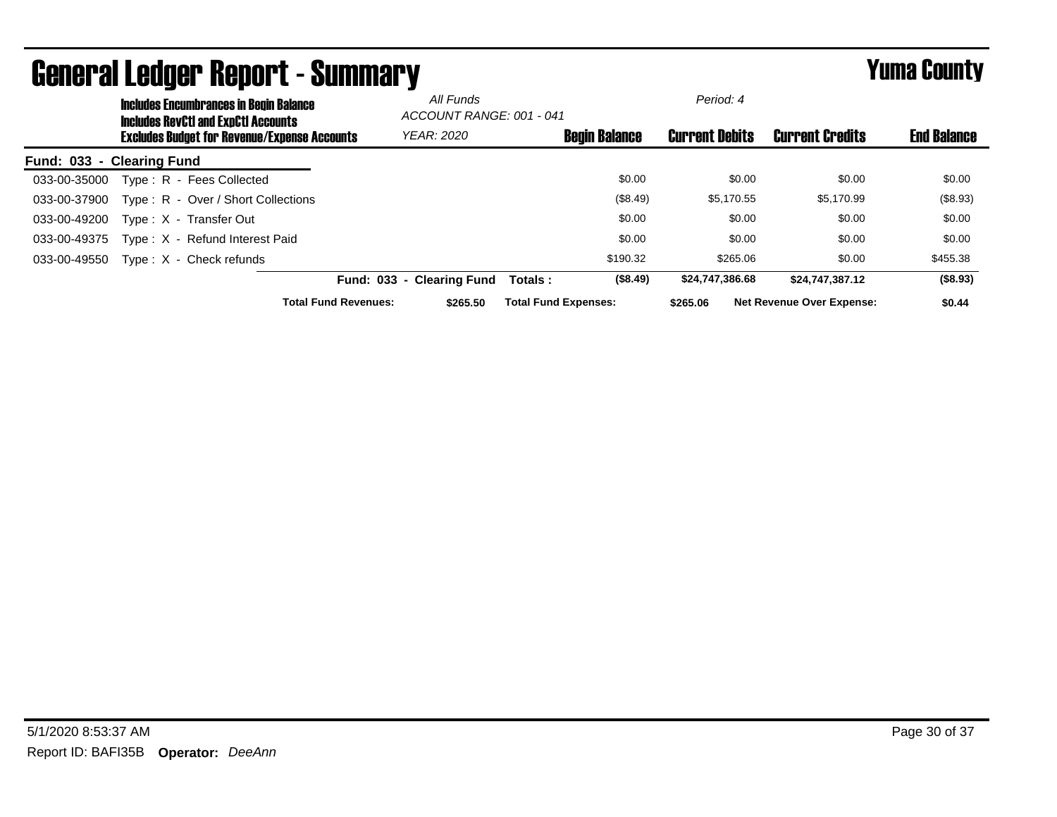|                           | <b>Includes Encumbrances in Begin Balance</b><br><b>Includes RevCtI and ExpCtI Accounts</b> |                                                     | All Funds<br>ACCOUNT RANGE: 001 - 041 |                   |                             |                      |                       | Period: 4 |                                  |                    |  |
|---------------------------|---------------------------------------------------------------------------------------------|-----------------------------------------------------|---------------------------------------|-------------------|-----------------------------|----------------------|-----------------------|-----------|----------------------------------|--------------------|--|
|                           |                                                                                             | <b>Excludes Budget for Revenue/Expense Accounts</b> |                                       | <b>YEAR: 2020</b> |                             | <b>Begin Balance</b> | <b>Current Debits</b> |           | <b>Current Credits</b>           | <b>End Balance</b> |  |
| Fund: 033 - Clearing Fund |                                                                                             |                                                     |                                       |                   |                             |                      |                       |           |                                  |                    |  |
| 033-00-35000              |                                                                                             | Type: R - Fees Collected                            |                                       |                   |                             | \$0.00               |                       | \$0.00    | \$0.00                           | \$0.00             |  |
| 033-00-37900              |                                                                                             | Type: R - Over / Short Collections                  |                                       |                   |                             | (\$8.49)             | \$5.170.55            |           | \$5,170.99                       | (\$8.93)           |  |
| 033-00-49200              |                                                                                             | Type: X - Transfer Out                              |                                       |                   |                             | \$0.00               |                       | \$0.00    | \$0.00                           | \$0.00             |  |
| 033-00-49375              |                                                                                             | Type: X - Refund Interest Paid                      |                                       |                   |                             | \$0.00               |                       | \$0.00    | \$0.00                           | \$0.00             |  |
| 033-00-49550              |                                                                                             | $Type: X - Check$ refunds                           |                                       |                   |                             | \$190.32             | \$265.06              |           | \$0.00                           | \$455.38           |  |
|                           |                                                                                             |                                                     | Fund: 033 - Clearing Fund             |                   | Totals:                     | (\$8.49)             | \$24,747,386.68       |           | \$24,747,387.12                  | (\$8.93)           |  |
|                           |                                                                                             |                                                     | <b>Total Fund Revenues:</b>           | \$265.50          | <b>Total Fund Expenses:</b> |                      | \$265.06              |           | <b>Net Revenue Over Expense:</b> | \$0.44             |  |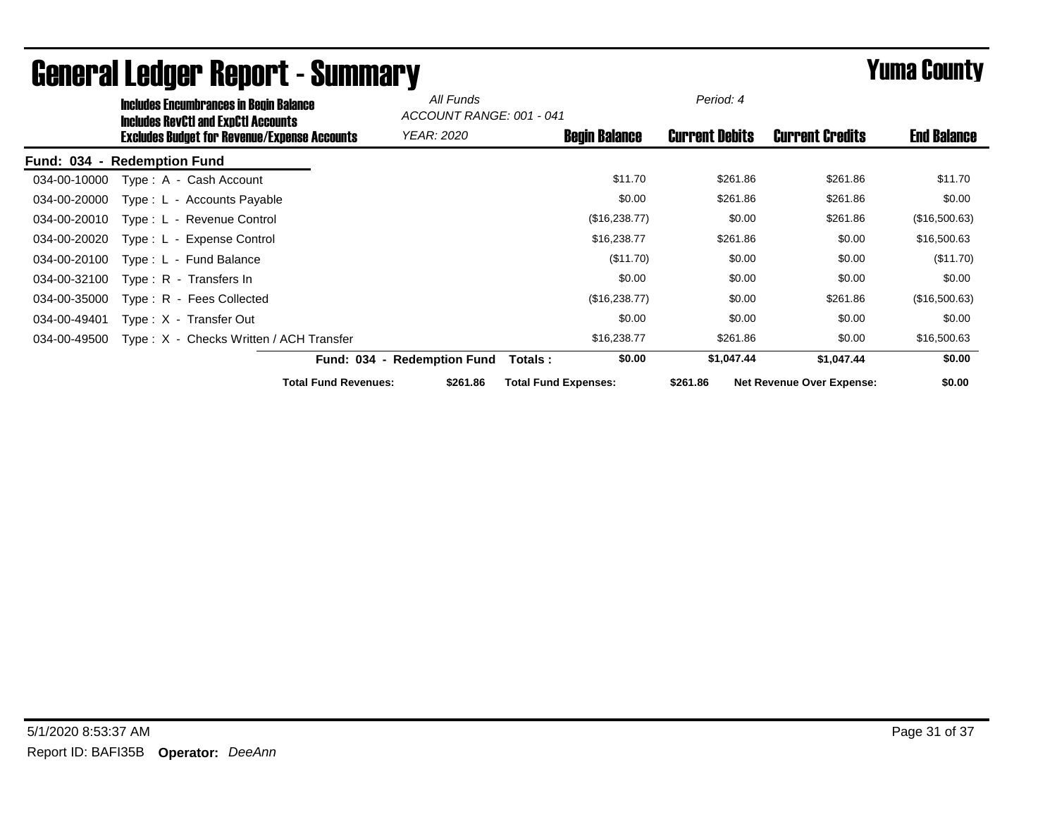|              | <b>Includes Encumbrances in Begin Balance</b><br><b>Includes RevCtI and ExpCtI Accounts</b> |                             | All Funds<br>ACCOUNT RANGE: 001 - 041 |                             | Period: 4             |                                  |                    |
|--------------|---------------------------------------------------------------------------------------------|-----------------------------|---------------------------------------|-----------------------------|-----------------------|----------------------------------|--------------------|
|              | <b>Excludes Budget for Revenue/Expense Accounts</b>                                         |                             | YEAR: 2020                            | <b>Begin Balance</b>        | <b>Current Debits</b> | <b>Current Credits</b>           | <b>End Balance</b> |
|              | Fund: 034 - Redemption Fund                                                                 |                             |                                       |                             |                       |                                  |                    |
| 034-00-10000 | Type: A - Cash Account                                                                      |                             |                                       | \$11.70                     | \$261.86              | \$261.86                         | \$11.70            |
| 034-00-20000 | Type: L - Accounts Payable                                                                  |                             |                                       | \$0.00                      | \$261.86              | \$261.86                         | \$0.00             |
| 034-00-20010 | Type: L - Revenue Control                                                                   |                             |                                       | (\$16,238.77)               | \$0.00                | \$261.86                         | (\$16,500.63)      |
| 034-00-20020 | Type: L - Expense Control                                                                   |                             |                                       | \$16,238.77                 | \$261.86              | \$0.00                           | \$16,500.63        |
| 034-00-20100 | Type: L - Fund Balance                                                                      |                             |                                       | (\$11.70)                   | \$0.00                | \$0.00                           | (\$11.70)          |
| 034-00-32100 | Type: R - Transfers In                                                                      |                             |                                       | \$0.00                      | \$0.00                | \$0.00                           | \$0.00             |
| 034-00-35000 | Type: R - Fees Collected                                                                    |                             |                                       | (\$16,238.77)               | \$0.00                | \$261.86                         | (\$16,500.63)      |
| 034-00-49401 | Type: X - Transfer Out                                                                      |                             |                                       | \$0.00                      | \$0.00                | \$0.00                           | \$0.00             |
| 034-00-49500 | Type: X - Checks Written / ACH Transfer                                                     |                             |                                       | \$16,238.77                 | \$261.86              | \$0.00                           | \$16,500.63        |
|              |                                                                                             |                             | Fund: 034 - Redemption Fund           | \$0.00<br>Totals:           | \$1,047.44            | \$1,047.44                       | \$0.00             |
|              |                                                                                             | <b>Total Fund Revenues:</b> | \$261.86                              | <b>Total Fund Expenses:</b> | \$261.86              | <b>Net Revenue Over Expense:</b> | \$0.00             |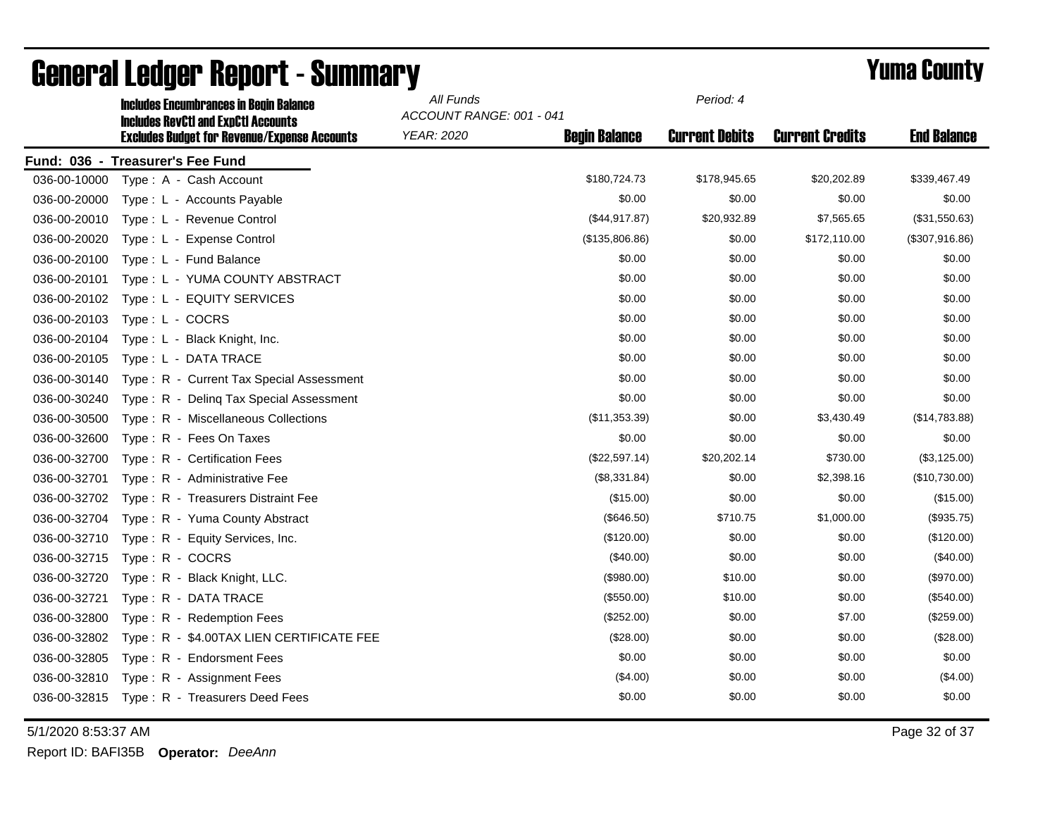|              | <b>Includes Encumbrances in Begin Balance</b><br><b>Includes RevCtI and ExpCtI Accounts</b> | All Funds<br>ACCOUNT RANGE: 001 - 041 |                      | Period: 4             |                        |                    |
|--------------|---------------------------------------------------------------------------------------------|---------------------------------------|----------------------|-----------------------|------------------------|--------------------|
|              | <b>Excludes Budget for Revenue/Expense Accounts</b>                                         | <b>YEAR: 2020</b>                     | <b>Begin Balance</b> | <b>Current Debits</b> | <b>Current Credits</b> | <b>End Balance</b> |
|              | Fund: 036 - Treasurer's Fee Fund                                                            |                                       |                      |                       |                        |                    |
| 036-00-10000 | Type: A - Cash Account                                                                      |                                       | \$180,724.73         | \$178,945.65          | \$20,202.89            | \$339,467.49       |
| 036-00-20000 | Type: L - Accounts Payable                                                                  |                                       | \$0.00               | \$0.00                | \$0.00                 | \$0.00             |
| 036-00-20010 | Type: L - Revenue Control                                                                   |                                       | (\$44, 917.87)       | \$20,932.89           | \$7,565.65             | (\$31,550.63)      |
| 036-00-20020 | Type: L - Expense Control                                                                   |                                       | (\$135,806.86)       | \$0.00                | \$172,110.00           | (\$307,916.86)     |
| 036-00-20100 | Type: L - Fund Balance                                                                      |                                       | \$0.00               | \$0.00                | \$0.00                 | \$0.00             |
| 036-00-20101 | Type: L - YUMA COUNTY ABSTRACT                                                              |                                       | \$0.00               | \$0.00                | \$0.00                 | \$0.00             |
| 036-00-20102 | Type: L - EQUITY SERVICES                                                                   |                                       | \$0.00               | \$0.00                | \$0.00                 | \$0.00             |
| 036-00-20103 | Type: L - COCRS                                                                             |                                       | \$0.00               | \$0.00                | \$0.00                 | \$0.00             |
| 036-00-20104 | Type: L - Black Knight, Inc.                                                                |                                       | \$0.00               | \$0.00                | \$0.00                 | \$0.00             |
| 036-00-20105 | Type: L - DATA TRACE                                                                        |                                       | \$0.00               | \$0.00                | \$0.00                 | \$0.00             |
| 036-00-30140 | Type: R - Current Tax Special Assessment                                                    |                                       | \$0.00               | \$0.00                | \$0.00                 | \$0.00             |
| 036-00-30240 | Type: R - Deling Tax Special Assessment                                                     |                                       | \$0.00               | \$0.00                | \$0.00                 | \$0.00             |
| 036-00-30500 | Type: R - Miscellaneous Collections                                                         |                                       | (\$11,353.39)        | \$0.00                | \$3,430.49             | (\$14,783.88)      |
| 036-00-32600 | Type: R - Fees On Taxes                                                                     |                                       | \$0.00               | \$0.00                | \$0.00                 | \$0.00             |
| 036-00-32700 | Type: R - Certification Fees                                                                |                                       | (\$22,597.14)        | \$20,202.14           | \$730.00               | (\$3,125.00)       |
| 036-00-32701 | Type: R - Administrative Fee                                                                |                                       | (\$8,331.84)         | \$0.00                | \$2,398.16             | (\$10,730.00)      |
| 036-00-32702 | Type: R - Treasurers Distraint Fee                                                          |                                       | (\$15.00)            | \$0.00                | \$0.00                 | (\$15.00)          |
| 036-00-32704 | Type: R - Yuma County Abstract                                                              |                                       | (\$646.50)           | \$710.75              | \$1,000.00             | (\$935.75)         |
| 036-00-32710 | Type: R - Equity Services, Inc.                                                             |                                       | (\$120.00)           | \$0.00                | \$0.00                 | (\$120.00)         |
| 036-00-32715 | Type: R - COCRS                                                                             |                                       | $(\$40.00)$          | \$0.00                | \$0.00                 | (\$40.00)          |
| 036-00-32720 | Type: R - Black Knight, LLC.                                                                |                                       | (\$980.00)           | \$10.00               | \$0.00                 | (\$970.00)         |
| 036-00-32721 | Type: R - DATA TRACE                                                                        |                                       | (\$550.00)           | \$10.00               | \$0.00                 | (\$540.00)         |
| 036-00-32800 | Type: R - Redemption Fees                                                                   |                                       | (\$252.00)           | \$0.00                | \$7.00                 | (\$259.00)         |
| 036-00-32802 | Type: R - \$4.00TAX LIEN CERTIFICATE FEE                                                    |                                       | (\$28.00)            | \$0.00                | \$0.00                 | (\$28.00)          |
| 036-00-32805 | Type: R - Endorsment Fees                                                                   |                                       | \$0.00               | \$0.00                | \$0.00                 | \$0.00             |
| 036-00-32810 | Type: R - Assignment Fees                                                                   |                                       | (\$4.00)             | \$0.00                | \$0.00                 | (\$4.00)           |
| 036-00-32815 | Type: R - Treasurers Deed Fees                                                              |                                       | \$0.00               | \$0.00                | \$0.00                 | \$0.00             |

5/1/2020 8:53:37 AM Page 32 of 37

Report ID: BAFI35B **Operator:** *DeeAnn*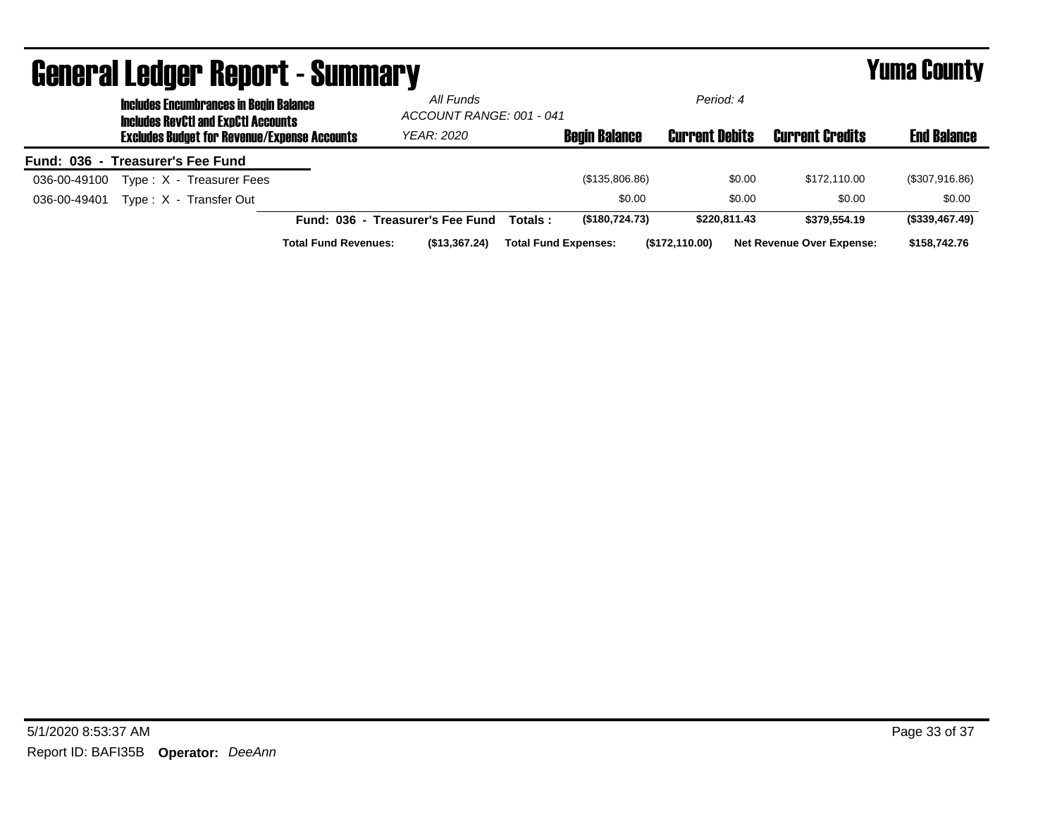|                                  |                                                                                                                                                    | <b>General Ledger Report - Summary</b> |                             |                                  |                          |                             |                       |                                  | <b>Yuma County</b> |
|----------------------------------|----------------------------------------------------------------------------------------------------------------------------------------------------|----------------------------------------|-----------------------------|----------------------------------|--------------------------|-----------------------------|-----------------------|----------------------------------|--------------------|
|                                  | <b>Includes Encumbrances in Begin Balance</b><br><b>Includes RevCtI and ExpCtI Accounts</b><br><b>Excludes Budget for Revenue/Expense Accounts</b> |                                        |                             | All Funds                        | ACCOUNT RANGE: 001 - 041 |                             |                       |                                  |                    |
|                                  |                                                                                                                                                    |                                        |                             | <b>YEAR: 2020</b>                |                          | <b>Begin Balance</b>        | <b>Current Debits</b> | <b>Current Credits</b>           | <b>End Balance</b> |
| Fund: 036 - Treasurer's Fee Fund |                                                                                                                                                    |                                        |                             |                                  |                          |                             |                       |                                  |                    |
| 036-00-49100                     |                                                                                                                                                    | Type: X - Treasurer Fees               |                             |                                  |                          | (\$135,806.86)              | \$0.00                | \$172,110.00                     | (\$307,916.86)     |
| 036-00-49401                     |                                                                                                                                                    | Type: X - Transfer Out                 |                             |                                  |                          | \$0.00                      | \$0.00                | \$0.00                           | \$0.00             |
|                                  |                                                                                                                                                    |                                        |                             | Fund: 036 - Treasurer's Fee Fund | Totals :                 | (\$180,724.73)              | \$220,811.43          | \$379.554.19                     | (\$339,467.49)     |
|                                  |                                                                                                                                                    |                                        | <b>Total Fund Revenues:</b> | (\$13,367.24)                    |                          | <b>Total Fund Expenses:</b> | (\$172,110.00)        | <b>Net Revenue Over Expense:</b> | \$158,742.76       |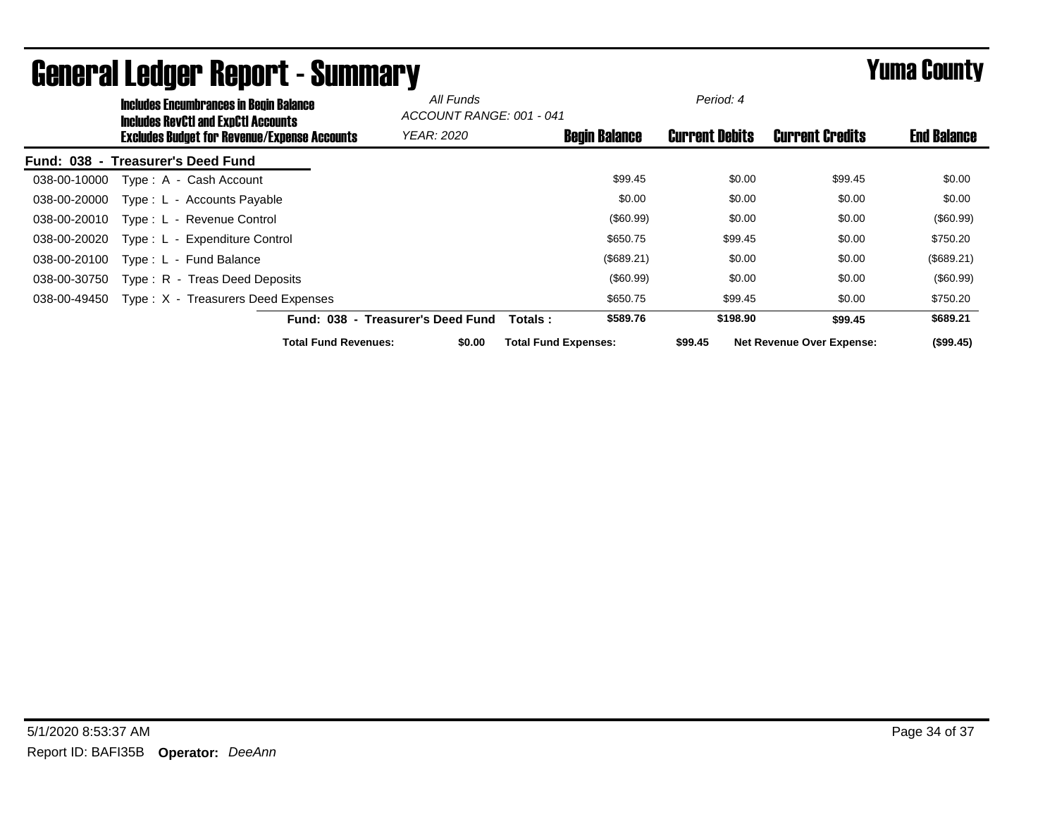|                                   | <b>Includes Encumbrances in Begin Balance</b>                                              |                                   | All Funds | ACCOUNT RANGE: 001 - 041    |                      | Period: 4             |                                  |                    |
|-----------------------------------|--------------------------------------------------------------------------------------------|-----------------------------------|-----------|-----------------------------|----------------------|-----------------------|----------------------------------|--------------------|
|                                   | <b>Includes RevCtI and ExpCtI Accounts</b><br>Excludes Budget for Revenue/Expense Accounts | <b>YEAR: 2020</b>                 |           |                             | <b>Begin Balance</b> | <b>Current Debits</b> | <b>Current Credits</b>           | <b>End Balance</b> |
| Fund: 038 - Treasurer's Deed Fund |                                                                                            |                                   |           |                             |                      |                       |                                  |                    |
| 038-00-10000                      | Type: A - Cash Account                                                                     |                                   |           |                             | \$99.45              | \$0.00                | \$99.45                          | \$0.00             |
| 038-00-20000                      | Type: L - Accounts Payable                                                                 |                                   |           |                             | \$0.00               | \$0.00                | \$0.00                           | \$0.00             |
| 038-00-20010                      | Type: L - Revenue Control                                                                  |                                   |           |                             | $(\$60.99)$          | \$0.00                | \$0.00                           | $(\$60.99)$        |
| 038-00-20020                      | Type: L - Expenditure Control                                                              |                                   |           |                             | \$650.75             | \$99.45               | \$0.00                           | \$750.20           |
| 038-00-20100                      | Type: L - Fund Balance                                                                     |                                   |           |                             | (\$689.21)           | \$0.00                | \$0.00                           | (\$689.21)         |
| 038-00-30750                      | Type: R - Treas Deed Deposits                                                              |                                   |           |                             | $(\$60.99)$          | \$0.00                | \$0.00                           | (\$60.99)          |
| 038-00-49450                      | Type: X - Treasurers Deed Expenses                                                         |                                   |           |                             | \$650.75             | \$99.45               | \$0.00                           | \$750.20           |
|                                   |                                                                                            | Fund: 038 - Treasurer's Deed Fund |           | Totals :                    | \$589.76             | \$198.90              | \$99.45                          | \$689.21           |
|                                   |                                                                                            | <b>Total Fund Revenues:</b>       | \$0.00    | <b>Total Fund Expenses:</b> |                      | \$99.45               | <b>Net Revenue Over Expense:</b> | (\$99.45)          |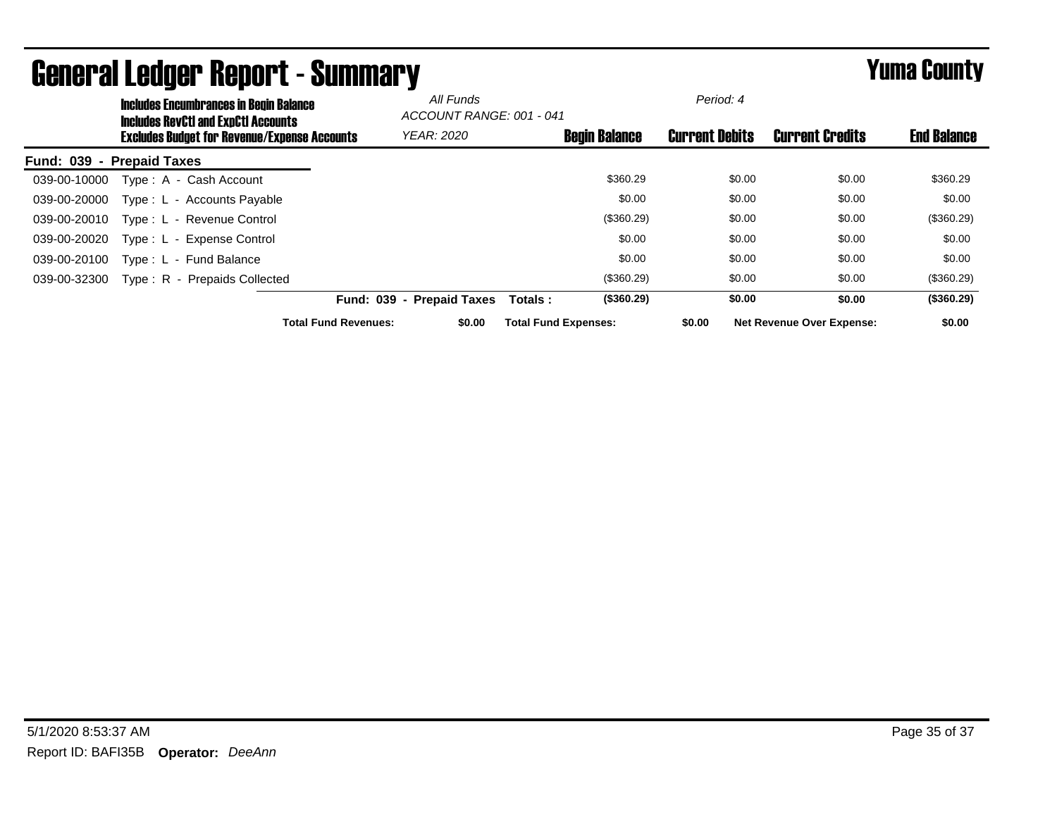|                           | <b>Includes Encumbrances in Begin Balance</b><br><b>Includes RevCtI and ExpCtI Accounts</b> | All Funds<br>ACCOUNT RANGE: 001 - 041               |                             |                           | Period: 4                   |                      |                       |                                  |                    |
|---------------------------|---------------------------------------------------------------------------------------------|-----------------------------------------------------|-----------------------------|---------------------------|-----------------------------|----------------------|-----------------------|----------------------------------|--------------------|
|                           |                                                                                             | <b>Excludes Budget for Revenue/Expense Accounts</b> |                             | <b>YEAR: 2020</b>         |                             | <b>Begin Balance</b> | <b>Current Debits</b> | <b>Current Credits</b>           | <b>End Balance</b> |
| Fund: 039 - Prepaid Taxes |                                                                                             |                                                     |                             |                           |                             |                      |                       |                                  |                    |
| 039-00-10000              |                                                                                             | Type: A - Cash Account                              |                             |                           |                             | \$360.29             | \$0.00                | \$0.00                           | \$360.29           |
| 039-00-20000              |                                                                                             | Type: L - Accounts Payable                          |                             |                           |                             | \$0.00               | \$0.00                | \$0.00                           | \$0.00             |
| 039-00-20010              |                                                                                             | Type: L - Revenue Control                           |                             |                           |                             | (\$360.29)           | \$0.00                | \$0.00                           | (\$360.29)         |
| 039-00-20020              |                                                                                             | Type: L - Expense Control                           |                             |                           |                             | \$0.00               | \$0.00                | \$0.00                           | \$0.00             |
| 039-00-20100              |                                                                                             | Type: L - Fund Balance                              |                             |                           |                             | \$0.00               | \$0.00                | \$0.00                           | \$0.00             |
| 039-00-32300              |                                                                                             | Type: R - Prepaids Collected                        |                             |                           |                             | (\$360.29)           | \$0.00                | \$0.00                           | (\$360.29)         |
|                           |                                                                                             |                                                     |                             | Fund: 039 - Prepaid Taxes | Totals :                    | (\$360.29)           | \$0.00                | \$0.00                           | (\$360.29)         |
|                           |                                                                                             |                                                     | <b>Total Fund Revenues:</b> | \$0.00                    | <b>Total Fund Expenses:</b> |                      | \$0.00                | <b>Net Revenue Over Expense:</b> | \$0.00             |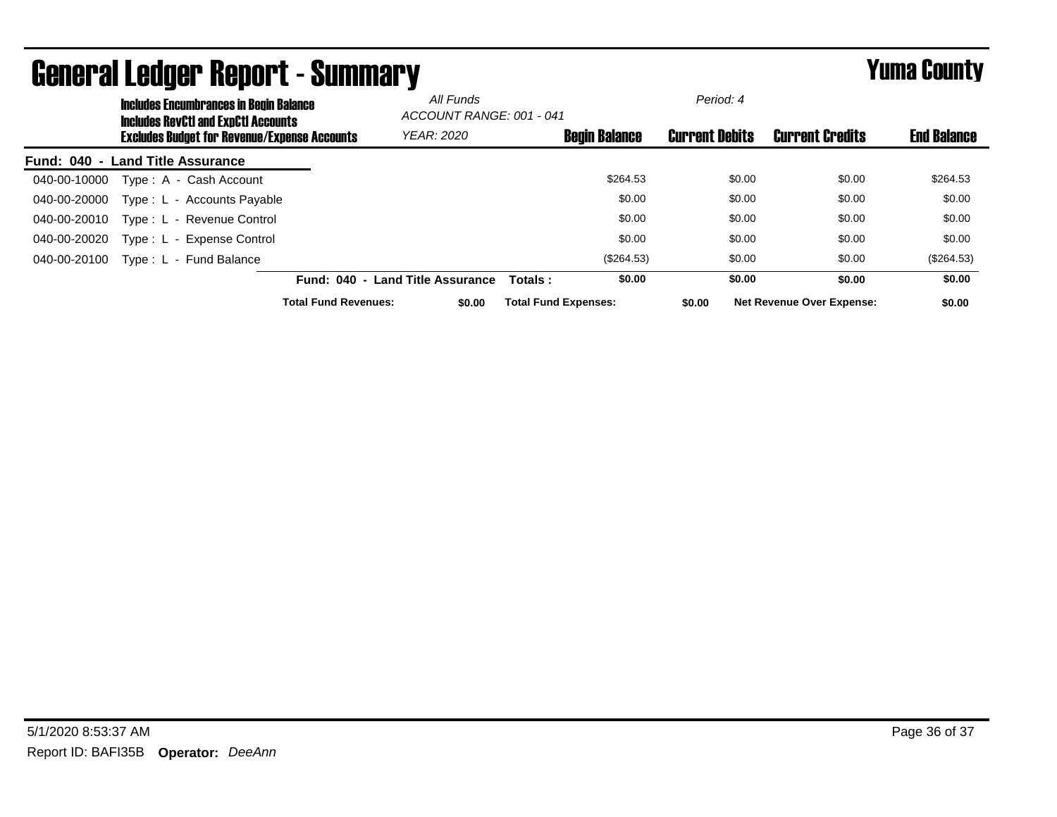|              |                        | <b>Includes Encumbrances in Begin Balance</b><br><b>Includes RevCtI and ExpCtI Accounts</b> |                             | All Funds<br>ACCOUNT RANGE: 001 - 041 |                             |                      | Period: 4             |                                  |                    |
|--------------|------------------------|---------------------------------------------------------------------------------------------|-----------------------------|---------------------------------------|-----------------------------|----------------------|-----------------------|----------------------------------|--------------------|
|              |                        | <b>Excludes Budget for Revenue/Expense Accounts</b>                                         |                             | <b>YEAR: 2020</b>                     |                             | <b>Begin Balance</b> | <b>Current Debits</b> | <b>Current Credits</b>           | <b>End Balance</b> |
| Fund: 040    | - Land Title Assurance |                                                                                             |                             |                                       |                             |                      |                       |                                  |                    |
| 040-00-10000 |                        | Type: A - Cash Account                                                                      |                             |                                       |                             | \$264.53             | \$0.00                | \$0.00                           | \$264.53           |
| 040-00-20000 |                        | Type: L - Accounts Payable                                                                  |                             |                                       |                             | \$0.00               | \$0.00                | \$0.00                           | \$0.00             |
| 040-00-20010 |                        | Type: L - Revenue Control                                                                   |                             |                                       |                             | \$0.00               | \$0.00                | \$0.00                           | \$0.00             |
| 040-00-20020 |                        | Type: L - Expense Control                                                                   |                             |                                       |                             | \$0.00               | \$0.00                | \$0.00                           | \$0.00             |
| 040-00-20100 |                        | Type: L - Fund Balance                                                                      |                             |                                       |                             | (\$264.53)           | \$0.00                | \$0.00                           | $(\$264.53)$       |
|              |                        |                                                                                             | <b>Fund: 040</b><br>$\sim$  | <b>Land Title Assurance</b>           | Totals:                     | \$0.00               | \$0.00                | \$0.00                           | \$0.00             |
|              |                        |                                                                                             | <b>Total Fund Revenues:</b> | \$0.00                                | <b>Total Fund Expenses:</b> |                      | \$0.00                | <b>Net Revenue Over Expense:</b> | \$0.00             |